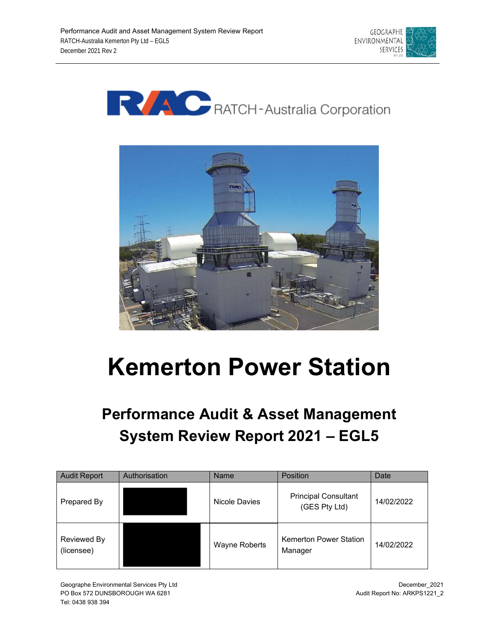





# **Kemerton Power Station**

# **Performance Audit & Asset Management System Review Report 2021 – EGL5**

| <b>Audit Report</b>       | Authorisation | Name          | <b>Position</b>                              | Date       |
|---------------------------|---------------|---------------|----------------------------------------------|------------|
| Prepared By               |               | Nicole Davies | <b>Principal Consultant</b><br>(GES Pty Ltd) | 14/02/2022 |
| Reviewed By<br>(licensee) |               | Wayne Roberts | <b>Kemerton Power Station</b><br>Manager     | 14/02/2022 |

Geographe Environmental Services Pty Ltd PO Box 572 DUNSBOROUGH WA 6281 Tel: 0438 938 394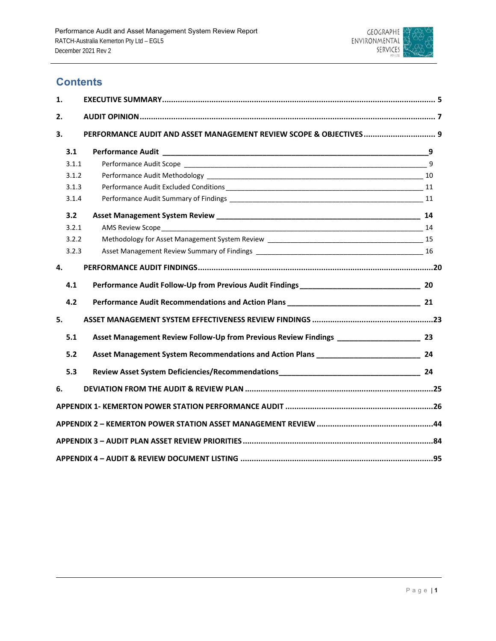

# **Contents**

| 1.           |                                                                    |  |
|--------------|--------------------------------------------------------------------|--|
| 2.           |                                                                    |  |
| 3.           | PERFORMANCE AUDIT AND ASSET MANAGEMENT REVIEW SCOPE & OBJECTIVES 9 |  |
| 3.1          |                                                                    |  |
| 3.1.1        |                                                                    |  |
| 3.1.2        |                                                                    |  |
| 3.1.3        |                                                                    |  |
| 3.1.4        |                                                                    |  |
| 3.2          |                                                                    |  |
| 3.2.1        |                                                                    |  |
| 3.2.2        |                                                                    |  |
| 3.2.3        |                                                                    |  |
| $\mathbf{4}$ |                                                                    |  |
| 4.1          |                                                                    |  |
| 4.2          |                                                                    |  |
| 5.           |                                                                    |  |
| 5.1          |                                                                    |  |
| 5.2          |                                                                    |  |
| 5.3          |                                                                    |  |
| 6.           |                                                                    |  |
|              |                                                                    |  |
|              |                                                                    |  |
|              |                                                                    |  |
|              |                                                                    |  |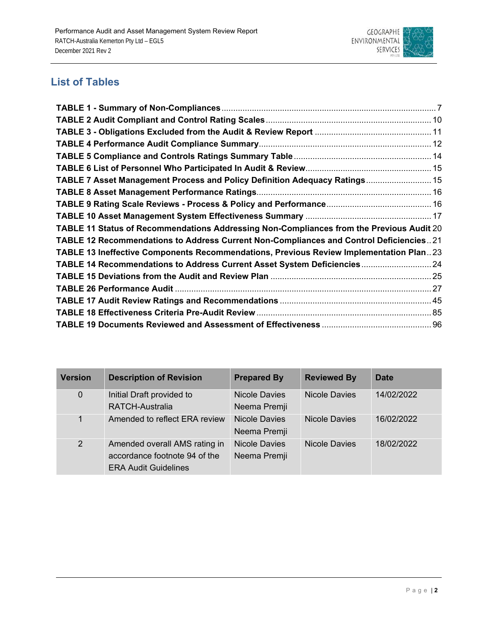

# **List of Tables**

| TABLE 7 Asset Management Process and Policy Definition Adequacy Ratings 15               |  |
|------------------------------------------------------------------------------------------|--|
|                                                                                          |  |
|                                                                                          |  |
|                                                                                          |  |
| TABLE 11 Status of Recommendations Addressing Non-Compliances from the Previous Audit 20 |  |
| TABLE 12 Recommendations to Address Current Non-Compliances and Control Deficiencies21   |  |
| TABLE 13 Ineffective Components Recommendations, Previous Review Implementation Plan23   |  |
| TABLE 14 Recommendations to Address Current Asset System Deficiencies 24                 |  |
|                                                                                          |  |
|                                                                                          |  |
|                                                                                          |  |
|                                                                                          |  |
|                                                                                          |  |

| <b>Version</b> | <b>Description of Revision</b>                                                                | <b>Prepared By</b>                   | <b>Reviewed By</b>   | Date       |
|----------------|-----------------------------------------------------------------------------------------------|--------------------------------------|----------------------|------------|
| 0              | Initial Draft provided to<br><b>RATCH-Australia</b>                                           | Nicole Davies<br>Neema Premji        | <b>Nicole Davies</b> | 14/02/2022 |
| $\mathbf 1$    | Amended to reflect ERA review                                                                 | <b>Nicole Davies</b><br>Neema Premji | Nicole Davies        | 16/02/2022 |
| $\overline{2}$ | Amended overall AMS rating in<br>accordance footnote 94 of the<br><b>ERA Audit Guidelines</b> | <b>Nicole Davies</b><br>Neema Premji | <b>Nicole Davies</b> | 18/02/2022 |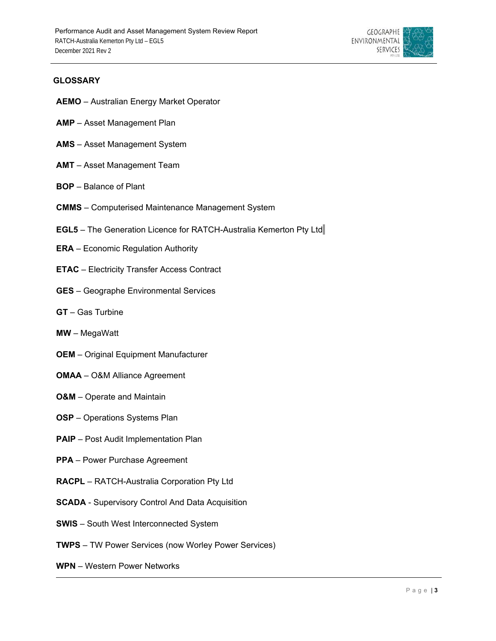

# **GLOSSARY**

- **AEMO** Australian Energy Market Operator
- **AMP** Asset Management Plan
- **AMS** Asset Management System
- **AMT** Asset Management Team
- **BOP** Balance of Plant
- **CMMS**  Computerised Maintenance Management System
- **EGL5**  The Generation Licence for RATCH-Australia Kemerton Pty Ltd
- **ERA**  Economic Regulation Authority
- **ETAC** Electricity Transfer Access Contract
- **GES**  Geographe Environmental Services
- **GT**  Gas Turbine
- **MW**  MegaWatt
- **OEM** Original Equipment Manufacturer
- **OMAA**  O&M Alliance Agreement
- **O&M** Operate and Maintain
- **OSP** Operations Systems Plan
- **PAIP** Post Audit Implementation Plan
- **PPA** Power Purchase Agreement
- **RACPL** RATCH-Australia Corporation Pty Ltd
- **SCADA** Supervisory Control And Data Acquisition
- **SWIS**  South West Interconnected System
- **TWPS** TW Power Services (now Worley Power Services)
- **WPN** Western Power Networks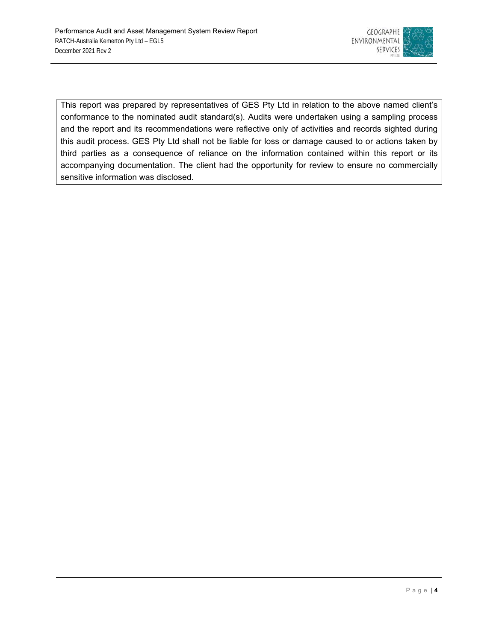

This report was prepared by representatives of GES Pty Ltd in relation to the above named client's conformance to the nominated audit standard(s). Audits were undertaken using a sampling process and the report and its recommendations were reflective only of activities and records sighted during this audit process. GES Pty Ltd shall not be liable for loss or damage caused to or actions taken by third parties as a consequence of reliance on the information contained within this report or its accompanying documentation. The client had the opportunity for review to ensure no commercially sensitive information was disclosed.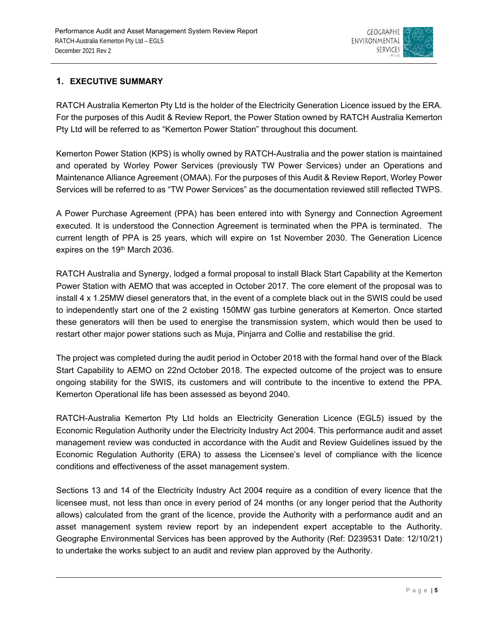

# **1. EXECUTIVE SUMMARY**

RATCH Australia Kemerton Pty Ltd is the holder of the Electricity Generation Licence issued by the ERA. For the purposes of this Audit & Review Report, the Power Station owned by RATCH Australia Kemerton Pty Ltd will be referred to as "Kemerton Power Station" throughout this document.

Kemerton Power Station (KPS) is wholly owned by RATCH-Australia and the power station is maintained and operated by Worley Power Services (previously TW Power Services) under an Operations and Maintenance Alliance Agreement (OMAA). For the purposes of this Audit & Review Report, Worley Power Services will be referred to as "TW Power Services" as the documentation reviewed still reflected TWPS.

A Power Purchase Agreement (PPA) has been entered into with Synergy and Connection Agreement executed. It is understood the Connection Agreement is terminated when the PPA is terminated. The current length of PPA is 25 years, which will expire on 1st November 2030. The Generation Licence expires on the 19<sup>th</sup> March 2036.

RATCH Australia and Synergy, lodged a formal proposal to install Black Start Capability at the Kemerton Power Station with AEMO that was accepted in October 2017. The core element of the proposal was to install 4 x 1.25MW diesel generators that, in the event of a complete black out in the SWIS could be used to independently start one of the 2 existing 150MW gas turbine generators at Kemerton. Once started these generators will then be used to energise the transmission system, which would then be used to restart other major power stations such as Muja, Pinjarra and Collie and restabilise the grid.

The project was completed during the audit period in October 2018 with the formal hand over of the Black Start Capability to AEMO on 22nd October 2018. The expected outcome of the project was to ensure ongoing stability for the SWIS, its customers and will contribute to the incentive to extend the PPA. Kemerton Operational life has been assessed as beyond 2040.

RATCH-Australia Kemerton Pty Ltd holds an Electricity Generation Licence (EGL5) issued by the Economic Regulation Authority under the Electricity Industry Act 2004. This performance audit and asset management review was conducted in accordance with the Audit and Review Guidelines issued by the Economic Regulation Authority (ERA) to assess the Licensee's level of compliance with the licence conditions and effectiveness of the asset management system.

Sections 13 and 14 of the Electricity Industry Act 2004 require as a condition of every licence that the licensee must, not less than once in every period of 24 months (or any longer period that the Authority allows) calculated from the grant of the licence, provide the Authority with a performance audit and an asset management system review report by an independent expert acceptable to the Authority. Geographe Environmental Services has been approved by the Authority (Ref: D239531 Date: 12/10/21) to undertake the works subject to an audit and review plan approved by the Authority.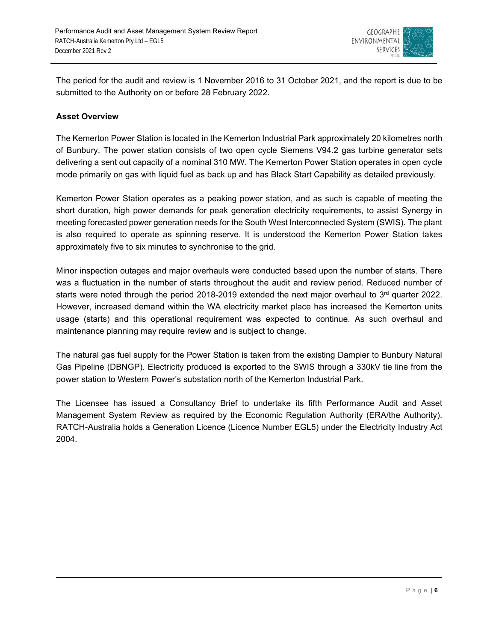

The period for the audit and review is 1 November 2016 to 31 October 2021, and the report is due to be submitted to the Authority on or before 28 February 2022.

# **Asset Overview**

The Kemerton Power Station is located in the Kemerton Industrial Park approximately 20 kilometres north of Bunbury. The power station consists of two open cycle Siemens V94.2 gas turbine generator sets delivering a sent out capacity of a nominal 310 MW. The Kemerton Power Station operates in open cycle mode primarily on gas with liquid fuel as back up and has Black Start Capability as detailed previously.

Kemerton Power Station operates as a peaking power station, and as such is capable of meeting the short duration, high power demands for peak generation electricity requirements, to assist Synergy in meeting forecasted power generation needs for the South West Interconnected System (SWIS). The plant is also required to operate as spinning reserve. It is understood the Kemerton Power Station takes approximately five to six minutes to synchronise to the grid.

Minor inspection outages and major overhauls were conducted based upon the number of starts. There was a fluctuation in the number of starts throughout the audit and review period. Reduced number of starts were noted through the period 2018-2019 extended the next major overhaul to 3rd quarter 2022. However, increased demand within the WA electricity market place has increased the Kemerton units usage (starts) and this operational requirement was expected to continue. As such overhaul and maintenance planning may require review and is subject to change.

The natural gas fuel supply for the Power Station is taken from the existing Dampier to Bunbury Natural Gas Pipeline (DBNGP). Electricity produced is exported to the SWIS through a 330kV tie line from the power station to Western Power's substation north of the Kemerton Industrial Park.

The Licensee has issued a Consultancy Brief to undertake its fifth Performance Audit and Asset Management System Review as required by the Economic Regulation Authority (ERA/the Authority). RATCH-Australia holds a Generation Licence (Licence Number EGL5) under the Electricity Industry Act 2004.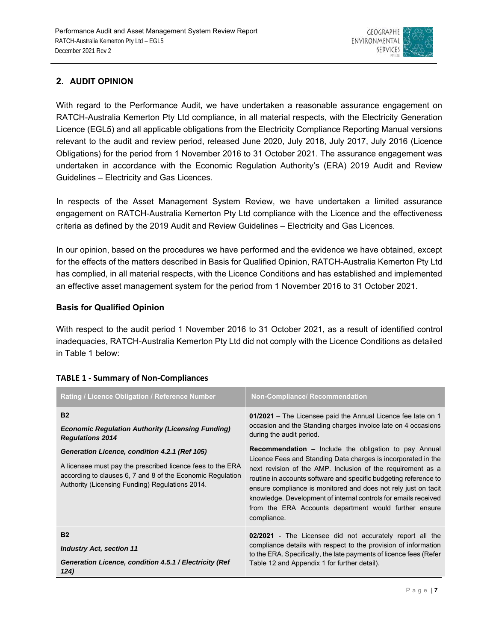

# **2. AUDIT OPINION**

With regard to the Performance Audit, we have undertaken a reasonable assurance engagement on RATCH-Australia Kemerton Pty Ltd compliance, in all material respects, with the Electricity Generation Licence (EGL5) and all applicable obligations from the Electricity Compliance Reporting Manual versions relevant to the audit and review period, released June 2020, July 2018, July 2017, July 2016 (Licence Obligations) for the period from 1 November 2016 to 31 October 2021. The assurance engagement was undertaken in accordance with the Economic Regulation Authority's (ERA) 2019 Audit and Review Guidelines – Electricity and Gas Licences.

In respects of the Asset Management System Review, we have undertaken a limited assurance engagement on RATCH-Australia Kemerton Pty Ltd compliance with the Licence and the effectiveness criteria as defined by the 2019 Audit and Review Guidelines – Electricity and Gas Licences.

In our opinion, based on the procedures we have performed and the evidence we have obtained, except for the effects of the matters described in Basis for Qualified Opinion, RATCH-Australia Kemerton Pty Ltd has complied, in all material respects, with the Licence Conditions and has established and implemented an effective asset management system for the period from 1 November 2016 to 31 October 2021.

# **Basis for Qualified Opinion**

With respect to the audit period 1 November 2016 to 31 October 2021, as a result of identified control inadequacies, RATCH-Australia Kemerton Pty Ltd did not comply with the Licence Conditions as detailed in Table 1 below:

| Rating / Licence Obligation / Reference Number                                                                                                                                                                                                                                                                                   | <b>Non-Compliance/ Recommendation</b>                                                                                                                                                                                                                                                                                                                                                                                                                                                                                                                                                                                                      |  |  |  |  |
|----------------------------------------------------------------------------------------------------------------------------------------------------------------------------------------------------------------------------------------------------------------------------------------------------------------------------------|--------------------------------------------------------------------------------------------------------------------------------------------------------------------------------------------------------------------------------------------------------------------------------------------------------------------------------------------------------------------------------------------------------------------------------------------------------------------------------------------------------------------------------------------------------------------------------------------------------------------------------------------|--|--|--|--|
| <b>B2</b><br><b>Economic Regulation Authority (Licensing Funding)</b><br><b>Regulations 2014</b><br>Generation Licence, condition 4.2.1 (Ref 105)<br>A licensee must pay the prescribed licence fees to the ERA<br>according to clauses 6, 7 and 8 of the Economic Regulation<br>Authority (Licensing Funding) Regulations 2014. | 01/2021 – The Licensee paid the Annual Licence fee late on 1<br>occasion and the Standing charges invoice late on 4 occasions<br>during the audit period.<br><b>Recommendation –</b> Include the obligation to pay Annual<br>Licence Fees and Standing Data charges is incorporated in the<br>next revision of the AMP. Inclusion of the requirement as a<br>routine in accounts software and specific budgeting reference to<br>ensure compliance is monitored and does not rely just on tacit<br>knowledge. Development of internal controls for emails received<br>from the ERA Accounts department would further ensure<br>compliance. |  |  |  |  |
| <b>B2</b><br><b>Industry Act, section 11</b><br>Generation Licence, condition 4.5.1 / Electricity (Ref<br>124)                                                                                                                                                                                                                   | 02/2021 - The Licensee did not accurately report all the<br>compliance details with respect to the provision of information<br>to the ERA. Specifically, the late payments of licence fees (Refer<br>Table 12 and Appendix 1 for further detail).                                                                                                                                                                                                                                                                                                                                                                                          |  |  |  |  |

# **TABLE 1 ‐ Summary of Non‐Compliances**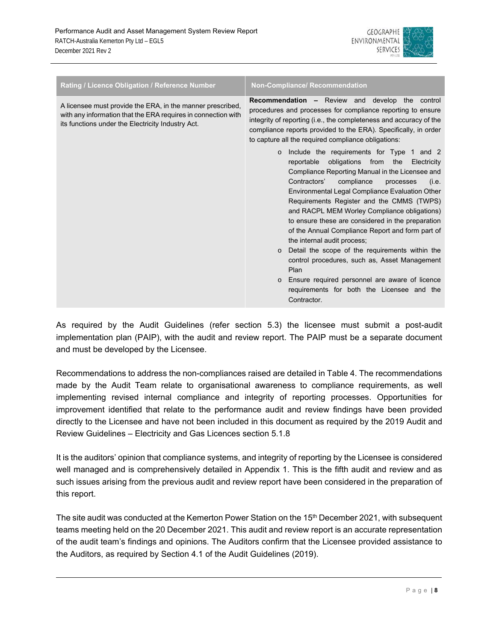

| Rating / Licence Obligation / Reference Number                                                                                                                                   | <b>Non-Compliance/ Recommendation</b>                                                                                                                                                                                                                                                                                                                                                                                                                                                                                                                                                                                                                                                                                                       |
|----------------------------------------------------------------------------------------------------------------------------------------------------------------------------------|---------------------------------------------------------------------------------------------------------------------------------------------------------------------------------------------------------------------------------------------------------------------------------------------------------------------------------------------------------------------------------------------------------------------------------------------------------------------------------------------------------------------------------------------------------------------------------------------------------------------------------------------------------------------------------------------------------------------------------------------|
| A licensee must provide the ERA, in the manner prescribed,<br>with any information that the ERA requires in connection with<br>its functions under the Electricity Industry Act. | <b>Recommendation -</b> Review and develop the control<br>procedures and processes for compliance reporting to ensure<br>integrity of reporting (i.e., the completeness and accuracy of the<br>compliance reports provided to the ERA). Specifically, in order<br>to capture all the required compliance obligations:                                                                                                                                                                                                                                                                                                                                                                                                                       |
|                                                                                                                                                                                  | Include the requirements for Type 1 and 2<br>$\circ$<br>reportable<br>obligations from the Electricity<br>Compliance Reporting Manual in the Licensee and<br>Contractors'<br>compliance<br>processes<br>(i.e.<br>Environmental Legal Compliance Evaluation Other<br>Requirements Register and the CMMS (TWPS)<br>and RACPL MEM Worley Compliance obligations)<br>to ensure these are considered in the preparation<br>of the Annual Compliance Report and form part of<br>the internal audit process;<br>Detail the scope of the requirements within the<br>$\circ$<br>control procedures, such as, Asset Management<br>Plan<br>Ensure required personnel are aware of licence<br>requirements for both the Licensee and the<br>Contractor. |

As required by the Audit Guidelines (refer section 5.3) the licensee must submit a post-audit implementation plan (PAIP), with the audit and review report. The PAIP must be a separate document and must be developed by the Licensee.

Recommendations to address the non-compliances raised are detailed in Table 4. The recommendations made by the Audit Team relate to organisational awareness to compliance requirements, as well implementing revised internal compliance and integrity of reporting processes. Opportunities for improvement identified that relate to the performance audit and review findings have been provided directly to the Licensee and have not been included in this document as required by the 2019 Audit and Review Guidelines – Electricity and Gas Licences section 5.1.8

It is the auditors' opinion that compliance systems, and integrity of reporting by the Licensee is considered well managed and is comprehensively detailed in Appendix 1. This is the fifth audit and review and as such issues arising from the previous audit and review report have been considered in the preparation of this report.

The site audit was conducted at the Kemerton Power Station on the 15<sup>th</sup> December 2021, with subsequent teams meeting held on the 20 December 2021. This audit and review report is an accurate representation of the audit team's findings and opinions. The Auditors confirm that the Licensee provided assistance to the Auditors, as required by Section 4.1 of the Audit Guidelines (2019).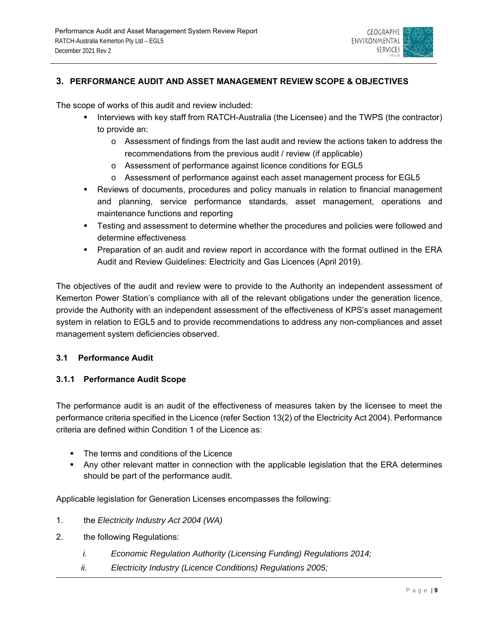

# **3. PERFORMANCE AUDIT AND ASSET MANAGEMENT REVIEW SCOPE & OBJECTIVES**

The scope of works of this audit and review included:

- Interviews with key staff from RATCH-Australia (the Licensee) and the TWPS (the contractor) to provide an:
	- o Assessment of findings from the last audit and review the actions taken to address the recommendations from the previous audit / review (if applicable)
	- o Assessment of performance against licence conditions for EGL5
	- o Assessment of performance against each asset management process for EGL5
- Reviews of documents, procedures and policy manuals in relation to financial management and planning, service performance standards, asset management, operations and maintenance functions and reporting
- **FALT** Testing and assessment to determine whether the procedures and policies were followed and determine effectiveness
- Preparation of an audit and review report in accordance with the format outlined in the ERA Audit and Review Guidelines: Electricity and Gas Licences (April 2019).

The objectives of the audit and review were to provide to the Authority an independent assessment of Kemerton Power Station's compliance with all of the relevant obligations under the generation licence, provide the Authority with an independent assessment of the effectiveness of KPS's asset management system in relation to EGL5 and to provide recommendations to address any non-compliances and asset management system deficiencies observed.

# **3.1 Performance Audit**

# **3.1.1 Performance Audit Scope**

The performance audit is an audit of the effectiveness of measures taken by the licensee to meet the performance criteria specified in the Licence (refer Section 13(2) of the Electricity Act 2004). Performance criteria are defined within Condition 1 of the Licence as:

- The terms and conditions of the Licence
- Any other relevant matter in connection with the applicable legislation that the ERA determines should be part of the performance audit.

Applicable legislation for Generation Licenses encompasses the following:

- 1. the *Electricity Industry Act 2004 (WA)*
- 2. the following Regulations:
	- *i. Economic Regulation Authority (Licensing Funding) Regulations 2014;*
	- *ii. Electricity Industry (Licence Conditions) Regulations 2005;*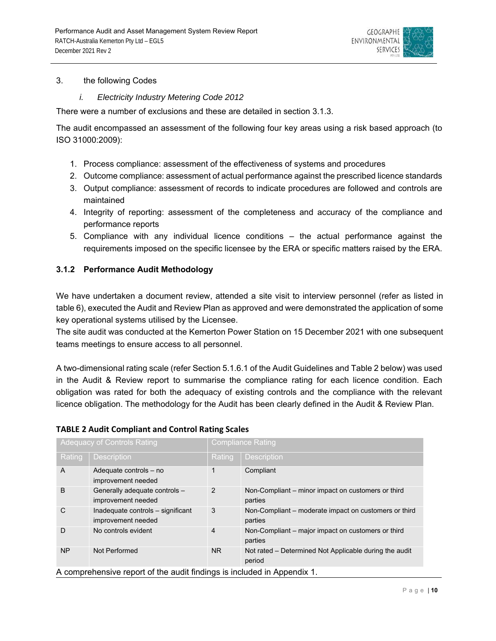

### 3. the following Codes

*i. Electricity Industry Metering Code 2012* 

There were a number of exclusions and these are detailed in section 3.1.3.

The audit encompassed an assessment of the following four key areas using a risk based approach (to ISO 31000:2009):

- 1. Process compliance: assessment of the effectiveness of systems and procedures
- 2. Outcome compliance: assessment of actual performance against the prescribed licence standards
- 3. Output compliance: assessment of records to indicate procedures are followed and controls are maintained
- 4. Integrity of reporting: assessment of the completeness and accuracy of the compliance and performance reports
- 5. Compliance with any individual licence conditions the actual performance against the requirements imposed on the specific licensee by the ERA or specific matters raised by the ERA.

# **3.1.2 Performance Audit Methodology**

We have undertaken a document review, attended a site visit to interview personnel (refer as listed in table 6), executed the Audit and Review Plan as approved and were demonstrated the application of some key operational systems utilised by the Licensee.

The site audit was conducted at the Kemerton Power Station on 15 December 2021 with one subsequent teams meetings to ensure access to all personnel.

A two-dimensional rating scale (refer Section 5.1.6.1 of the Audit Guidelines and Table 2 below) was used in the Audit & Review report to summarise the compliance rating for each licence condition. Each obligation was rated for both the adequacy of existing controls and the compliance with the relevant licence obligation. The methodology for the Audit has been clearly defined in the Audit & Review Plan.

# **TABLE 2 Audit Compliant and Control Rating Scales**

|           | <b>Adequacy of Controls Rating</b>                                      | <b>Compliance Rating</b> |                                                                  |  |  |  |
|-----------|-------------------------------------------------------------------------|--------------------------|------------------------------------------------------------------|--|--|--|
| Rating    | <b>Description</b>                                                      | Rating                   | <b>Description</b>                                               |  |  |  |
| A         | Adequate controls - no<br>improvement needed                            | 1                        | Compliant                                                        |  |  |  |
| B         | Generally adequate controls -<br>improvement needed                     | 2                        | Non-Compliant – minor impact on customers or third<br>parties    |  |  |  |
| C         | Inadequate controls - significant<br>improvement needed                 | 3                        | Non-Compliant - moderate impact on customers or third<br>parties |  |  |  |
| D         | No controls evident                                                     | $\overline{4}$           | Non-Compliant – major impact on customers or third<br>parties    |  |  |  |
| <b>NP</b> | Not Performed                                                           | N <sub>R</sub>           | Not rated - Determined Not Applicable during the audit<br>period |  |  |  |
|           | A comprehensive report of the audit findings is included in Appendix 1. |                          |                                                                  |  |  |  |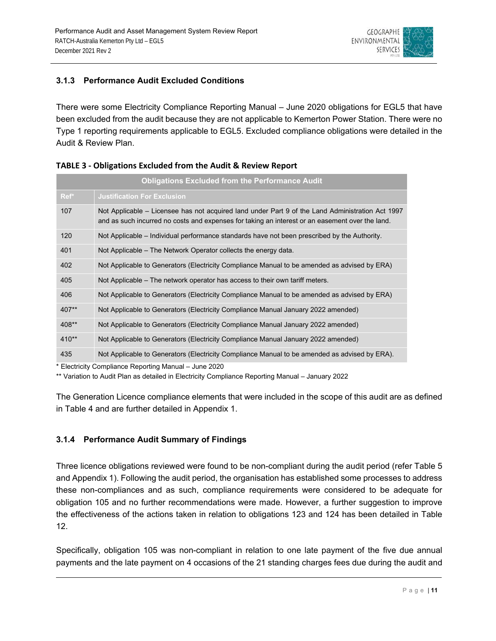

# **3.1.3 Performance Audit Excluded Conditions**

There were some Electricity Compliance Reporting Manual – June 2020 obligations for EGL5 that have been excluded from the audit because they are not applicable to Kemerton Power Station. There were no Type 1 reporting requirements applicable to EGL5. Excluded compliance obligations were detailed in the Audit & Review Plan.

|         | <b>Obligations Excluded from the Performance Audit</b>                                                                                                                                              |
|---------|-----------------------------------------------------------------------------------------------------------------------------------------------------------------------------------------------------|
| Ref*    | <b>Justification For Exclusion</b>                                                                                                                                                                  |
| 107     | Not Applicable – Licensee has not acquired land under Part 9 of the Land Administration Act 1997<br>and as such incurred no costs and expenses for taking an interest or an easement over the land. |
| 120     | Not Applicable – Individual performance standards have not been prescribed by the Authority.                                                                                                        |
| 401     | Not Applicable – The Network Operator collects the energy data.                                                                                                                                     |
| 402     | Not Applicable to Generators (Electricity Compliance Manual to be amended as advised by ERA)                                                                                                        |
| 405     | Not Applicable – The network operator has access to their own tariff meters.                                                                                                                        |
| 406     | Not Applicable to Generators (Electricity Compliance Manual to be amended as advised by ERA)                                                                                                        |
| 407**   | Not Applicable to Generators (Electricity Compliance Manual January 2022 amended)                                                                                                                   |
| 408**   | Not Applicable to Generators (Electricity Compliance Manual January 2022 amended)                                                                                                                   |
| $410**$ | Not Applicable to Generators (Electricity Compliance Manual January 2022 amended)                                                                                                                   |
| 435     | Not Applicable to Generators (Electricity Compliance Manual to be amended as advised by ERA).                                                                                                       |

|  |  | <b>TABLE 3 - Obligations Excluded from the Audit &amp; Review Report</b> |
|--|--|--------------------------------------------------------------------------|
|--|--|--------------------------------------------------------------------------|

\* Electricity Compliance Reporting Manual – June 2020

\*\* Variation to Audit Plan as detailed in Electricity Compliance Reporting Manual – January 2022

The Generation Licence compliance elements that were included in the scope of this audit are as defined in Table 4 and are further detailed in Appendix 1.

# **3.1.4 Performance Audit Summary of Findings**

Three licence obligations reviewed were found to be non-compliant during the audit period (refer Table 5 and Appendix 1). Following the audit period, the organisation has established some processes to address these non-compliances and as such, compliance requirements were considered to be adequate for obligation 105 and no further recommendations were made. However, a further suggestion to improve the effectiveness of the actions taken in relation to obligations 123 and 124 has been detailed in Table 12.

Specifically, obligation 105 was non-compliant in relation to one late payment of the five due annual payments and the late payment on 4 occasions of the 21 standing charges fees due during the audit and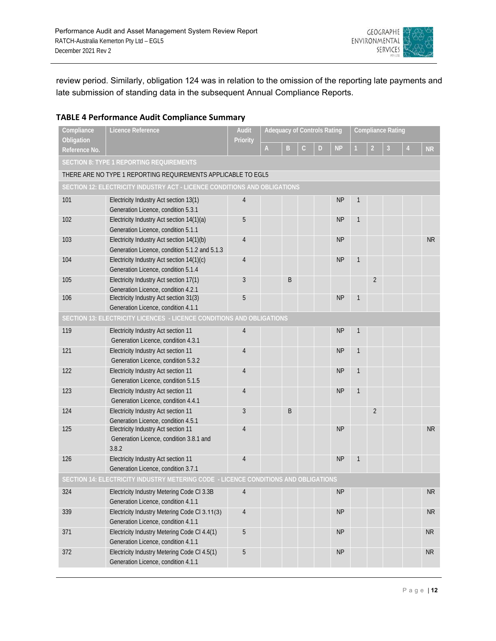

review period. Similarly, obligation 124 was in relation to the omission of the reporting late payments and late submission of standing data in the subsequent Annual Compliance Reports.

# **TABLE 4 Performance Audit Compliance Summary**

| Compliance<br>Obligation | Licence Reference                                                                   | <b>Audit</b><br><b>Priority</b> | <b>Adequacy of Controls Rating</b> |   |              | <b>Compliance Rating</b> |           |              |                |   |                |           |
|--------------------------|-------------------------------------------------------------------------------------|---------------------------------|------------------------------------|---|--------------|--------------------------|-----------|--------------|----------------|---|----------------|-----------|
| Reference No.            |                                                                                     |                                 | $\mathsf A$                        | B | $\mathsf{C}$ | D                        | <b>NP</b> |              | $\overline{2}$ | 3 | $\overline{4}$ | <b>NR</b> |
|                          | <b>SECTION 8: TYPE 1 REPORTING REQUIREMENTS</b>                                     |                                 |                                    |   |              |                          |           |              |                |   |                |           |
|                          | THERE ARE NO TYPE 1 REPORTING REQUIREMENTS APPLICABLE TO EGL5                       |                                 |                                    |   |              |                          |           |              |                |   |                |           |
|                          | SECTION 12: ELECTRICITY INDUSTRY ACT - LICENCE CONDITIONS AND OBLIGATIONS           |                                 |                                    |   |              |                          |           |              |                |   |                |           |
| 101                      | Electricity Industry Act section 13(1)                                              | $\overline{4}$                  |                                    |   |              |                          | <b>NP</b> | 1            |                |   |                |           |
|                          | Generation Licence, condition 5.3.1                                                 |                                 |                                    |   |              |                          |           |              |                |   |                |           |
| 102                      | Electricity Industry Act section 14(1)(a)                                           | 5                               |                                    |   |              |                          | <b>NP</b> | 1            |                |   |                |           |
|                          | Generation Licence, condition 5.1.1                                                 |                                 |                                    |   |              |                          |           |              |                |   |                |           |
| 103                      | Electricity Industry Act section 14(1)(b)                                           | $\overline{4}$                  |                                    |   |              |                          | <b>NP</b> |              |                |   |                | <b>NR</b> |
|                          | Generation Licence, condition 5.1.2 and 5.1.3                                       |                                 |                                    |   |              |                          |           |              |                |   |                |           |
| 104                      | Electricity Industry Act section 14(1)(c)                                           | $\overline{4}$                  |                                    |   |              |                          | <b>NP</b> | 1            |                |   |                |           |
|                          | Generation Licence, condition 5.1.4                                                 |                                 |                                    |   |              |                          |           |              |                |   |                |           |
| 105                      | Electricity Industry Act section 17(1)                                              | 3                               |                                    | B |              |                          |           |              | $\overline{2}$ |   |                |           |
|                          | Generation Licence, condition 4.2.1                                                 |                                 |                                    |   |              |                          |           |              |                |   |                |           |
| 106                      | Electricity Industry Act section 31(3)                                              | 5                               |                                    |   |              |                          | NP        | 1            |                |   |                |           |
|                          | Generation Licence, condition 4.1.1                                                 |                                 |                                    |   |              |                          |           |              |                |   |                |           |
|                          | SECTION 13: ELECTRICITY LICENCES - LICENCE CONDITIONS AND OBLIGATIONS               |                                 |                                    |   |              |                          |           |              |                |   |                |           |
| 119                      | Electricity Industry Act section 11                                                 | $\overline{4}$                  |                                    |   |              |                          | <b>NP</b> | 1            |                |   |                |           |
|                          | Generation Licence, condition 4.3.1                                                 |                                 |                                    |   |              |                          |           |              |                |   |                |           |
| 121                      | Electricity Industry Act section 11                                                 | $\overline{4}$                  |                                    |   |              |                          | <b>NP</b> | 1            |                |   |                |           |
|                          | Generation Licence, condition 5.3.2                                                 |                                 |                                    |   |              |                          |           |              |                |   |                |           |
| 122                      | Electricity Industry Act section 11                                                 | $\overline{4}$                  |                                    |   |              |                          | <b>NP</b> | $\mathbf{1}$ |                |   |                |           |
|                          | Generation Licence, condition 5.1.5                                                 |                                 |                                    |   |              |                          |           |              |                |   |                |           |
| 123                      | Electricity Industry Act section 11                                                 | $\overline{4}$                  |                                    |   |              |                          | <b>NP</b> | 1            |                |   |                |           |
|                          | Generation Licence, condition 4.4.1                                                 |                                 |                                    |   |              |                          |           |              |                |   |                |           |
| 124                      | Electricity Industry Act section 11                                                 | 3                               |                                    | B |              |                          |           |              | $\overline{2}$ |   |                |           |
|                          | Generation Licence, condition 4.5.1                                                 |                                 |                                    |   |              |                          |           |              |                |   |                |           |
| 125                      | Electricity Industry Act section 11                                                 | $\overline{4}$                  |                                    |   |              |                          | <b>NP</b> |              |                |   |                | <b>NR</b> |
|                          | Generation Licence, condition 3.8.1 and                                             |                                 |                                    |   |              |                          |           |              |                |   |                |           |
|                          | 3.8.2                                                                               |                                 |                                    |   |              |                          |           |              |                |   |                |           |
| 126                      | Electricity Industry Act section 11                                                 | 4                               |                                    |   |              |                          | <b>NP</b> | 1            |                |   |                |           |
|                          | Generation Licence, condition 3.7.1                                                 |                                 |                                    |   |              |                          |           |              |                |   |                |           |
|                          | SECTION 14: ELECTRICITY INDUSTRY METERING CODE - LICENCE CONDITIONS AND OBLIGATIONS |                                 |                                    |   |              |                          |           |              |                |   |                |           |
| 324                      | Electricity Industry Metering Code CI 3.3B                                          | $\overline{4}$                  |                                    |   |              |                          | <b>NP</b> |              |                |   |                | <b>NR</b> |
|                          | Generation Licence, condition 4.1.1                                                 |                                 |                                    |   |              |                          |           |              |                |   |                |           |
| 339                      | Electricity Industry Metering Code CI 3.11(3)                                       | $\overline{4}$                  |                                    |   |              |                          | <b>NP</b> |              |                |   |                | <b>NR</b> |
|                          | Generation Licence, condition 4.1.1                                                 |                                 |                                    |   |              |                          |           |              |                |   |                |           |
| 371                      | Electricity Industry Metering Code CI 4.4(1)                                        | 5                               |                                    |   |              |                          | <b>NP</b> |              |                |   |                | <b>NR</b> |
|                          | Generation Licence, condition 4.1.1                                                 |                                 |                                    |   |              |                          |           |              |                |   |                |           |
| 372                      | Electricity Industry Metering Code CI 4.5(1)                                        | 5                               |                                    |   |              |                          | <b>NP</b> |              |                |   |                | <b>NR</b> |
|                          | Generation Licence, condition 4.1.1                                                 |                                 |                                    |   |              |                          |           |              |                |   |                |           |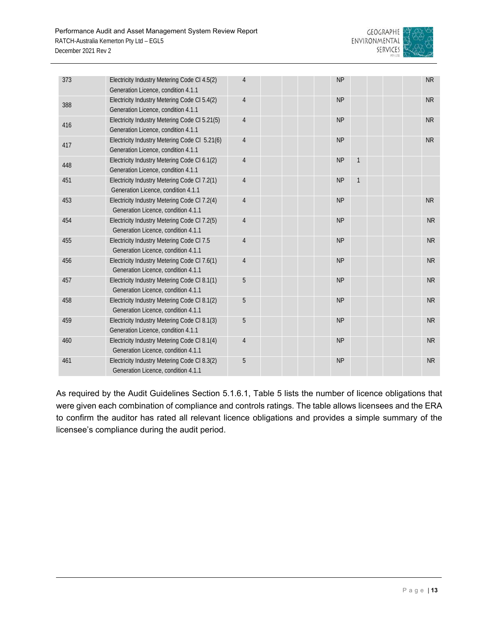

| 373 | Electricity Industry Metering Code CI 4.5(2)<br>Generation Licence, condition 4.1.1  | $\overline{4}$ | <b>NP</b> |   | <b>NR</b>      |
|-----|--------------------------------------------------------------------------------------|----------------|-----------|---|----------------|
| 388 | Electricity Industry Metering Code CI 5.4(2)<br>Generation Licence, condition 4.1.1  | $\overline{4}$ | <b>NP</b> |   | <b>NR</b>      |
| 416 | Electricity Industry Metering Code CI 5.21(5)<br>Generation Licence, condition 4.1.1 | $\overline{4}$ | <b>NP</b> |   | <b>NR</b>      |
| 417 | Electricity Industry Metering Code CI 5.21(6)<br>Generation Licence, condition 4.1.1 | $\overline{4}$ | <b>NP</b> |   | <b>NR</b>      |
| 448 | Electricity Industry Metering Code CI 6.1(2)<br>Generation Licence, condition 4.1.1  | $\overline{4}$ | <b>NP</b> | 1 |                |
| 451 | Electricity Industry Metering Code CI 7.2(1)<br>Generation Licence, condition 4.1.1  | $\overline{4}$ | <b>NP</b> | 1 |                |
| 453 | Electricity Industry Metering Code Cl 7.2(4)<br>Generation Licence, condition 4.1.1  | $\overline{4}$ | <b>NP</b> |   | N <sub>R</sub> |
| 454 | Electricity Industry Metering Code CI 7.2(5)<br>Generation Licence, condition 4.1.1  | $\overline{4}$ | <b>NP</b> |   | <b>NR</b>      |
| 455 | Electricity Industry Metering Code CI 7.5<br>Generation Licence, condition 4.1.1     | $\overline{4}$ | <b>NP</b> |   | <b>NR</b>      |
| 456 | Electricity Industry Metering Code CI 7.6(1)<br>Generation Licence, condition 4.1.1  | $\overline{4}$ | <b>NP</b> |   | <b>NR</b>      |
| 457 | Electricity Industry Metering Code CI 8.1(1)<br>Generation Licence, condition 4.1.1  | 5              | <b>NP</b> |   | <b>NR</b>      |
| 458 | Electricity Industry Metering Code CI 8.1(2)<br>Generation Licence, condition 4.1.1  | 5              | <b>NP</b> |   | <b>NR</b>      |
| 459 | Electricity Industry Metering Code CI 8.1(3)<br>Generation Licence, condition 4.1.1  | 5              | <b>NP</b> |   | <b>NR</b>      |
| 460 | Electricity Industry Metering Code CI 8.1(4)<br>Generation Licence, condition 4.1.1  | $\overline{4}$ | <b>NP</b> |   | <b>NR</b>      |
| 461 | Electricity Industry Metering Code CI 8.3(2)<br>Generation Licence, condition 4.1.1  | 5              | <b>NP</b> |   | <b>NR</b>      |

As required by the Audit Guidelines Section 5.1.6.1, Table 5 lists the number of licence obligations that were given each combination of compliance and controls ratings. The table allows licensees and the ERA to confirm the auditor has rated all relevant licence obligations and provides a simple summary of the licensee's compliance during the audit period.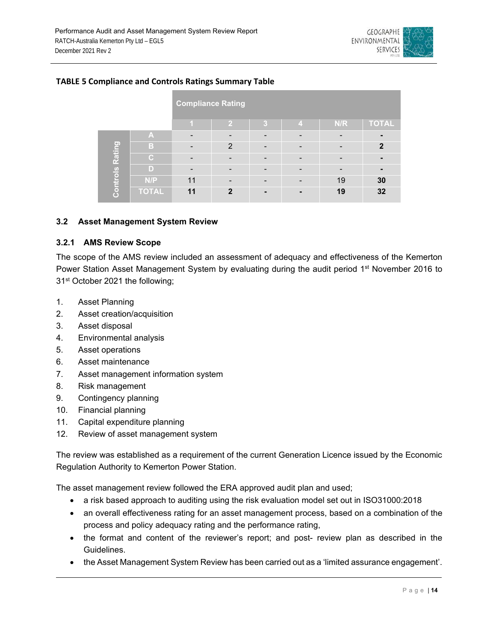

|                        |              | <b>Compliance Rating</b> |               |   |   |     |              |
|------------------------|--------------|--------------------------|---------------|---|---|-----|--------------|
|                        |              |                          | 2             | 3 | 4 | N/R | <b>TOTAL</b> |
|                        | A            |                          |               |   |   |     |              |
| <b>Controls Rating</b> | в            |                          | $\mathcal{P}$ |   |   |     | $\mathbf{2}$ |
|                        | C.           |                          |               |   |   |     |              |
|                        | D)           | -                        |               |   |   |     |              |
|                        | N/P          | 11                       |               |   |   | 19  | 30           |
|                        | <b>TOTAL</b> | 11                       | $\mathbf{2}$  |   |   | 19  | 32           |

# **TABLE 5 Compliance and Controls Ratings Summary Table**

#### **3.2 Asset Management System Review**

# **3.2.1 AMS Review Scope**

The scope of the AMS review included an assessment of adequacy and effectiveness of the Kemerton Power Station Asset Management System by evaluating during the audit period 1<sup>st</sup> November 2016 to 31<sup>st</sup> October 2021 the following;

- 1. Asset Planning
- 2. Asset creation/acquisition
- 3. Asset disposal
- 4. Environmental analysis
- 5. Asset operations
- 6. Asset maintenance
- 7. Asset management information system
- 8. Risk management
- 9. Contingency planning
- 10. Financial planning
- 11. Capital expenditure planning
- 12. Review of asset management system

The review was established as a requirement of the current Generation Licence issued by the Economic Regulation Authority to Kemerton Power Station.

The asset management review followed the ERA approved audit plan and used;

- a risk based approach to auditing using the risk evaluation model set out in ISO31000:2018
- an overall effectiveness rating for an asset management process, based on a combination of the process and policy adequacy rating and the performance rating,
- the format and content of the reviewer's report; and post- review plan as described in the Guidelines.
- the Asset Management System Review has been carried out as a 'limited assurance engagement'.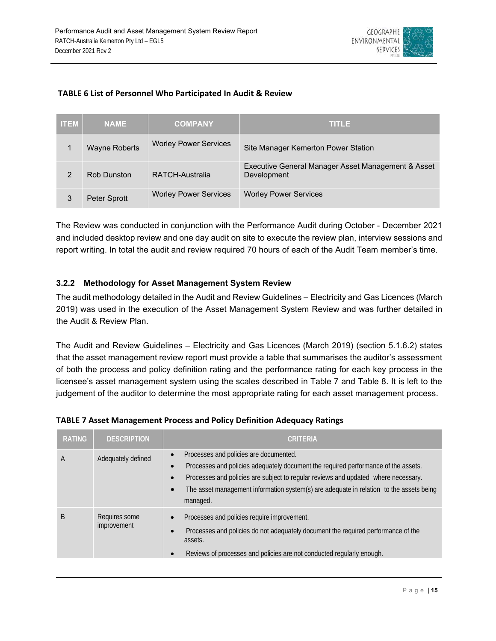

# **TABLE 6 List of Personnel Who Participated In Audit & Review**

| <b>ITEM</b> | <b>NAME</b>          | <b>COMPANY</b>               | <b>TITLE</b>                                                      |
|-------------|----------------------|------------------------------|-------------------------------------------------------------------|
|             | <b>Wayne Roberts</b> | <b>Worley Power Services</b> | Site Manager Kemerton Power Station                               |
|             | <b>Rob Dunston</b>   | RATCH-Australia              | Executive General Manager Asset Management & Asset<br>Development |
| 3           | Peter Sprott         | <b>Worley Power Services</b> | <b>Worley Power Services</b>                                      |

The Review was conducted in conjunction with the Performance Audit during October - December 2021 and included desktop review and one day audit on site to execute the review plan, interview sessions and report writing. In total the audit and review required 70 hours of each of the Audit Team member's time.

# **3.2.2 Methodology for Asset Management System Review**

The audit methodology detailed in the Audit and Review Guidelines – Electricity and Gas Licences (March 2019) was used in the execution of the Asset Management System Review and was further detailed in the Audit & Review Plan.

The Audit and Review Guidelines – Electricity and Gas Licences (March 2019) (section 5.1.6.2) states that the asset management review report must provide a table that summarises the auditor's assessment of both the process and policy definition rating and the performance rating for each key process in the licensee's asset management system using the scales described in Table 7 and Table 8. It is left to the judgement of the auditor to determine the most appropriate rating for each asset management process.

| <b>RATING</b> | <b>DESCRIPTION</b>           | <b>CRITERIA</b>                                                                                                                                                                                                                                                                                                                                                  |
|---------------|------------------------------|------------------------------------------------------------------------------------------------------------------------------------------------------------------------------------------------------------------------------------------------------------------------------------------------------------------------------------------------------------------|
| А             | Adequately defined           | Processes and policies are documented.<br>$\bullet$<br>Processes and policies adequately document the required performance of the assets.<br>Processes and policies are subject to regular reviews and updated where necessary.<br>$\bullet$<br>The asset management information system(s) are adequate in relation to the assets being<br>$\bullet$<br>managed. |
| B             | Requires some<br>improvement | Processes and policies require improvement.<br>$\bullet$<br>Processes and policies do not adequately document the required performance of the<br>$\bullet$<br>assets.<br>Reviews of processes and policies are not conducted regularly enough.<br>$\bullet$                                                                                                      |

# **TABLE 7 Asset Management Process and Policy Definition Adequacy Ratings**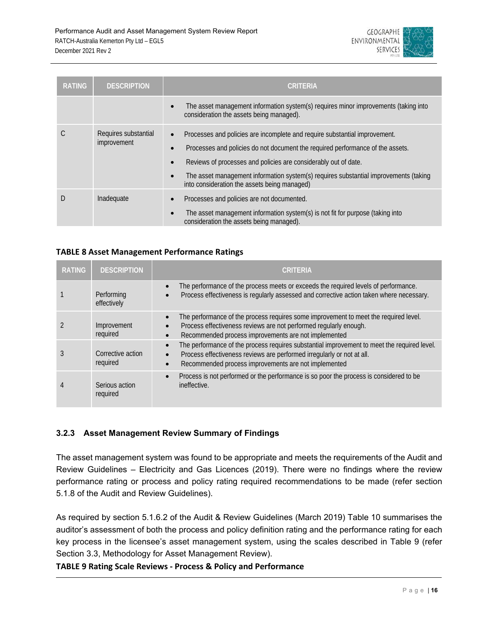

| <b>RATING</b> | <b>DESCRIPTION</b>                  | CRITERIA                                                                                                                                                                                                                                                                                                                                                                                                                    |
|---------------|-------------------------------------|-----------------------------------------------------------------------------------------------------------------------------------------------------------------------------------------------------------------------------------------------------------------------------------------------------------------------------------------------------------------------------------------------------------------------------|
|               |                                     | The asset management information system(s) requires minor improvements (taking into<br>$\bullet$<br>consideration the assets being managed).                                                                                                                                                                                                                                                                                |
|               | Requires substantial<br>improvement | Processes and policies are incomplete and require substantial improvement.<br>$\bullet$<br>Processes and policies do not document the required performance of the assets.<br>$\bullet$<br>Reviews of processes and policies are considerably out of date.<br>$\bullet$<br>The asset management information system(s) requires substantial improvements (taking<br>$\bullet$<br>into consideration the assets being managed) |
|               | Inadequate                          | Processes and policies are not documented.<br>The asset management information system(s) is not fit for purpose (taking into<br>$\bullet$<br>consideration the assets being managed).                                                                                                                                                                                                                                       |

# **TABLE 8 Asset Management Performance Ratings**

| <b>RATING</b> | <b>DESCRIPTION</b>            | <b>CRITERIA</b>                                                                                                                                                                                                                |
|---------------|-------------------------------|--------------------------------------------------------------------------------------------------------------------------------------------------------------------------------------------------------------------------------|
|               | Performing<br>effectively     | The performance of the process meets or exceeds the required levels of performance.<br>Process effectiveness is regularly assessed and corrective action taken where necessary.<br>$\bullet$                                   |
|               | Improvement<br>required       | The performance of the process requires some improvement to meet the required level.<br>Process effectiveness reviews are not performed regularly enough.<br>$\bullet$<br>Recommended process improvements are not implemented |
|               | Corrective action<br>required | The performance of the process requires substantial improvement to meet the required level.<br>Process effectiveness reviews are performed irregularly or not at all.<br>Recommended process improvements are not implemented  |
|               | Serious action<br>required    | Process is not performed or the performance is so poor the process is considered to be<br>$\bullet$<br>ineffective.                                                                                                            |

# **3.2.3 Asset Management Review Summary of Findings**

The asset management system was found to be appropriate and meets the requirements of the Audit and Review Guidelines – Electricity and Gas Licences (2019). There were no findings where the review performance rating or process and policy rating required recommendations to be made (refer section 5.1.8 of the Audit and Review Guidelines).

As required by section 5.1.6.2 of the Audit & Review Guidelines (March 2019) Table 10 summarises the auditor's assessment of both the process and policy definition rating and the performance rating for each key process in the licensee's asset management system, using the scales described in Table 9 (refer Section 3.3, Methodology for Asset Management Review).

# **TABLE 9 Rating Scale Reviews ‐ Process & Policy and Performance**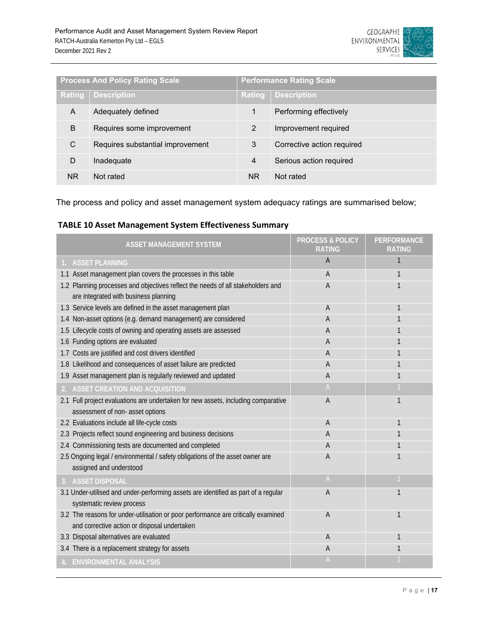

| <b>Process And Policy Rating Scale</b> |                                  | <b>Performance Rating Scale</b> |                            |
|----------------------------------------|----------------------------------|---------------------------------|----------------------------|
| Rating                                 | <b>Description</b>               | Rating                          | <b>Description</b>         |
| A                                      | Adequately defined               |                                 | Performing effectively     |
| B                                      | Requires some improvement        | $\mathcal{P}$                   | Improvement required       |
| C                                      | Requires substantial improvement | 3                               | Corrective action required |
| D                                      | Inadequate                       | 4                               | Serious action required    |
| ΝR                                     | Not rated                        | ΝR                              | Not rated                  |

The process and policy and asset management system adequacy ratings are summarised below;

# **TABLE 10 Asset Management System Effectiveness Summary**

| <b>ASSET MANAGEMENT SYSTEM</b>                                                                                                    | <b>PROCESS &amp; POLICY</b><br><b>RATING</b> | <b>PERFORMANCE</b><br>RATING |
|-----------------------------------------------------------------------------------------------------------------------------------|----------------------------------------------|------------------------------|
| 1. ASSET PLANNING                                                                                                                 | A                                            |                              |
| 1.1 Asset management plan covers the processes in this table                                                                      | A                                            |                              |
| 1.2 Planning processes and objectives reflect the needs of all stakeholders and<br>are integrated with business planning          | A                                            |                              |
| 1.3 Service levels are defined in the asset management plan                                                                       | $\overline{A}$                               |                              |
| 1.4 Non-asset options (e.g. demand management) are considered                                                                     | A                                            |                              |
| 1.5 Lifecycle costs of owning and operating assets are assessed                                                                   | A                                            |                              |
| 1.6 Funding options are evaluated                                                                                                 | A                                            |                              |
| 1.7 Costs are justified and cost drivers identified                                                                               | $\overline{A}$                               |                              |
| 1.8 Likelihood and consequences of asset failure are predicted                                                                    | A                                            |                              |
| 1.9 Asset management plan is regularly reviewed and updated                                                                       | A                                            |                              |
| <b>ASSET CREATION AND ACQUISITION</b>                                                                                             | $\mathsf{A}$                                 |                              |
| 2.1 Full project evaluations are undertaken for new assets, including comparative                                                 | A                                            | 1                            |
| assessment of non- asset options                                                                                                  |                                              |                              |
| 2.2 Evaluations include all life-cycle costs                                                                                      | $\overline{A}$                               | 1                            |
| 2.3 Projects reflect sound engineering and business decisions                                                                     | $\overline{A}$                               |                              |
| 2.4 Commissioning tests are documented and completed                                                                              | A                                            |                              |
| 2.5 Ongoing legal / environmental / safety obligations of the asset owner are<br>assigned and understood                          | $\overline{A}$                               |                              |
| 3. ASSET DISPOSAL                                                                                                                 | $\mathsf{A}$                                 |                              |
| 3.1 Under-utilised and under-performing assets are identified as part of a regular<br>systematic review process                   | $\mathsf{A}$                                 | 1                            |
| 3.2 The reasons for under-utilisation or poor performance are critically examined<br>and corrective action or disposal undertaken | A                                            | 1                            |
| 3.3 Disposal alternatives are evaluated                                                                                           | A                                            |                              |
| 3.4 There is a replacement strategy for assets                                                                                    | A                                            |                              |
| 4. ENVIRONMENTAL ANALYSIS                                                                                                         | $\mathsf{A}$                                 |                              |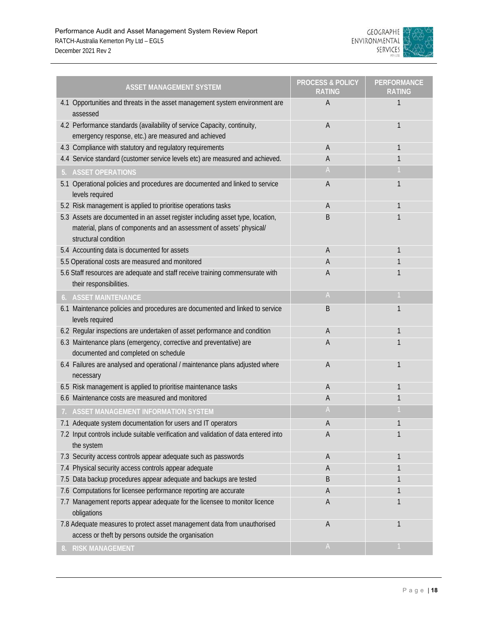

| <b>ASSET MANAGEMENT SYSTEM</b>                                                                                                                                                 | <b>PROCESS &amp; POLICY</b><br>RATING | <b>PERFORMANCE</b><br>RATING |
|--------------------------------------------------------------------------------------------------------------------------------------------------------------------------------|---------------------------------------|------------------------------|
| 4.1 Opportunities and threats in the asset management system environment are<br>assessed                                                                                       | A                                     |                              |
| 4.2 Performance standards (availability of service Capacity, continuity,                                                                                                       | Α                                     | 1                            |
| emergency response, etc.) are measured and achieved                                                                                                                            |                                       |                              |
| 4.3 Compliance with statutory and regulatory requirements                                                                                                                      | A                                     | 1                            |
| 4.4 Service standard (customer service levels etc) are measured and achieved.                                                                                                  | А                                     | 1                            |
| <b>ASSET OPERATIONS</b>                                                                                                                                                        | A                                     |                              |
| 5.1 Operational policies and procedures are documented and linked to service<br>levels required                                                                                | A                                     | 1                            |
| 5.2 Risk management is applied to prioritise operations tasks                                                                                                                  | A                                     | 1                            |
| 5.3 Assets are documented in an asset register including asset type, location,<br>material, plans of components and an assessment of assets' physical/<br>structural condition | B                                     |                              |
| 5.4 Accounting data is documented for assets                                                                                                                                   | А                                     | 1                            |
| 5.5 Operational costs are measured and monitored                                                                                                                               | А                                     |                              |
| 5.6 Staff resources are adequate and staff receive training commensurate with<br>their responsibilities.                                                                       | А                                     |                              |
| 6. ASSET MAINTENANCE                                                                                                                                                           | $\mathsf{A}$                          |                              |
| 6.1 Maintenance policies and procedures are documented and linked to service<br>levels required                                                                                | B                                     | 1                            |
| 6.2 Regular inspections are undertaken of asset performance and condition                                                                                                      | A                                     | 1                            |
| 6.3 Maintenance plans (emergency, corrective and preventative) are<br>documented and completed on schedule                                                                     | Α                                     |                              |
| 6.4 Failures are analysed and operational / maintenance plans adjusted where<br>necessary                                                                                      | A                                     | 1                            |
| 6.5 Risk management is applied to prioritise maintenance tasks                                                                                                                 | A                                     | 1                            |
| 6.6 Maintenance costs are measured and monitored                                                                                                                               | А                                     | 1                            |
| 7. ASSET MANAGEMENT INFORMATION SYSTEM                                                                                                                                         | $\mathsf{A}$                          |                              |
| 7.1 Adequate system documentation for users and IT operators                                                                                                                   | A                                     | 1                            |
| 7.2 Input controls include suitable verification and validation of data entered into<br>the system                                                                             | Α                                     | 1                            |
| 7.3 Security access controls appear adequate such as passwords                                                                                                                 | A                                     |                              |
| 7.4 Physical security access controls appear adequate                                                                                                                          | А                                     |                              |
| 7.5 Data backup procedures appear adequate and backups are tested                                                                                                              | B                                     |                              |
| 7.6 Computations for licensee performance reporting are accurate                                                                                                               | Α                                     | 1                            |
| 7.7 Management reports appear adequate for the licensee to monitor licence<br>obligations                                                                                      | А                                     |                              |
| 7.8 Adequate measures to protect asset management data from unauthorised<br>access or theft by persons outside the organisation                                                | A                                     | 1                            |
| <b>RISK MANAGEMENT</b><br>8.                                                                                                                                                   | $\mathsf{A}$                          |                              |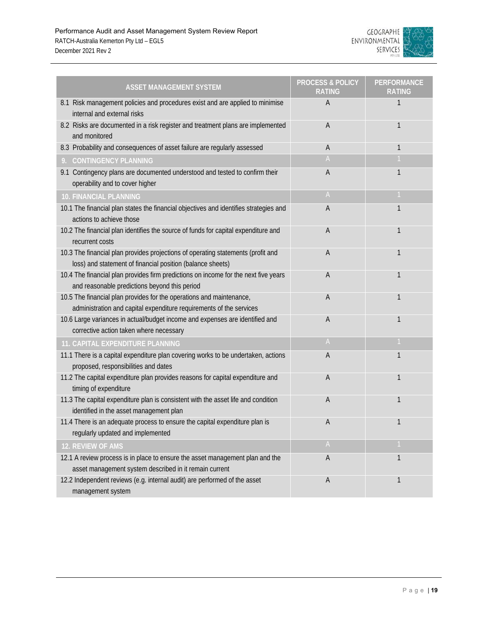

| <b>ASSET MANAGEMENT SYSTEM</b>                                                                                                                 | <b>PROCESS &amp; POLICY</b><br><b>RATING</b> | <b>PERFORMANCE</b><br>RATING |
|------------------------------------------------------------------------------------------------------------------------------------------------|----------------------------------------------|------------------------------|
| 8.1 Risk management policies and procedures exist and are applied to minimise<br>internal and external risks                                   | A                                            | 1                            |
| 8.2 Risks are documented in a risk register and treatment plans are implemented<br>and monitored                                               | A                                            | 1                            |
| 8.3 Probability and consequences of asset failure are regularly assessed                                                                       | A                                            | 1                            |
| <b>CONTINGENCY PLANNING</b><br>9.                                                                                                              | A                                            |                              |
| 9.1 Contingency plans are documented understood and tested to confirm their<br>operability and to cover higher                                 | А                                            | 1                            |
| <b>10. FINANCIAL PLANNING</b>                                                                                                                  | A                                            |                              |
| 10.1 The financial plan states the financial objectives and identifies strategies and<br>actions to achieve those                              | A                                            | 1                            |
| 10.2 The financial plan identifies the source of funds for capital expenditure and<br>recurrent costs                                          | А                                            | 1                            |
| 10.3 The financial plan provides projections of operating statements (profit and<br>loss) and statement of financial position (balance sheets) | А                                            | 1                            |
| 10.4 The financial plan provides firm predictions on income for the next five years<br>and reasonable predictions beyond this period           | Α                                            | 1                            |
| 10.5 The financial plan provides for the operations and maintenance,<br>administration and capital expenditure requirements of the services    | А                                            | 1                            |
| 10.6 Large variances in actual/budget income and expenses are identified and<br>corrective action taken where necessary                        | A                                            | 1                            |
| 11. CAPITAL EXPENDITURE PLANNING                                                                                                               | $\mathsf A$                                  |                              |
| 11.1 There is a capital expenditure plan covering works to be undertaken, actions<br>proposed, responsibilities and dates                      | А                                            | $\mathbf{1}$                 |
| 11.2 The capital expenditure plan provides reasons for capital expenditure and<br>timing of expenditure                                        | A                                            | 1                            |
| 11.3 The capital expenditure plan is consistent with the asset life and condition<br>identified in the asset management plan                   | A                                            | 1                            |
| 11.4 There is an adequate process to ensure the capital expenditure plan is<br>regularly updated and implemented                               | Α                                            | 1                            |
| 12. REVIEW OF AMS                                                                                                                              | $\mathsf A$                                  |                              |
| 12.1 A review process is in place to ensure the asset management plan and the<br>asset management system described in it remain current        | А                                            | 1                            |
| 12.2 Independent reviews (e.g. internal audit) are performed of the asset<br>management system                                                 | Α                                            | 1                            |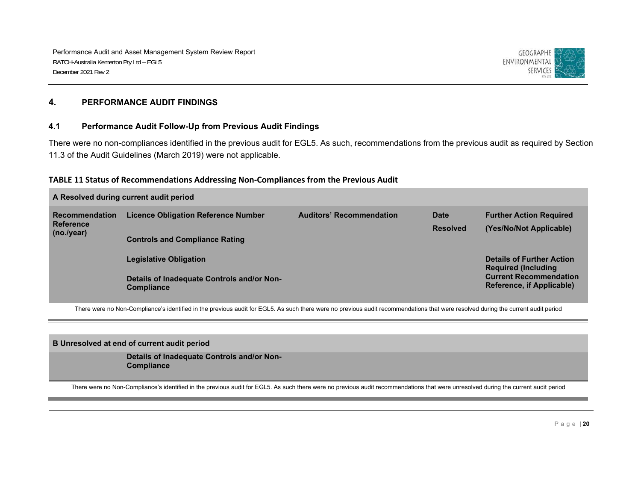

#### **4. PERFORMANCE AUDIT FINDINGS**

#### **4.1 Performance Audit Follow-Up from Previous Audit Findings**

There were no non-compliances identified in the previous audit for EGL5. As such, recommendations from the previous audit as required by Section 11.3 of the Audit Guidelines (March 2019) were not applicable.

#### **TABLE 11 Status of Recommendations Addressing Non‐Compliances from the Previous Audit**

| A Resolved during current audit period |                                                                 |                                 |                 |                                                                 |  |  |
|----------------------------------------|-----------------------------------------------------------------|---------------------------------|-----------------|-----------------------------------------------------------------|--|--|
| <b>Recommendation</b>                  | <b>Licence Obligation Reference Number</b>                      | <b>Auditors' Recommendation</b> | Date            | <b>Further Action Required</b>                                  |  |  |
| <b>Reference</b><br>(no./year)         |                                                                 |                                 | <b>Resolved</b> | (Yes/No/Not Applicable)                                         |  |  |
|                                        | <b>Controls and Compliance Rating</b>                           |                                 |                 |                                                                 |  |  |
|                                        | <b>Legislative Obligation</b>                                   |                                 |                 | <b>Details of Further Action</b><br><b>Required (Including)</b> |  |  |
|                                        | Details of Inadequate Controls and/or Non-<br><b>Compliance</b> |                                 |                 | <b>Current Recommendation</b><br>Reference, if Applicable)      |  |  |

There were no Non-Compliance's identified in the previous audit for EGL5. As such there were no previous audit recommendations that were resolved during the current audit period

**B Unresolved at end of current audit period** 

**Details of Inadequate Controls and/or Non-Compliance** 

There were no Non-Compliance's identified in the previous audit for EGL5. As such there were no previous audit recommendations that were unresolved during the current audit period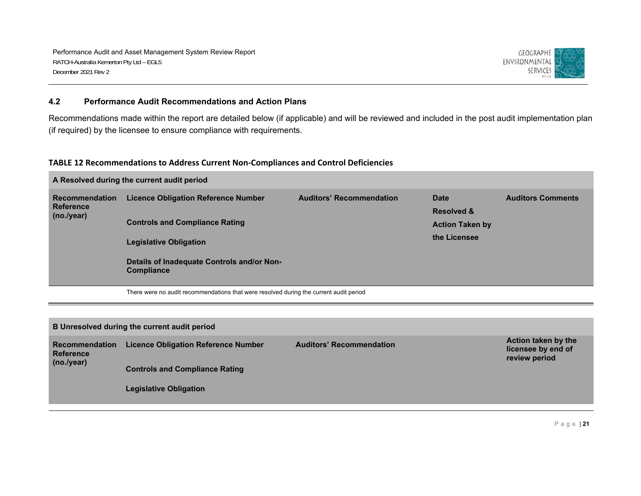

#### **4.2 Performance Audit Recommendations and Action Plans**

Recommendations made within the report are detailed below (if applicable) and will be reviewed and included in the post audit implementation plan (if required) by the licensee to ensure compliance with requirements.

#### **TABLE 12 Recommendations to Address Current Non‐Compliances and Control Deficiencies**

| A Resolved during the current audit period |                                                                 |                                 |                        |                          |  |  |  |
|--------------------------------------------|-----------------------------------------------------------------|---------------------------------|------------------------|--------------------------|--|--|--|
| <b>Recommendation</b>                      | <b>Licence Obligation Reference Number</b>                      | <b>Auditors' Recommendation</b> | Date                   | <b>Auditors Comments</b> |  |  |  |
| <b>Reference</b><br>(no./year)             |                                                                 |                                 | <b>Resolved &amp;</b>  |                          |  |  |  |
|                                            | <b>Controls and Compliance Rating</b>                           |                                 | <b>Action Taken by</b> |                          |  |  |  |
|                                            | <b>Legislative Obligation</b>                                   |                                 | the Licensee           |                          |  |  |  |
|                                            | Details of Inadequate Controls and/or Non-<br><b>Compliance</b> |                                 |                        |                          |  |  |  |

There were no audit recommendations that were resolved during the current audit period

| B Unresolved during the current audit period            |                                            |                                 |                                                            |  |  |  |
|---------------------------------------------------------|--------------------------------------------|---------------------------------|------------------------------------------------------------|--|--|--|
| <b>Recommendation</b><br><b>Reference</b><br>(no./year) | <b>Licence Obligation Reference Number</b> | <b>Auditors' Recommendation</b> | Action taken by the<br>licensee by end of<br>review period |  |  |  |
|                                                         | <b>Controls and Compliance Rating</b>      |                                 |                                                            |  |  |  |
|                                                         | <b>Legislative Obligation</b>              |                                 |                                                            |  |  |  |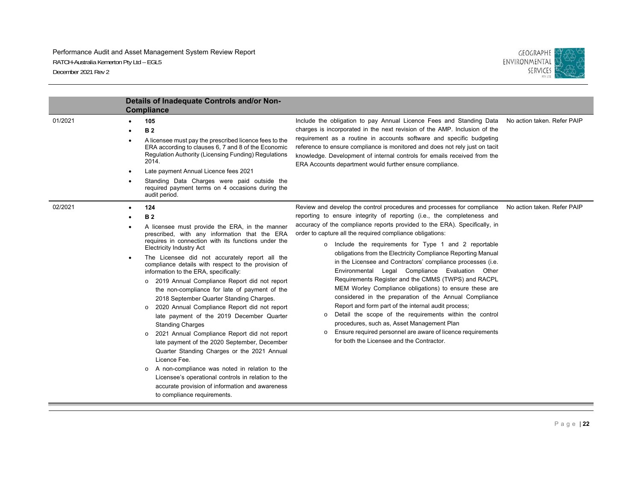#### Performance Audit and Asset Management System Review Report RATCH-Australia Kemerton Pty Ltd – EGL5 December 2021 Rev 2



|         | Details of Inadequate Controls and/or Non-<br><b>Compliance</b>                                                                                                                                                                                                                                                                                                                                                                                                                                                                                                                                                                                                                                                                                                                                                                                                                                                                                                                                           |                                                                                                                                                                                                                                                                                                                                                                                                                                                                                                                                                                                                                                                                                                                                                                                                                                                                                                                                                                                                                     |                             |
|---------|-----------------------------------------------------------------------------------------------------------------------------------------------------------------------------------------------------------------------------------------------------------------------------------------------------------------------------------------------------------------------------------------------------------------------------------------------------------------------------------------------------------------------------------------------------------------------------------------------------------------------------------------------------------------------------------------------------------------------------------------------------------------------------------------------------------------------------------------------------------------------------------------------------------------------------------------------------------------------------------------------------------|---------------------------------------------------------------------------------------------------------------------------------------------------------------------------------------------------------------------------------------------------------------------------------------------------------------------------------------------------------------------------------------------------------------------------------------------------------------------------------------------------------------------------------------------------------------------------------------------------------------------------------------------------------------------------------------------------------------------------------------------------------------------------------------------------------------------------------------------------------------------------------------------------------------------------------------------------------------------------------------------------------------------|-----------------------------|
| 01/2021 | 105<br><b>B2</b><br>A licensee must pay the prescribed licence fees to the<br>ERA according to clauses 6, 7 and 8 of the Economic<br>Regulation Authority (Licensing Funding) Regulations<br>2014.<br>Late payment Annual Licence fees 2021<br>Standing Data Charges were paid outside the<br>required payment terms on 4 occasions during the<br>audit period.                                                                                                                                                                                                                                                                                                                                                                                                                                                                                                                                                                                                                                           | Include the obligation to pay Annual Licence Fees and Standing Data<br>charges is incorporated in the next revision of the AMP. Inclusion of the<br>requirement as a routine in accounts software and specific budgeting<br>reference to ensure compliance is monitored and does not rely just on tacit<br>knowledge. Development of internal controls for emails received from the<br>ERA Accounts department would further ensure compliance.                                                                                                                                                                                                                                                                                                                                                                                                                                                                                                                                                                     | No action taken. Refer PAIP |
| 02/2021 | 124<br><b>B2</b><br>A licensee must provide the ERA, in the manner<br>prescribed, with any information that the ERA<br>requires in connection with its functions under the<br><b>Electricity Industry Act</b><br>The Licensee did not accurately report all the<br>compliance details with respect to the provision of<br>information to the ERA, specifically:<br>o 2019 Annual Compliance Report did not report<br>the non-compliance for late of payment of the<br>2018 September Quarter Standing Charges.<br>2020 Annual Compliance Report did not report<br>late payment of the 2019 December Quarter<br><b>Standing Charges</b><br>2021 Annual Compliance Report did not report<br>$\circ$<br>late payment of the 2020 September, December<br>Quarter Standing Charges or the 2021 Annual<br>Licence Fee.<br>A non-compliance was noted in relation to the<br>Licensee's operational controls in relation to the<br>accurate provision of information and awareness<br>to compliance requirements. | Review and develop the control procedures and processes for compliance<br>reporting to ensure integrity of reporting (i.e., the completeness and<br>accuracy of the compliance reports provided to the ERA). Specifically, in<br>order to capture all the required compliance obligations:<br>o Include the requirements for Type 1 and 2 reportable<br>obligations from the Electricity Compliance Reporting Manual<br>in the Licensee and Contractors' compliance processes (i.e.<br>Environmental Legal Compliance Evaluation Other<br>Requirements Register and the CMMS (TWPS) and RACPL<br>MEM Worley Compliance obligations) to ensure these are<br>considered in the preparation of the Annual Compliance<br>Report and form part of the internal audit process;<br>Detail the scope of the requirements within the control<br>$\circ$<br>procedures, such as, Asset Management Plan<br>Ensure required personnel are aware of licence requirements<br>$\circ$<br>for both the Licensee and the Contractor. | No action taken. Refer PAIP |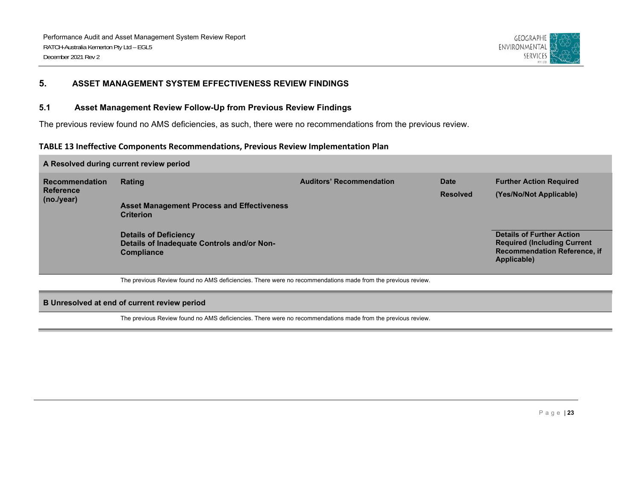

# **5. ASSET MANAGEMENT SYSTEM EFFECTIVENESS REVIEW FINDINGS**

#### **5.1 Asset Management Review Follow-Up from Previous Review Findings**

The previous review found no AMS deficiencies, as such, there were no recommendations from the previous review.

#### **TABLE 13 Ineffective Components Recommendations, Previous Review Implementation Plan**

#### **A Resolved during current review period Recommendation Reference (no./year) Rating Auditors' Recommendation Date Resolved Further Action Required (Yes/No/Not Applicable) Asset Management Process and Effectiveness Criterion Details of Deficiency Details of Inadequate Controls and/or Non-Compliance Details of Further Action Required (Including Current Recommendation Reference, if Applicable)**  The previous Review found no AMS deficiencies. There were no recommendations made from the previous review.

#### **B Unresolved at end of current review period**

The previous Review found no AMS deficiencies. There were no recommendations made from the previous review.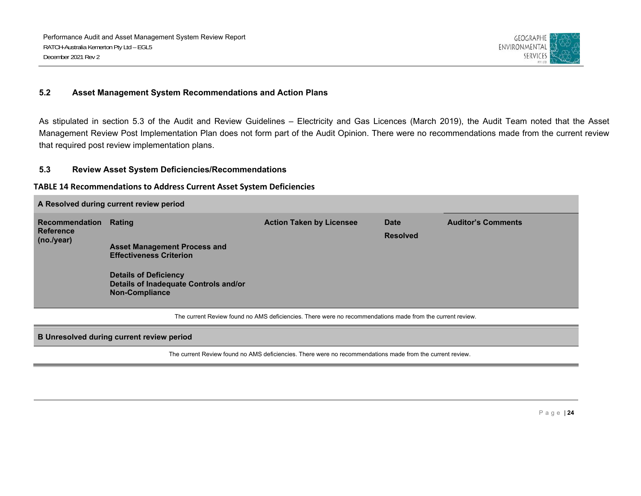

#### **5.2 Asset Management System Recommendations and Action Plans**

As stipulated in section 5.3 of the Audit and Review Guidelines – Electricity and Gas Licences (March 2019), the Audit Team noted that the Asset Management Review Post Implementation Plan does not form part of the Audit Opinion. There were no recommendations made from the current review that required post review implementation plans.

#### **5.3 Review Asset System Deficiencies/Recommendations**

#### **TABLE 14 Recommendations to Address Current Asset System Deficiencies**

| A Resolved during current review period          |                                                                                                |                                 |                         |                           |  |  |  |
|--------------------------------------------------|------------------------------------------------------------------------------------------------|---------------------------------|-------------------------|---------------------------|--|--|--|
| Recommendation<br><b>Reference</b><br>(no./year) | Rating                                                                                         | <b>Action Taken by Licensee</b> | Date<br><b>Resolved</b> | <b>Auditor's Comments</b> |  |  |  |
|                                                  | <b>Asset Management Process and</b><br><b>Effectiveness Criterion</b>                          |                                 |                         |                           |  |  |  |
|                                                  | <b>Details of Deficiency</b><br>Details of Inadequate Controls and/or<br><b>Non-Compliance</b> |                                 |                         |                           |  |  |  |

The current Review found no AMS deficiencies. There were no recommendations made from the current review.

#### **B Unresolved during current review period**

The current Review found no AMS deficiencies. There were no recommendations made from the current review.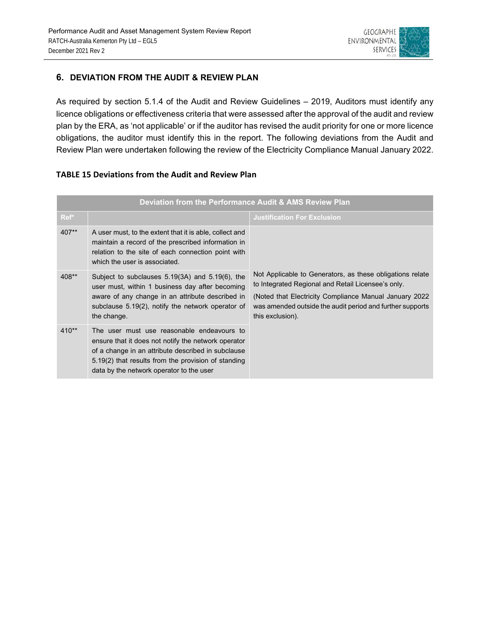

# **6. DEVIATION FROM THE AUDIT & REVIEW PLAN**

As required by section 5.1.4 of the Audit and Review Guidelines – 2019, Auditors must identify any licence obligations or effectiveness criteria that were assessed after the approval of the audit and review plan by the ERA, as 'not applicable' or if the auditor has revised the audit priority for one or more licence obligations, the auditor must identify this in the report. The following deviations from the Audit and Review Plan were undertaken following the review of the Electricity Compliance Manual January 2022.

|         | Deviation from the Performance Audit & AMS Review Plan                                                                                                                                                                                                     |                                                                                                                                                                                                                                                             |
|---------|------------------------------------------------------------------------------------------------------------------------------------------------------------------------------------------------------------------------------------------------------------|-------------------------------------------------------------------------------------------------------------------------------------------------------------------------------------------------------------------------------------------------------------|
| Ref*    |                                                                                                                                                                                                                                                            | <b>Justification For Exclusion</b>                                                                                                                                                                                                                          |
| 407**   | A user must, to the extent that it is able, collect and<br>maintain a record of the prescribed information in<br>relation to the site of each connection point with<br>which the user is associated.                                                       |                                                                                                                                                                                                                                                             |
| 408**   | Subject to subclauses 5.19(3A) and 5.19(6), the<br>user must, within 1 business day after becoming<br>aware of any change in an attribute described in<br>subclause 5.19(2), notify the network operator of<br>the change.                                 | Not Applicable to Generators, as these obligations relate<br>to Integrated Regional and Retail Licensee's only.<br>(Noted that Electricity Compliance Manual January 2022)<br>was amended outside the audit period and further supports<br>this exclusion). |
| $410**$ | The user must use reasonable endeavours to<br>ensure that it does not notify the network operator<br>of a change in an attribute described in subclause<br>5.19(2) that results from the provision of standing<br>data by the network operator to the user |                                                                                                                                                                                                                                                             |

# **TABLE 15 Deviations from the Audit and Review Plan**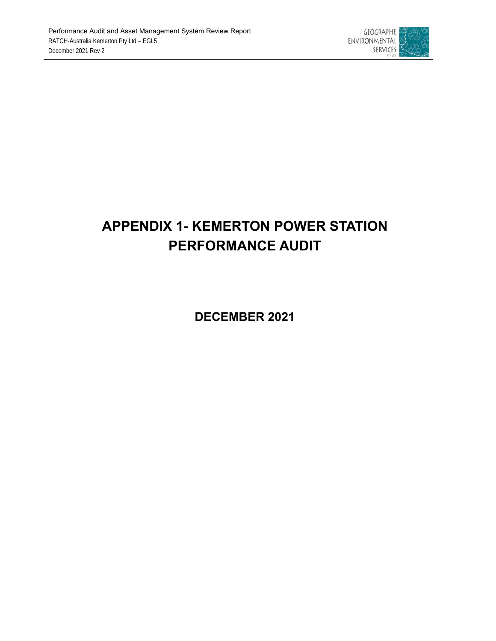

# **APPENDIX 1- KEMERTON POWER STATION PERFORMANCE AUDIT**

**DECEMBER 2021**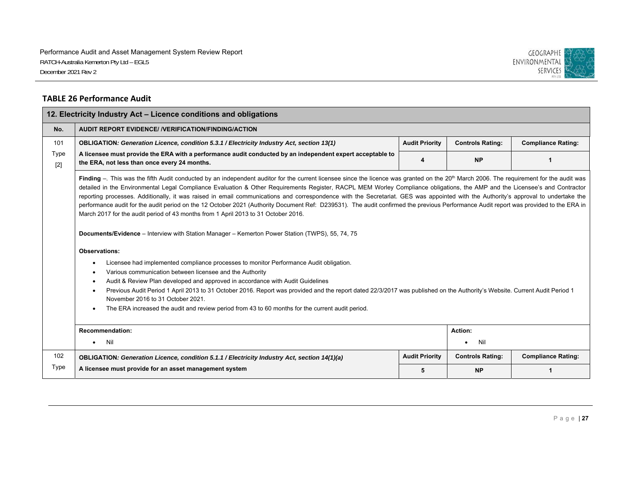

#### **TABLE 26 Performance Audit**

| 12. Electricity Industry Act - Licence conditions and obligations |                                                                                                                                                                                                                                                                                                                                                                                                                                                                                                                                                                                                                                                                                                                                                                                                                                                                                                                                                                                                                                                                                                                                                                                                                                                                                                                                                                                                                                                                                                                                                                              |                       |                         |                           |  |  |  |
|-------------------------------------------------------------------|------------------------------------------------------------------------------------------------------------------------------------------------------------------------------------------------------------------------------------------------------------------------------------------------------------------------------------------------------------------------------------------------------------------------------------------------------------------------------------------------------------------------------------------------------------------------------------------------------------------------------------------------------------------------------------------------------------------------------------------------------------------------------------------------------------------------------------------------------------------------------------------------------------------------------------------------------------------------------------------------------------------------------------------------------------------------------------------------------------------------------------------------------------------------------------------------------------------------------------------------------------------------------------------------------------------------------------------------------------------------------------------------------------------------------------------------------------------------------------------------------------------------------------------------------------------------------|-----------------------|-------------------------|---------------------------|--|--|--|
| No.                                                               | <b>AUDIT REPORT EVIDENCE/ /VERIFICATION/FINDING/ACTION</b>                                                                                                                                                                                                                                                                                                                                                                                                                                                                                                                                                                                                                                                                                                                                                                                                                                                                                                                                                                                                                                                                                                                                                                                                                                                                                                                                                                                                                                                                                                                   |                       |                         |                           |  |  |  |
| 101                                                               | OBLIGATION: Generation Licence, condition 5.3.1 / Electricity Industry Act, section 13(1)                                                                                                                                                                                                                                                                                                                                                                                                                                                                                                                                                                                                                                                                                                                                                                                                                                                                                                                                                                                                                                                                                                                                                                                                                                                                                                                                                                                                                                                                                    | <b>Audit Priority</b> | <b>Controls Rating:</b> | <b>Compliance Rating:</b> |  |  |  |
| Type<br>$[2]$                                                     | A licensee must provide the ERA with a performance audit conducted by an independent expert acceptable to<br>the ERA, not less than once every 24 months.                                                                                                                                                                                                                                                                                                                                                                                                                                                                                                                                                                                                                                                                                                                                                                                                                                                                                                                                                                                                                                                                                                                                                                                                                                                                                                                                                                                                                    |                       | <b>NP</b>               |                           |  |  |  |
|                                                                   | Finding -. This was the fifth Audit conducted by an independent auditor for the current licensee since the licence was granted on the 20 <sup>th</sup> March 2006. The requirement for the audit was<br>detailed in the Environmental Legal Compliance Evaluation & Other Requirements Register, RACPL MEM Worley Compliance obligations, the AMP and the Licensee's and Contractor<br>reporting processes. Additionally, it was raised in email communications and correspondence with the Secretariat. GES was appointed with the Authority's approval to undertake the<br>performance audit for the audit period on the 12 October 2021 (Authority Document Ref: D239531). The audit confirmed the previous Performance Audit report was provided to the ERA in<br>March 2017 for the audit period of 43 months from 1 April 2013 to 31 October 2016.<br>Documents/Evidence - Interview with Station Manager - Kemerton Power Station (TWPS), 55, 74, 75<br><b>Observations:</b><br>Licensee had implemented compliance processes to monitor Performance Audit obligation.<br>Various communication between licensee and the Authority<br>$\bullet$<br>Audit & Review Plan developed and approved in accordance with Audit Guidelines<br>$\bullet$<br>Previous Audit Period 1 April 2013 to 31 October 2016. Report was provided and the report dated 22/3/2017 was published on the Authority's Website. Current Audit Period 1<br>November 2016 to 31 October 2021.<br>The ERA increased the audit and review period from 43 to 60 months for the current audit period. |                       |                         |                           |  |  |  |
| Action:<br><b>Recommendation:</b>                                 |                                                                                                                                                                                                                                                                                                                                                                                                                                                                                                                                                                                                                                                                                                                                                                                                                                                                                                                                                                                                                                                                                                                                                                                                                                                                                                                                                                                                                                                                                                                                                                              |                       |                         |                           |  |  |  |
|                                                                   | Nil<br>$\bullet$                                                                                                                                                                                                                                                                                                                                                                                                                                                                                                                                                                                                                                                                                                                                                                                                                                                                                                                                                                                                                                                                                                                                                                                                                                                                                                                                                                                                                                                                                                                                                             |                       | Nil                     |                           |  |  |  |
| 102                                                               | OBLIGATION: Generation Licence, condition 5.1.1 / Electricity Industry Act, section 14(1)(a)                                                                                                                                                                                                                                                                                                                                                                                                                                                                                                                                                                                                                                                                                                                                                                                                                                                                                                                                                                                                                                                                                                                                                                                                                                                                                                                                                                                                                                                                                 | <b>Audit Priority</b> | <b>Controls Rating:</b> | <b>Compliance Rating:</b> |  |  |  |
| Type                                                              | A licensee must provide for an asset management system                                                                                                                                                                                                                                                                                                                                                                                                                                                                                                                                                                                                                                                                                                                                                                                                                                                                                                                                                                                                                                                                                                                                                                                                                                                                                                                                                                                                                                                                                                                       | 5                     | <b>NP</b>               | 1                         |  |  |  |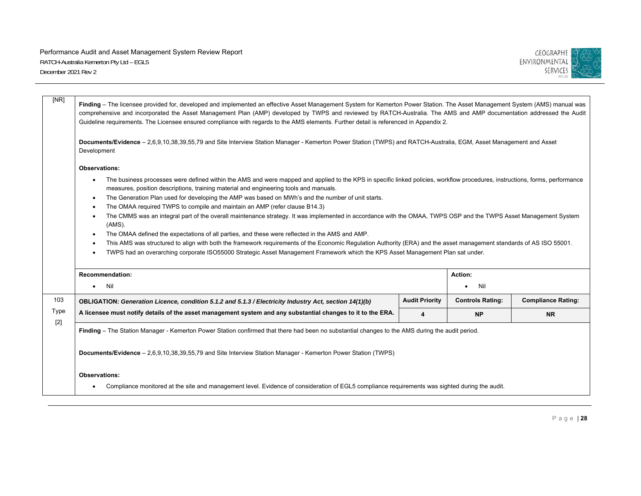

| [NR]  | Finding - The licensee provided for, developed and implemented an effective Asset Management System for Kemerton Power Station. The Asset Management System (AMS) manual was<br>comprehensive and incorporated the Asset Management Plan (AMP) developed by TWPS and reviewed by RATCH-Australia. The AMS and AMP documentation addressed the Audit<br>Guideline requirements. The Licensee ensured compliance with regards to the AMS elements. Further detail is referenced in Appendix 2.                                                                                                                                                                                                                                                                                                                                                                                                                                                                                                                                                                                                                                                  |                       |                         |                           |  |  |  |
|-------|-----------------------------------------------------------------------------------------------------------------------------------------------------------------------------------------------------------------------------------------------------------------------------------------------------------------------------------------------------------------------------------------------------------------------------------------------------------------------------------------------------------------------------------------------------------------------------------------------------------------------------------------------------------------------------------------------------------------------------------------------------------------------------------------------------------------------------------------------------------------------------------------------------------------------------------------------------------------------------------------------------------------------------------------------------------------------------------------------------------------------------------------------|-----------------------|-------------------------|---------------------------|--|--|--|
|       | Documents/Evidence - 2,6,9,10,38,39,55,79 and Site Interview Station Manager - Kemerton Power Station (TWPS) and RATCH-Australia, EGM, Asset Management and Asset<br>Development                                                                                                                                                                                                                                                                                                                                                                                                                                                                                                                                                                                                                                                                                                                                                                                                                                                                                                                                                              |                       |                         |                           |  |  |  |
|       | <b>Observations:</b>                                                                                                                                                                                                                                                                                                                                                                                                                                                                                                                                                                                                                                                                                                                                                                                                                                                                                                                                                                                                                                                                                                                          |                       |                         |                           |  |  |  |
|       | The business processes were defined within the AMS and were mapped and applied to the KPS in specific linked policies, workflow procedures, instructions, forms, performance<br>$\bullet$<br>measures, position descriptions, training material and engineering tools and manuals.<br>The Generation Plan used for developing the AMP was based on MWh's and the number of unit starts.<br>$\bullet$<br>The OMAA required TWPS to compile and maintain an AMP (refer clause B14.3)<br>$\bullet$<br>The CMMS was an integral part of the overall maintenance strategy. It was implemented in accordance with the OMAA, TWPS OSP and the TWPS Asset Management System<br>$\bullet$<br>(AMS).<br>The OMAA defined the expectations of all parties, and these were reflected in the AMS and AMP.<br>$\bullet$<br>This AMS was structured to align with both the framework requirements of the Economic Regulation Authority (ERA) and the asset management standards of AS ISO 55001.<br>$\bullet$<br>TWPS had an overarching corporate ISO55000 Strategic Asset Management Framework which the KPS Asset Management Plan sat under.<br>$\bullet$ |                       |                         |                           |  |  |  |
|       | <b>Recommendation:</b>                                                                                                                                                                                                                                                                                                                                                                                                                                                                                                                                                                                                                                                                                                                                                                                                                                                                                                                                                                                                                                                                                                                        |                       | Action:                 |                           |  |  |  |
|       | Nil<br>$\bullet$                                                                                                                                                                                                                                                                                                                                                                                                                                                                                                                                                                                                                                                                                                                                                                                                                                                                                                                                                                                                                                                                                                                              |                       | Nil                     |                           |  |  |  |
| 103   | OBLIGATION: Generation Licence, condition 5.1.2 and 5.1.3 / Electricity Industry Act, section 14(1)(b)                                                                                                                                                                                                                                                                                                                                                                                                                                                                                                                                                                                                                                                                                                                                                                                                                                                                                                                                                                                                                                        | <b>Audit Priority</b> | <b>Controls Rating:</b> | <b>Compliance Rating:</b> |  |  |  |
| Type  | A licensee must notify details of the asset management system and any substantial changes to it to the ERA.                                                                                                                                                                                                                                                                                                                                                                                                                                                                                                                                                                                                                                                                                                                                                                                                                                                                                                                                                                                                                                   | 4                     | <b>NP</b>               | <b>NR</b>                 |  |  |  |
| $[2]$ | Finding - The Station Manager - Kemerton Power Station confirmed that there had been no substantial changes to the AMS during the audit period.                                                                                                                                                                                                                                                                                                                                                                                                                                                                                                                                                                                                                                                                                                                                                                                                                                                                                                                                                                                               |                       |                         |                           |  |  |  |
|       | Documents/Evidence - 2,6,9,10,38,39,55,79 and Site Interview Station Manager - Kemerton Power Station (TWPS)                                                                                                                                                                                                                                                                                                                                                                                                                                                                                                                                                                                                                                                                                                                                                                                                                                                                                                                                                                                                                                  |                       |                         |                           |  |  |  |
|       | <b>Observations:</b>                                                                                                                                                                                                                                                                                                                                                                                                                                                                                                                                                                                                                                                                                                                                                                                                                                                                                                                                                                                                                                                                                                                          |                       |                         |                           |  |  |  |
|       | Compliance monitored at the site and management level. Evidence of consideration of EGL5 compliance requirements was sighted during the audit.                                                                                                                                                                                                                                                                                                                                                                                                                                                                                                                                                                                                                                                                                                                                                                                                                                                                                                                                                                                                |                       |                         |                           |  |  |  |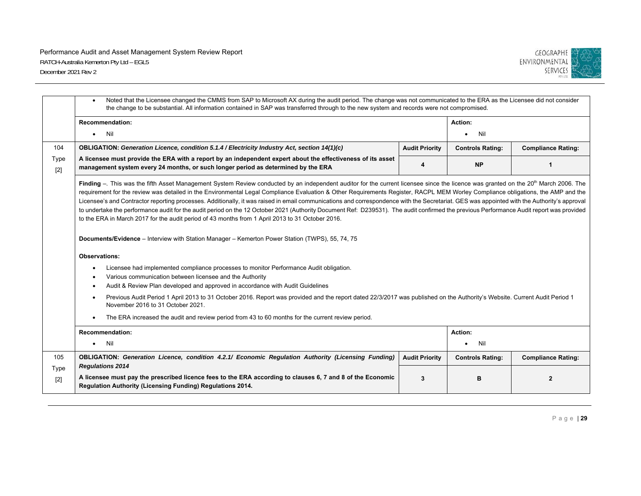

|               | Noted that the Licensee changed the CMMS from SAP to Microsoft AX during the audit period. The change was not communicated to the ERA as the Licensee did not consider<br>the change to be substantial. All information contained in SAP was transferred through to the new system and records were not compromised.                                                                                                                                                                                                                                                                                                                                                                                                                                                                                                                                                                                                                                                                  |                       |                         |                           |  |  |
|---------------|---------------------------------------------------------------------------------------------------------------------------------------------------------------------------------------------------------------------------------------------------------------------------------------------------------------------------------------------------------------------------------------------------------------------------------------------------------------------------------------------------------------------------------------------------------------------------------------------------------------------------------------------------------------------------------------------------------------------------------------------------------------------------------------------------------------------------------------------------------------------------------------------------------------------------------------------------------------------------------------|-----------------------|-------------------------|---------------------------|--|--|
|               | <b>Recommendation:</b><br><b>Nil</b><br>$\bullet$                                                                                                                                                                                                                                                                                                                                                                                                                                                                                                                                                                                                                                                                                                                                                                                                                                                                                                                                     |                       | Action:<br>Nil          |                           |  |  |
|               |                                                                                                                                                                                                                                                                                                                                                                                                                                                                                                                                                                                                                                                                                                                                                                                                                                                                                                                                                                                       |                       |                         |                           |  |  |
| 104           | OBLIGATION: Generation Licence, condition 5.1.4 / Electricity Industry Act, section 14(1)(c)                                                                                                                                                                                                                                                                                                                                                                                                                                                                                                                                                                                                                                                                                                                                                                                                                                                                                          | <b>Audit Priority</b> | <b>Controls Rating:</b> | <b>Compliance Rating:</b> |  |  |
| Type<br>$[2]$ | A licensee must provide the ERA with a report by an independent expert about the effectiveness of its asset<br>management system every 24 months, or such longer period as determined by the ERA                                                                                                                                                                                                                                                                                                                                                                                                                                                                                                                                                                                                                                                                                                                                                                                      | 4                     | <b>NP</b>               | 1                         |  |  |
|               | Finding -. This was the fifth Asset Management System Review conducted by an independent auditor for the current licensee since the licence was granted on the 20 <sup>th</sup> March 2006. The<br>requirement for the review was detailed in the Environmental Legal Compliance Evaluation & Other Requirements Register, RACPL MEM Worley Compliance obligations, the AMP and the<br>Licensee's and Contractor reporting processes. Additionally, it was raised in email communications and correspondence with the Secretariat. GES was appointed with the Authority's approval<br>to undertake the performance audit for the audit period on the 12 October 2021 (Authority Document Ref: D239531). The audit confirmed the previous Performance Audit report was provided<br>to the ERA in March 2017 for the audit period of 43 months from 1 April 2013 to 31 October 2016.<br>Documents/Evidence - Interview with Station Manager - Kemerton Power Station (TWPS), 55, 74, 75 |                       |                         |                           |  |  |
|               | <b>Observations:</b>                                                                                                                                                                                                                                                                                                                                                                                                                                                                                                                                                                                                                                                                                                                                                                                                                                                                                                                                                                  |                       |                         |                           |  |  |
|               | Licensee had implemented compliance processes to monitor Performance Audit obligation.<br>$\bullet$                                                                                                                                                                                                                                                                                                                                                                                                                                                                                                                                                                                                                                                                                                                                                                                                                                                                                   |                       |                         |                           |  |  |
|               | Various communication between licensee and the Authority                                                                                                                                                                                                                                                                                                                                                                                                                                                                                                                                                                                                                                                                                                                                                                                                                                                                                                                              |                       |                         |                           |  |  |
|               | Audit & Review Plan developed and approved in accordance with Audit Guidelines<br>$\bullet$                                                                                                                                                                                                                                                                                                                                                                                                                                                                                                                                                                                                                                                                                                                                                                                                                                                                                           |                       |                         |                           |  |  |
|               | Previous Audit Period 1 April 2013 to 31 October 2016. Report was provided and the report dated 22/3/2017 was published on the Authority's Website. Current Audit Period 1<br>November 2016 to 31 October 2021.                                                                                                                                                                                                                                                                                                                                                                                                                                                                                                                                                                                                                                                                                                                                                                       |                       |                         |                           |  |  |
|               | The ERA increased the audit and review period from 43 to 60 months for the current review period.                                                                                                                                                                                                                                                                                                                                                                                                                                                                                                                                                                                                                                                                                                                                                                                                                                                                                     |                       |                         |                           |  |  |
|               | <b>Recommendation:</b>                                                                                                                                                                                                                                                                                                                                                                                                                                                                                                                                                                                                                                                                                                                                                                                                                                                                                                                                                                |                       | Action:                 |                           |  |  |
|               | $\bullet$ Nil                                                                                                                                                                                                                                                                                                                                                                                                                                                                                                                                                                                                                                                                                                                                                                                                                                                                                                                                                                         |                       | Nil                     |                           |  |  |
| 105           | OBLIGATION: Generation Licence, condition 4.2.1/ Economic Regulation Authority (Licensing Funding)                                                                                                                                                                                                                                                                                                                                                                                                                                                                                                                                                                                                                                                                                                                                                                                                                                                                                    | <b>Audit Priority</b> | <b>Controls Rating:</b> | <b>Compliance Rating:</b> |  |  |
| Type<br>$[2]$ | <b>Regulations 2014</b><br>A licensee must pay the prescribed licence fees to the ERA according to clauses 6, 7 and 8 of the Economic<br>Regulation Authority (Licensing Funding) Regulations 2014.                                                                                                                                                                                                                                                                                                                                                                                                                                                                                                                                                                                                                                                                                                                                                                                   | 3                     | в                       | $\mathbf{2}$              |  |  |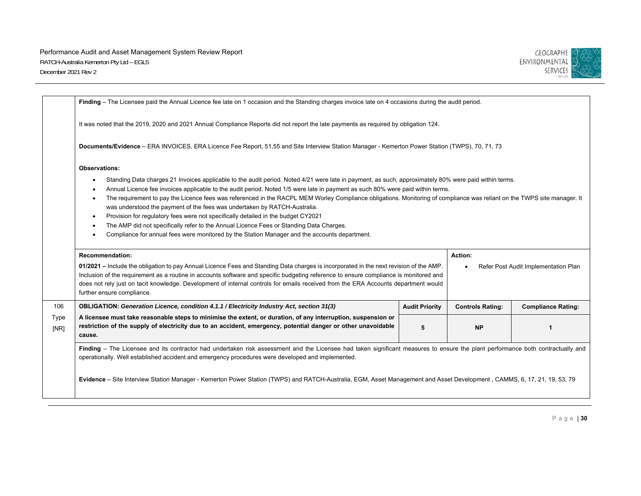

|              | Finding - The Licensee paid the Annual Licence fee late on 1 occasion and the Standing charges invoice late on 4 occasions during the audit period.                                                                                                                                                                                                                                                                                                                                                                                                                                                                                                                                                                                                                                                                                                                                                             |                       |                         |                           |  |  |
|--------------|-----------------------------------------------------------------------------------------------------------------------------------------------------------------------------------------------------------------------------------------------------------------------------------------------------------------------------------------------------------------------------------------------------------------------------------------------------------------------------------------------------------------------------------------------------------------------------------------------------------------------------------------------------------------------------------------------------------------------------------------------------------------------------------------------------------------------------------------------------------------------------------------------------------------|-----------------------|-------------------------|---------------------------|--|--|
|              | It was noted that the 2019, 2020 and 2021 Annual Compliance Reports did not report the late payments as required by obligation 124.                                                                                                                                                                                                                                                                                                                                                                                                                                                                                                                                                                                                                                                                                                                                                                             |                       |                         |                           |  |  |
|              | Documents/Evidence - ERA INVOICES, ERA Licence Fee Report, 51,55 and Site Interview Station Manager - Kemerton Power Station (TWPS), 70, 71, 73                                                                                                                                                                                                                                                                                                                                                                                                                                                                                                                                                                                                                                                                                                                                                                 |                       |                         |                           |  |  |
|              | Observations:                                                                                                                                                                                                                                                                                                                                                                                                                                                                                                                                                                                                                                                                                                                                                                                                                                                                                                   |                       |                         |                           |  |  |
|              | Standing Data charges 21 Invoices applicable to the audit period. Noted 4/21 were late in payment, as such, approximately 80% were paid within terms.<br>$\bullet$<br>Annual Licence fee invoices applicable to the audit period. Noted 1/5 were late in payment as such 80% were paid within terms.<br>$\bullet$<br>The requirement to pay the Licence fees was referenced in the RACPL MEM Worley Compliance obligations. Monitoring of compliance was reliant on the TWPS site manager. It<br>$\bullet$<br>was understood the payment of the fees was undertaken by RATCH-Australia.<br>Provision for regulatory fees were not specifically detailed in the budget CY2021<br>$\bullet$<br>The AMP did not specifically refer to the Annual Licence Fees or Standing Data Charges.<br>$\bullet$<br>Compliance for annual fees were monitored by the Station Manager and the accounts department.<br>$\bullet$ |                       |                         |                           |  |  |
|              | <b>Recommendation:</b><br>Action:<br>01/2021 – Include the obligation to pay Annual Licence Fees and Standing Data charges is incorporated in the next revision of the AMP.<br>Refer Post Audit Implementation Plan<br>Inclusion of the requirement as a routine in accounts software and specific budgeting reference to ensure compliance is monitored and<br>does not rely just on tacit knowledge. Development of internal controls for emails received from the ERA Accounts department would<br>further ensure compliance.                                                                                                                                                                                                                                                                                                                                                                                |                       |                         |                           |  |  |
| 106          | OBLIGATION: Generation Licence, condition 4.1.1 / Electricity Industry Act, section 31(3)                                                                                                                                                                                                                                                                                                                                                                                                                                                                                                                                                                                                                                                                                                                                                                                                                       | <b>Audit Priority</b> | <b>Controls Rating:</b> | <b>Compliance Rating:</b> |  |  |
| Type<br>[NR] | A licensee must take reasonable steps to minimise the extent, or duration, of any interruption, suspension or<br>restriction of the supply of electricity due to an accident, emergency, potential danger or other unavoidable<br><b>NP</b><br>5<br>cause.                                                                                                                                                                                                                                                                                                                                                                                                                                                                                                                                                                                                                                                      |                       |                         |                           |  |  |
|              | Finding - The Licensee and its contractor had undertaken risk assessment and the Licensee had taken significant measures to ensure the plant performance both contractually and<br>operationally. Well established accident and emergency procedures were developed and implemented.                                                                                                                                                                                                                                                                                                                                                                                                                                                                                                                                                                                                                            |                       |                         |                           |  |  |
|              | Evidence - Site Interview Station Manager - Kemerton Power Station (TWPS) and RATCH-Australia, EGM, Asset Management and Asset Development, CAMMS, 6, 17, 21, 19, 53, 79                                                                                                                                                                                                                                                                                                                                                                                                                                                                                                                                                                                                                                                                                                                                        |                       |                         |                           |  |  |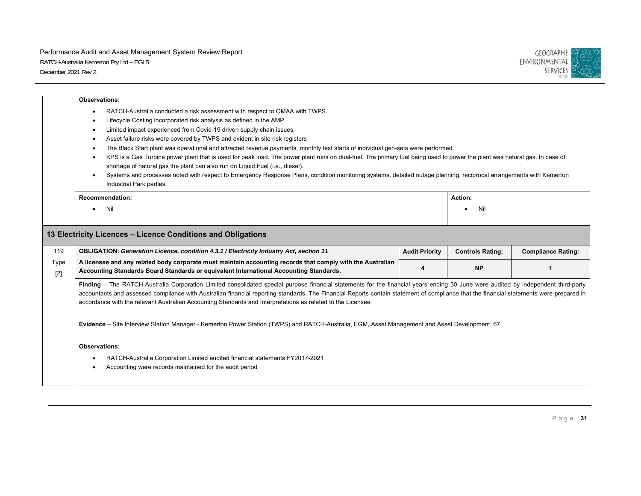

|               | <b>Observations:</b>                                                                                                                                                                                                                                                                                                                                                                                                                                                                                                                                                                                                                                                                                                                                                                                                                                                                                                                                                                                       |                       |                         |                           |
|---------------|------------------------------------------------------------------------------------------------------------------------------------------------------------------------------------------------------------------------------------------------------------------------------------------------------------------------------------------------------------------------------------------------------------------------------------------------------------------------------------------------------------------------------------------------------------------------------------------------------------------------------------------------------------------------------------------------------------------------------------------------------------------------------------------------------------------------------------------------------------------------------------------------------------------------------------------------------------------------------------------------------------|-----------------------|-------------------------|---------------------------|
|               | RATCH-Australia conducted a risk assessment with respect to OMAA with TWPS.<br>$\bullet$<br>Lifecycle Costing incorporated risk analysis as defined in the AMP.<br>$\bullet$<br>Limited impact experienced from Covid-19 driven supply chain issues.<br>$\bullet$<br>Asset failure risks were covered by TWPS and evident in site risk registers<br>$\bullet$<br>The Black Start plant was operational and attracted revenue payments, monthly test starts of individual gen-sets were performed.<br>$\bullet$<br>KPS is a Gas Turbine power plant that is used for peak load. The power plant runs on dual-fuel. The primary fuel being used to power the plant was natural gas. In case of<br>$\bullet$<br>shortage of natural gas the plant can also run on Liquid Fuel (i.e., diesel).<br>Systems and processes noted with respect to Emergency Response Plans, condition monitoring systems, detailed outage planning, reciprocal arrangements with Kemerton<br>$\bullet$<br>Industrial Park parties. |                       |                         |                           |
|               | <b>Recommendation:</b>                                                                                                                                                                                                                                                                                                                                                                                                                                                                                                                                                                                                                                                                                                                                                                                                                                                                                                                                                                                     |                       | Action:                 |                           |
|               | Nil                                                                                                                                                                                                                                                                                                                                                                                                                                                                                                                                                                                                                                                                                                                                                                                                                                                                                                                                                                                                        |                       | Nil                     |                           |
|               | 13 Electricity Licences - Licence Conditions and Obligations                                                                                                                                                                                                                                                                                                                                                                                                                                                                                                                                                                                                                                                                                                                                                                                                                                                                                                                                               |                       |                         |                           |
| 119           | OBLIGATION: Generation Licence, condition 4.3.1 / Electricity Industry Act, section 11                                                                                                                                                                                                                                                                                                                                                                                                                                                                                                                                                                                                                                                                                                                                                                                                                                                                                                                     | <b>Audit Priority</b> | <b>Controls Rating:</b> | <b>Compliance Rating:</b> |
|               |                                                                                                                                                                                                                                                                                                                                                                                                                                                                                                                                                                                                                                                                                                                                                                                                                                                                                                                                                                                                            |                       |                         |                           |
| Type<br>$[2]$ | A licensee and any related body corporate must maintain accounting records that comply with the Australian<br>Accounting Standards Board Standards or equivalent International Accounting Standards.                                                                                                                                                                                                                                                                                                                                                                                                                                                                                                                                                                                                                                                                                                                                                                                                       | 4                     | <b>NP</b>               | $\mathbf{1}$              |
|               | Finding - The RATCH-Australia Corporation Limited consolidated special purpose financial statements for the financial years ending 30 June were audited by independent third-party<br>accountants and assessed compliance with Australian financial reporting standards. The Financial Reports contain statement of compliance that the financial statements were prepared in<br>accordance with the relevant Australian Accounting Standards and Interpretations as related to the Licensee<br>Evidence - Site Interview Station Manager - Kemerton Power Station (TWPS) and RATCH-Australia, EGM, Asset Management and Asset Development, 67                                                                                                                                                                                                                                                                                                                                                             |                       |                         |                           |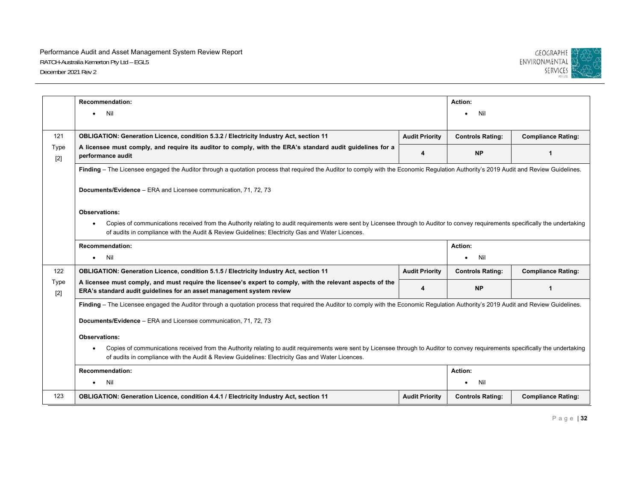

|                      | <b>Recommendation:</b>                                                                                                                                                                        |                       | Action:                 |                           |  |  |
|----------------------|-----------------------------------------------------------------------------------------------------------------------------------------------------------------------------------------------|-----------------------|-------------------------|---------------------------|--|--|
|                      |                                                                                                                                                                                               |                       |                         |                           |  |  |
|                      | Nil<br>$\bullet$                                                                                                                                                                              |                       | Nil                     |                           |  |  |
|                      |                                                                                                                                                                                               |                       |                         |                           |  |  |
| 121                  | OBLIGATION: Generation Licence, condition 5.3.2 / Electricity Industry Act, section 11                                                                                                        | <b>Audit Priority</b> | <b>Controls Rating:</b> | <b>Compliance Rating:</b> |  |  |
| <b>Type</b><br>$[2]$ | A licensee must comply, and require its auditor to comply, with the ERA's standard audit guidelines for a<br>performance audit                                                                | 4                     | <b>NP</b>               | $\mathbf{1}$              |  |  |
|                      | Finding - The Licensee engaged the Auditor through a quotation process that required the Auditor to comply with the Economic Regulation Authority's 2019 Audit and Review Guidelines.         |                       |                         |                           |  |  |
|                      |                                                                                                                                                                                               |                       |                         |                           |  |  |
|                      | Documents/Evidence - ERA and Licensee communication, 71, 72, 73                                                                                                                               |                       |                         |                           |  |  |
|                      |                                                                                                                                                                                               |                       |                         |                           |  |  |
|                      | Observations:                                                                                                                                                                                 |                       |                         |                           |  |  |
|                      | Copies of communications received from the Authority relating to audit requirements were sent by Licensee through to Auditor to convey requirements specifically the undertaking              |                       |                         |                           |  |  |
|                      | of audits in compliance with the Audit & Review Guidelines: Electricity Gas and Water Licences.                                                                                               |                       |                         |                           |  |  |
|                      | Recommendation:                                                                                                                                                                               |                       |                         | Action:                   |  |  |
|                      | Nil<br>$\bullet$                                                                                                                                                                              |                       | Nil                     |                           |  |  |
| 122                  | OBLIGATION: Generation Licence, condition 5.1.5 / Electricity Industry Act, section 11                                                                                                        | <b>Audit Priority</b> | <b>Controls Rating:</b> | <b>Compliance Rating:</b> |  |  |
| Type                 | A licensee must comply, and must require the licensee's expert to comply, with the relevant aspects of the                                                                                    |                       |                         |                           |  |  |
| $[2]$                | ERA's standard audit guidelines for an asset management system review                                                                                                                         | 4                     | <b>NP</b>               | 1                         |  |  |
|                      | Finding - The Licensee engaged the Auditor through a quotation process that required the Auditor to comply with the Economic Regulation Authority's 2019 Audit and Review Guidelines.         |                       |                         |                           |  |  |
|                      |                                                                                                                                                                                               |                       |                         |                           |  |  |
|                      | Documents/Evidence - ERA and Licensee communication, 71, 72, 73                                                                                                                               |                       |                         |                           |  |  |
|                      | <b>Observations:</b>                                                                                                                                                                          |                       |                         |                           |  |  |
|                      | Copies of communications received from the Authority relating to audit requirements were sent by Licensee through to Auditor to convey requirements specifically the undertaking<br>$\bullet$ |                       |                         |                           |  |  |
|                      | of audits in compliance with the Audit & Review Guidelines: Electricity Gas and Water Licences.                                                                                               |                       |                         |                           |  |  |
|                      | <b>Recommendation:</b>                                                                                                                                                                        |                       | Action:                 |                           |  |  |
|                      | Nil<br>$\bullet$                                                                                                                                                                              |                       | Nil                     |                           |  |  |
| 123                  | OBLIGATION: Generation Licence, condition 4.4.1 / Electricity Industry Act, section 11                                                                                                        | <b>Audit Priority</b> | <b>Controls Rating:</b> | <b>Compliance Rating:</b> |  |  |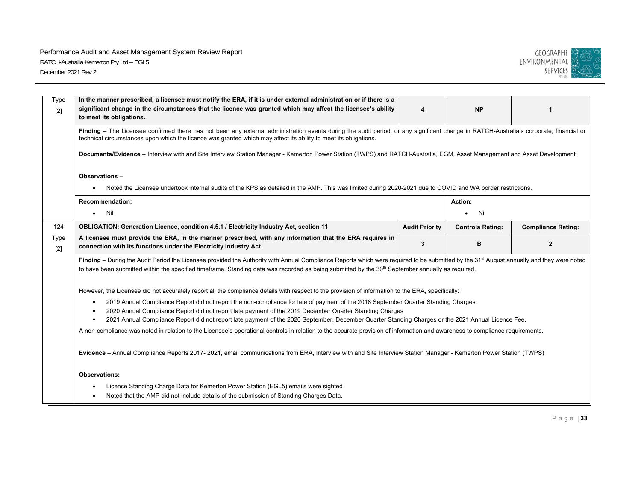

| Type<br>$[2]$ | In the manner prescribed, a licensee must notify the ERA, if it is under external administration or if there is a<br>significant change in the circumstances that the licence was granted which may affect the licensee's ability<br><b>NP</b><br>4<br>1<br>to meet its obligations.                                                                                 |                       |                         |                           |  |  |  |
|---------------|----------------------------------------------------------------------------------------------------------------------------------------------------------------------------------------------------------------------------------------------------------------------------------------------------------------------------------------------------------------------|-----------------------|-------------------------|---------------------------|--|--|--|
|               | Finding - The Licensee confirmed there has not been any external administration events during the audit period; or any significant change in RATCH-Australia's corporate, financial or<br>technical circumstances upon which the licence was granted which may affect its ability to meet its obligations.                                                           |                       |                         |                           |  |  |  |
|               | Documents/Evidence - Interview with and Site Interview Station Manager - Kemerton Power Station (TWPS) and RATCH-Australia, EGM, Asset Management and Asset Development                                                                                                                                                                                              |                       |                         |                           |  |  |  |
|               | Observations-<br>Noted the Licensee undertook internal audits of the KPS as detailed in the AMP. This was limited during 2020-2021 due to COVID and WA border restrictions.                                                                                                                                                                                          |                       |                         |                           |  |  |  |
|               | <b>Recommendation:</b>                                                                                                                                                                                                                                                                                                                                               |                       | Action:                 |                           |  |  |  |
|               | Nil<br>$\bullet$                                                                                                                                                                                                                                                                                                                                                     |                       | Nil<br>$\bullet$        |                           |  |  |  |
| 124           | OBLIGATION: Generation Licence, condition 4.5.1 / Electricity Industry Act, section 11                                                                                                                                                                                                                                                                               | <b>Audit Priority</b> | <b>Controls Rating:</b> | <b>Compliance Rating:</b> |  |  |  |
| Type<br>$[2]$ | A licensee must provide the ERA, in the manner prescribed, with any information that the ERA requires in<br>connection with its functions under the Electricity Industry Act.                                                                                                                                                                                        | 3                     | B                       | $\overline{2}$            |  |  |  |
|               | Finding - During the Audit Period the Licensee provided the Authority with Annual Compliance Reports which were required to be submitted by the 31 <sup>st</sup> August annually and they were noted<br>to have been submitted within the specified timeframe. Standing data was recorded as being submitted by the 30 <sup>th</sup> September annually as required. |                       |                         |                           |  |  |  |
|               | However, the Licensee did not accurately report all the compliance details with respect to the provision of information to the ERA, specifically:                                                                                                                                                                                                                    |                       |                         |                           |  |  |  |
|               | 2019 Annual Compliance Report did not report the non-compliance for late of payment of the 2018 September Quarter Standing Charges.<br>٠<br>2020 Annual Compliance Report did not report late payment of the 2019 December Quarter Standing Charges<br>٠                                                                                                             |                       |                         |                           |  |  |  |
|               | 2021 Annual Compliance Report did not report late payment of the 2020 September, December Quarter Standing Charges or the 2021 Annual Licence Fee.<br>$\blacksquare$                                                                                                                                                                                                 |                       |                         |                           |  |  |  |
|               | A non-compliance was noted in relation to the Licensee's operational controls in relation to the accurate provision of information and awareness to compliance requirements.                                                                                                                                                                                         |                       |                         |                           |  |  |  |
|               | Evidence - Annual Compliance Reports 2017- 2021, email communications from ERA, Interview with and Site Interview Station Manager - Kemerton Power Station (TWPS)                                                                                                                                                                                                    |                       |                         |                           |  |  |  |
|               | <b>Observations:</b>                                                                                                                                                                                                                                                                                                                                                 |                       |                         |                           |  |  |  |
|               | Licence Standing Charge Data for Kemerton Power Station (EGL5) emails were sighted                                                                                                                                                                                                                                                                                   |                       |                         |                           |  |  |  |
|               | Noted that the AMP did not include details of the submission of Standing Charges Data.<br>$\bullet$                                                                                                                                                                                                                                                                  |                       |                         |                           |  |  |  |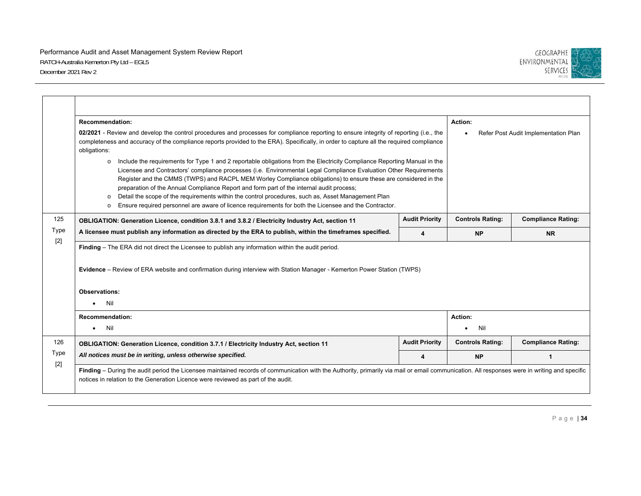

|               | <b>Recommendation:</b>                                                                                                                                                                                                                                                                                                                                                                                                                                                                                                                                                                                                                                                                             |                       | Action:                 |                                      |  |
|---------------|----------------------------------------------------------------------------------------------------------------------------------------------------------------------------------------------------------------------------------------------------------------------------------------------------------------------------------------------------------------------------------------------------------------------------------------------------------------------------------------------------------------------------------------------------------------------------------------------------------------------------------------------------------------------------------------------------|-----------------------|-------------------------|--------------------------------------|--|
|               | 02/2021 - Review and develop the control procedures and processes for compliance reporting to ensure integrity of reporting (i.e., the<br>completeness and accuracy of the compliance reports provided to the ERA). Specifically, in order to capture all the required compliance<br>obligations:                                                                                                                                                                                                                                                                                                                                                                                                  |                       |                         | Refer Post Audit Implementation Plan |  |
|               | Include the requirements for Type 1 and 2 reportable obligations from the Electricity Compliance Reporting Manual in the<br>$\circ$<br>Licensee and Contractors' compliance processes (i.e. Environmental Legal Compliance Evaluation Other Requirements<br>Register and the CMMS (TWPS) and RACPL MEM Worley Compliance obligations) to ensure these are considered in the<br>preparation of the Annual Compliance Report and form part of the internal audit process;<br>Detail the scope of the requirements within the control procedures, such as, Asset Management Plan<br>Ensure required personnel are aware of licence requirements for both the Licensee and the Contractor.<br>$\Omega$ |                       |                         |                                      |  |
| 125           | OBLIGATION: Generation Licence, condition 3.8.1 and 3.8.2 / Electricity Industry Act, section 11                                                                                                                                                                                                                                                                                                                                                                                                                                                                                                                                                                                                   | <b>Audit Priority</b> | <b>Controls Rating:</b> | <b>Compliance Rating:</b>            |  |
| Type<br>$[2]$ | A licensee must publish any information as directed by the ERA to publish, within the timeframes specified.<br>4                                                                                                                                                                                                                                                                                                                                                                                                                                                                                                                                                                                   |                       | <b>NP</b>               | <b>NR</b>                            |  |
|               | Finding - The ERA did not direct the Licensee to publish any information within the audit period.<br>Evidence – Review of ERA website and confirmation during interview with Station Manager - Kemerton Power Station (TWPS)                                                                                                                                                                                                                                                                                                                                                                                                                                                                       |                       |                         |                                      |  |
|               | Observations:                                                                                                                                                                                                                                                                                                                                                                                                                                                                                                                                                                                                                                                                                      |                       |                         |                                      |  |
|               | Nil<br>$\bullet$                                                                                                                                                                                                                                                                                                                                                                                                                                                                                                                                                                                                                                                                                   |                       |                         |                                      |  |
|               | <b>Recommendation:</b>                                                                                                                                                                                                                                                                                                                                                                                                                                                                                                                                                                                                                                                                             |                       | Action:                 |                                      |  |
|               | Nil<br>$\bullet$                                                                                                                                                                                                                                                                                                                                                                                                                                                                                                                                                                                                                                                                                   |                       | Nil<br>٠                |                                      |  |
| 126           | OBLIGATION: Generation Licence, condition 3.7.1 / Electricity Industry Act, section 11                                                                                                                                                                                                                                                                                                                                                                                                                                                                                                                                                                                                             | <b>Audit Priority</b> | <b>Controls Rating:</b> | <b>Compliance Rating:</b>            |  |
| Type          | All notices must be in writing, unless otherwise specified.                                                                                                                                                                                                                                                                                                                                                                                                                                                                                                                                                                                                                                        | 4                     | <b>NP</b>               | $\mathbf{1}$                         |  |
| $[2]$         | Finding - During the audit period the Licensee maintained records of communication with the Authority, primarily via mail or email communication. All responses were in writing and specific<br>notices in relation to the Generation Licence were reviewed as part of the audit.                                                                                                                                                                                                                                                                                                                                                                                                                  |                       |                         |                                      |  |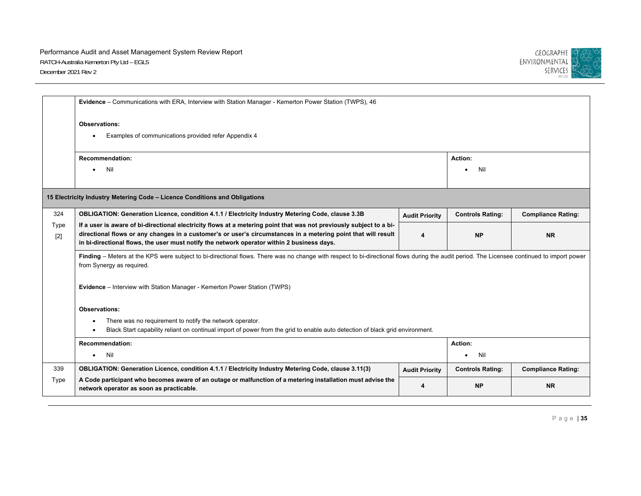

|               | Evidence - Communications with ERA, Interview with Station Manager - Kemerton Power Station (TWPS), 46                                                                                                                                                                                                                             |                       |                         |                           |  |  |
|---------------|------------------------------------------------------------------------------------------------------------------------------------------------------------------------------------------------------------------------------------------------------------------------------------------------------------------------------------|-----------------------|-------------------------|---------------------------|--|--|
|               | Observations:<br>Examples of communications provided refer Appendix 4                                                                                                                                                                                                                                                              |                       |                         |                           |  |  |
|               | <b>Recommendation:</b>                                                                                                                                                                                                                                                                                                             |                       | Action:                 |                           |  |  |
|               | Nil                                                                                                                                                                                                                                                                                                                                |                       | Nil                     |                           |  |  |
|               | 15 Electricity Industry Metering Code - Licence Conditions and Obligations                                                                                                                                                                                                                                                         |                       |                         |                           |  |  |
| 324           | OBLIGATION: Generation Licence, condition 4.1.1 / Electricity Industry Metering Code, clause 3.3B                                                                                                                                                                                                                                  | <b>Audit Priority</b> | <b>Controls Rating:</b> | <b>Compliance Rating:</b> |  |  |
| Type<br>$[2]$ | If a user is aware of bi-directional electricity flows at a metering point that was not previously subject to a bi-<br>directional flows or any changes in a customer's or user's circumstances in a metering point that will result<br>in bi-directional flows, the user must notify the network operator within 2 business days. | 4                     | <b>NP</b>               | <b>NR</b>                 |  |  |
|               | Finding - Meters at the KPS were subject to bi-directional flows. There was no change with respect to bi-directional flows during the audit period. The Licensee continued to import power<br>from Synergy as required.                                                                                                            |                       |                         |                           |  |  |
|               | Evidence - Interview with Station Manager - Kemerton Power Station (TWPS)                                                                                                                                                                                                                                                          |                       |                         |                           |  |  |
|               | <b>Observations:</b>                                                                                                                                                                                                                                                                                                               |                       |                         |                           |  |  |
|               | There was no requirement to notify the network operator.<br>$\bullet$<br>Black Start capability reliant on continual import of power from the grid to enable auto detection of black grid environment.                                                                                                                             |                       |                         |                           |  |  |
|               | <b>Recommendation:</b>                                                                                                                                                                                                                                                                                                             |                       | Action:                 |                           |  |  |
|               | Nil<br>$\bullet$                                                                                                                                                                                                                                                                                                                   |                       | Nil<br>$\bullet$        |                           |  |  |
| 339           | OBLIGATION: Generation Licence, condition 4.1.1 / Electricity Industry Metering Code, clause 3.11(3)                                                                                                                                                                                                                               | <b>Audit Priority</b> | <b>Controls Rating:</b> | <b>Compliance Rating:</b> |  |  |
| Type          | A Code participant who becomes aware of an outage or malfunction of a metering installation must advise the<br>network operator as soon as practicable.                                                                                                                                                                            | 4                     | <b>NP</b>               | <b>NR</b>                 |  |  |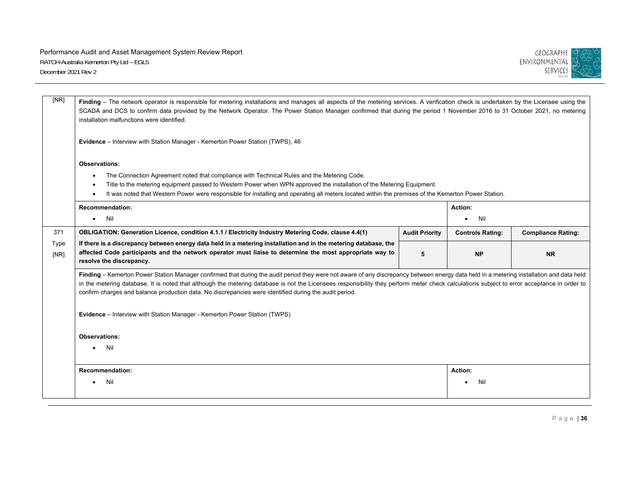

| [NR]         | Finding - The network operator is responsible for metering installations and manages all aspects of the metering services. A verification check is undertaken by the Licensee using the<br>SCADA and DCS to confirm data provided by the Network Operator. The Power Station Manager confirmed that during the period 1 November 2016 to 31 October 2021, no metering<br>installation malfunctions were identified.                                                                               |                       |                         |                           |  |
|--------------|---------------------------------------------------------------------------------------------------------------------------------------------------------------------------------------------------------------------------------------------------------------------------------------------------------------------------------------------------------------------------------------------------------------------------------------------------------------------------------------------------|-----------------------|-------------------------|---------------------------|--|
|              | Evidence - Interview with Station Manager - Kemerton Power Station (TWPS), 46                                                                                                                                                                                                                                                                                                                                                                                                                     |                       |                         |                           |  |
|              | Observations:<br>The Connection Agreement noted that compliance with Technical Rules and the Metering Code.<br>Title to the metering equipment passed to Western Power when WPN approved the installation of the Metering Equipment.<br>$\bullet$<br>It was noted that Western Power were responsible for installing and operating all meters located within the premises of the Kemerton Power Station.<br><b>Recommendation:</b><br>Action:<br>Nil<br>Nil<br>$\bullet$                          |                       |                         |                           |  |
|              |                                                                                                                                                                                                                                                                                                                                                                                                                                                                                                   |                       |                         |                           |  |
| 371          | OBLIGATION: Generation Licence, condition 4.1.1 / Electricity Industry Metering Code, clause 4.4(1)                                                                                                                                                                                                                                                                                                                                                                                               | <b>Audit Priority</b> | <b>Controls Rating:</b> | <b>Compliance Rating:</b> |  |
| Type<br>[NR] | If there is a discrepancy between energy data held in a metering installation and in the metering database, the<br>affected Code participants and the network operator must liaise to determine the most appropriate way to<br>resolve the discrepancy.                                                                                                                                                                                                                                           | 5                     | <b>NP</b>               | <b>NR</b>                 |  |
|              | Finding - Kemerton Power Station Manager confirmed that during the audit period they were not aware of any discrepancy between energy data held in a metering installation and data held<br>in the metering database. It is noted that although the metering database is not the Licensees responsibility they perform meter check calculations subject to error acceptance in order to<br>confirm charges and balance production data. No discrepancies were identified during the audit period. |                       |                         |                           |  |
|              | <b>Evidence</b> – Interview with Station Manager - Kemerton Power Station (TWPS)                                                                                                                                                                                                                                                                                                                                                                                                                  |                       |                         |                           |  |
|              | <b>Observations:</b>                                                                                                                                                                                                                                                                                                                                                                                                                                                                              |                       |                         |                           |  |
|              | Nil                                                                                                                                                                                                                                                                                                                                                                                                                                                                                               |                       |                         |                           |  |
|              | <b>Recommendation:</b>                                                                                                                                                                                                                                                                                                                                                                                                                                                                            |                       | <b>Action:</b>          |                           |  |
|              | Nil                                                                                                                                                                                                                                                                                                                                                                                                                                                                                               |                       | Nil                     |                           |  |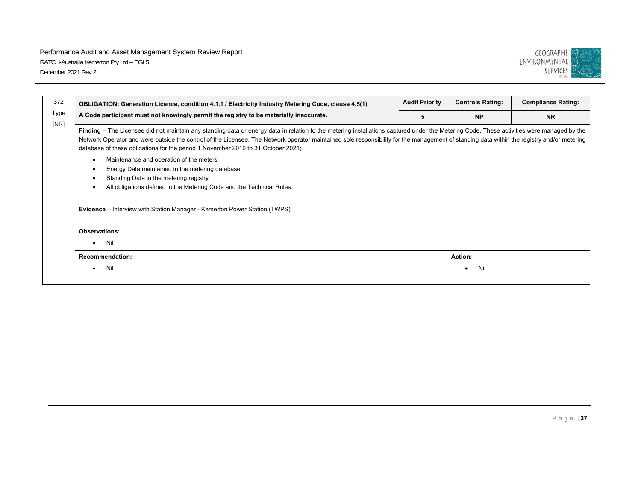

| 372          | OBLIGATION: Generation Licence, condition 4.1.1 / Electricity Industry Metering Code, clause 4.5(1)                                                                                                                                                                                                                                                                                                                                                                         | <b>Audit Priority</b> | <b>Controls Rating:</b> | <b>Compliance Rating:</b> |  |
|--------------|-----------------------------------------------------------------------------------------------------------------------------------------------------------------------------------------------------------------------------------------------------------------------------------------------------------------------------------------------------------------------------------------------------------------------------------------------------------------------------|-----------------------|-------------------------|---------------------------|--|
| Type<br>[NR] | A Code participant must not knowingly permit the registry to be materially inaccurate.<br>5                                                                                                                                                                                                                                                                                                                                                                                 |                       | <b>NP</b>               | <b>NR</b>                 |  |
|              | Finding – The Licensee did not maintain any standing data or energy data in relation to the metering installations captured under the Metering Code. These activities were managed by the<br>Network Operator and were outside the control of the Licensee. The Network operator maintained sole responsibility for the management of standing data within the registry and/or metering<br>database of these obligations for the period 1 November 2016 to 31 October 2021; |                       |                         |                           |  |
|              | Maintenance and operation of the meters<br>$\bullet$                                                                                                                                                                                                                                                                                                                                                                                                                        |                       |                         |                           |  |
|              | Energy Data maintained in the metering database<br>$\bullet$                                                                                                                                                                                                                                                                                                                                                                                                                |                       |                         |                           |  |
|              | Standing Data in the metering registry<br>$\bullet$<br>All obligations defined in the Metering Code and the Technical Rules.<br>$\bullet$                                                                                                                                                                                                                                                                                                                                   |                       |                         |                           |  |
|              | <b>Evidence</b> – Interview with Station Manager - Kemerton Power Station (TWPS)                                                                                                                                                                                                                                                                                                                                                                                            |                       |                         |                           |  |
|              | <b>Observations:</b>                                                                                                                                                                                                                                                                                                                                                                                                                                                        |                       |                         |                           |  |
|              | Nil<br>٠                                                                                                                                                                                                                                                                                                                                                                                                                                                                    |                       |                         |                           |  |
|              | <b>Recommendation:</b>                                                                                                                                                                                                                                                                                                                                                                                                                                                      |                       | Action:                 |                           |  |
|              | Nil                                                                                                                                                                                                                                                                                                                                                                                                                                                                         |                       | Nil                     |                           |  |
|              |                                                                                                                                                                                                                                                                                                                                                                                                                                                                             |                       |                         |                           |  |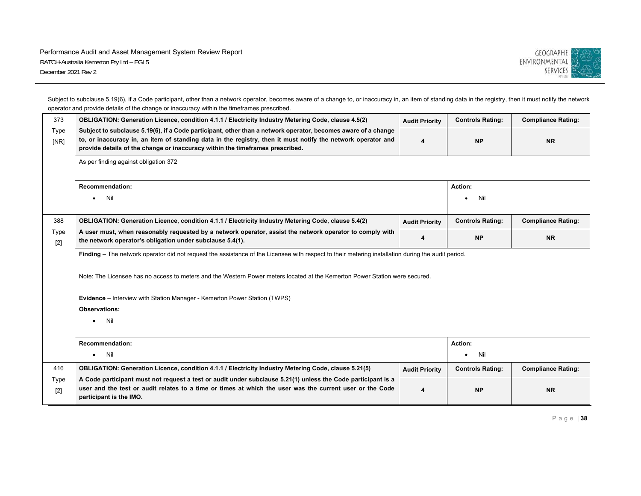

Subject to subclause 5.19(6), if a Code participant, other than a network operator, becomes aware of a change to, or inaccuracy in, an item of standing data in the registry, then it must notify the network operator and provide details of the change or inaccuracy within the timeframes prescribed.

| 373           | OBLIGATION: Generation Licence, condition 4.1.1 / Electricity Industry Metering Code, clause 4.5(2)                                                                                                                                                                                                            | <b>Audit Priority</b> | <b>Controls Rating:</b> | <b>Compliance Rating:</b> |
|---------------|----------------------------------------------------------------------------------------------------------------------------------------------------------------------------------------------------------------------------------------------------------------------------------------------------------------|-----------------------|-------------------------|---------------------------|
| Type<br>[NR]  | Subject to subclause 5.19(6), if a Code participant, other than a network operator, becomes aware of a change<br>to, or inaccuracy in, an item of standing data in the registry, then it must notify the network operator and<br>provide details of the change or inaccuracy within the timeframes prescribed. | 4                     | <b>NP</b>               | <b>NR</b>                 |
|               | As per finding against obligation 372                                                                                                                                                                                                                                                                          |                       |                         |                           |
|               | <b>Recommendation:</b>                                                                                                                                                                                                                                                                                         |                       | Action:                 |                           |
|               | Nil<br>$\bullet$                                                                                                                                                                                                                                                                                               |                       | Nil                     |                           |
| 388           | OBLIGATION: Generation Licence, condition 4.1.1 / Electricity Industry Metering Code, clause 5.4(2)                                                                                                                                                                                                            | <b>Audit Priority</b> | <b>Controls Rating:</b> | <b>Compliance Rating:</b> |
| Type<br>$[2]$ | A user must, when reasonably requested by a network operator, assist the network operator to comply with<br>the network operator's obligation under subclause 5.4(1).                                                                                                                                          | 4                     | <b>NP</b>               | <b>NR</b>                 |
|               | Finding – The network operator did not request the assistance of the Licensee with respect to their metering installation during the audit period.                                                                                                                                                             |                       |                         |                           |
|               | Note: The Licensee has no access to meters and the Western Power meters located at the Kemerton Power Station were secured.                                                                                                                                                                                    |                       |                         |                           |
|               | <b>Evidence</b> – Interview with Station Manager - Kemerton Power Station (TWPS)                                                                                                                                                                                                                               |                       |                         |                           |
|               | Observations:                                                                                                                                                                                                                                                                                                  |                       |                         |                           |
|               | Nil<br>$\bullet$                                                                                                                                                                                                                                                                                               |                       |                         |                           |
|               | <b>Recommendation:</b>                                                                                                                                                                                                                                                                                         |                       | Action:                 |                           |
|               | Nil<br>$\bullet$                                                                                                                                                                                                                                                                                               |                       | Nil<br>$\bullet$        |                           |
| 416           | OBLIGATION: Generation Licence, condition 4.1.1 / Electricity Industry Metering Code, clause 5.21(5)                                                                                                                                                                                                           | <b>Audit Priority</b> | <b>Controls Rating:</b> | <b>Compliance Rating:</b> |
| Type<br>$[2]$ | A Code participant must not request a test or audit under subclause 5.21(1) unless the Code participant is a<br>user and the test or audit relates to a time or times at which the user was the current user or the Code<br>participant is the IMO.                                                            |                       | <b>NP</b>               | <b>NR</b>                 |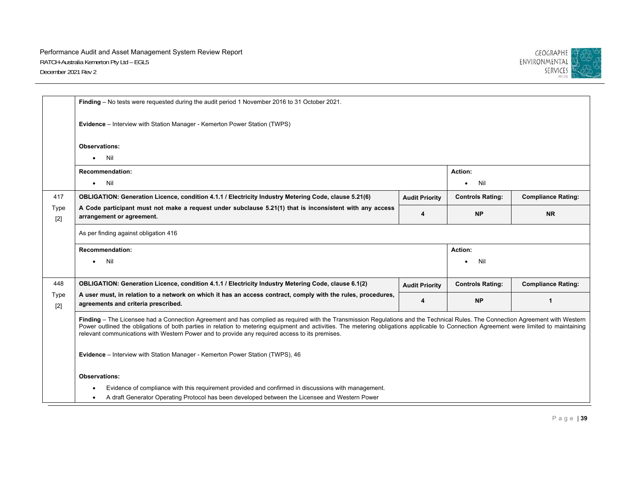

|               | Finding - No tests were requested during the audit period 1 November 2016 to 31 October 2021.                                                                                                                                                                                                                                                                                                                                                                                 |                       |                         |                           |
|---------------|-------------------------------------------------------------------------------------------------------------------------------------------------------------------------------------------------------------------------------------------------------------------------------------------------------------------------------------------------------------------------------------------------------------------------------------------------------------------------------|-----------------------|-------------------------|---------------------------|
|               | Evidence - Interview with Station Manager - Kemerton Power Station (TWPS)                                                                                                                                                                                                                                                                                                                                                                                                     |                       |                         |                           |
|               | <b>Observations:</b>                                                                                                                                                                                                                                                                                                                                                                                                                                                          |                       |                         |                           |
|               | Nil<br>$\bullet$                                                                                                                                                                                                                                                                                                                                                                                                                                                              |                       |                         |                           |
|               | <b>Recommendation:</b>                                                                                                                                                                                                                                                                                                                                                                                                                                                        |                       | Action:                 |                           |
|               | Nil<br>$\bullet$                                                                                                                                                                                                                                                                                                                                                                                                                                                              |                       | Nil<br>$\bullet$        |                           |
| 417           | OBLIGATION: Generation Licence, condition 4.1.1 / Electricity Industry Metering Code, clause 5.21(6)                                                                                                                                                                                                                                                                                                                                                                          | <b>Audit Priority</b> | <b>Controls Rating:</b> | <b>Compliance Rating:</b> |
| Type<br>$[2]$ | A Code participant must not make a request under subclause 5.21(1) that is inconsistent with any access<br>arrangement or agreement.                                                                                                                                                                                                                                                                                                                                          | 4                     | <b>NP</b>               | <b>NR</b>                 |
|               | As per finding against obligation 416                                                                                                                                                                                                                                                                                                                                                                                                                                         |                       |                         |                           |
|               | <b>Recommendation:</b>                                                                                                                                                                                                                                                                                                                                                                                                                                                        |                       | Action:                 |                           |
|               | Nil<br>$\bullet$                                                                                                                                                                                                                                                                                                                                                                                                                                                              |                       | Nil                     |                           |
|               |                                                                                                                                                                                                                                                                                                                                                                                                                                                                               |                       |                         |                           |
| 448           | OBLIGATION: Generation Licence, condition 4.1.1 / Electricity Industry Metering Code, clause 6.1(2)                                                                                                                                                                                                                                                                                                                                                                           | <b>Audit Priority</b> | <b>Controls Rating:</b> | <b>Compliance Rating:</b> |
| Type<br>$[2]$ | A user must, in relation to a network on which it has an access contract, comply with the rules, procedures,<br>agreements and criteria prescribed.                                                                                                                                                                                                                                                                                                                           | 4                     | <b>NP</b>               | 1                         |
|               | Finding - The Licensee had a Connection Agreement and has complied as required with the Transmission Regulations and the Technical Rules. The Connection Agreement with Western<br>Power outlined the obligations of both parties in relation to metering equipment and activities. The metering obligations applicable to Connection Agreement were limited to maintaining<br>relevant communications with Western Power and to provide any required access to its premises. |                       |                         |                           |
|               | Evidence - Interview with Station Manager - Kemerton Power Station (TWPS), 46                                                                                                                                                                                                                                                                                                                                                                                                 |                       |                         |                           |
|               | Observations:                                                                                                                                                                                                                                                                                                                                                                                                                                                                 |                       |                         |                           |
|               | Evidence of compliance with this requirement provided and confirmed in discussions with management.                                                                                                                                                                                                                                                                                                                                                                           |                       |                         |                           |
|               | A draft Generator Operating Protocol has been developed between the Licensee and Western Power<br>$\bullet$                                                                                                                                                                                                                                                                                                                                                                   |                       |                         |                           |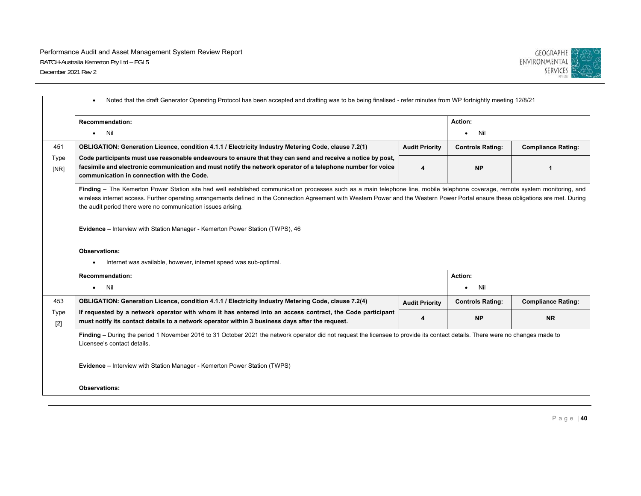

|               | Noted that the draft Generator Operating Protocol has been accepted and drafting was to be being finalised - refer minutes from WP fortnightly meeting 12/8/21.<br>$\bullet$                                                                                                                                                                                                                                                            |                       |                         |                           |
|---------------|-----------------------------------------------------------------------------------------------------------------------------------------------------------------------------------------------------------------------------------------------------------------------------------------------------------------------------------------------------------------------------------------------------------------------------------------|-----------------------|-------------------------|---------------------------|
|               | <b>Recommendation:</b>                                                                                                                                                                                                                                                                                                                                                                                                                  |                       | Action:                 |                           |
|               | Nil<br>$\bullet$                                                                                                                                                                                                                                                                                                                                                                                                                        |                       | Nil                     |                           |
| 451           | OBLIGATION: Generation Licence, condition 4.1.1 / Electricity Industry Metering Code, clause 7.2(1)                                                                                                                                                                                                                                                                                                                                     | <b>Audit Priority</b> | <b>Controls Rating:</b> | <b>Compliance Rating:</b> |
| Type<br>[NR]  | Code participants must use reasonable endeavours to ensure that they can send and receive a notice by post,<br>facsimile and electronic communication and must notify the network operator of a telephone number for voice<br>communication in connection with the Code.                                                                                                                                                                | 4                     | <b>NP</b>               | 1                         |
|               | Finding - The Kemerton Power Station site had well established communication processes such as a main telephone line, mobile telephone coverage, remote system monitoring, and<br>wireless internet access. Further operating arrangements defined in the Connection Agreement with Western Power and the Western Power Portal ensure these obligations are met. During<br>the audit period there were no communication issues arising. |                       |                         |                           |
|               | <b>Evidence</b> – Interview with Station Manager - Kemerton Power Station (TWPS), 46                                                                                                                                                                                                                                                                                                                                                    |                       |                         |                           |
|               | <b>Observations:</b>                                                                                                                                                                                                                                                                                                                                                                                                                    |                       |                         |                           |
|               | Internet was available, however, internet speed was sub-optimal.                                                                                                                                                                                                                                                                                                                                                                        |                       |                         |                           |
|               | <b>Recommendation:</b>                                                                                                                                                                                                                                                                                                                                                                                                                  |                       | Action:                 |                           |
|               | Nil<br>$\bullet$                                                                                                                                                                                                                                                                                                                                                                                                                        |                       | Nil                     |                           |
| 453           | OBLIGATION: Generation Licence, condition 4.1.1 / Electricity Industry Metering Code, clause 7.2(4)                                                                                                                                                                                                                                                                                                                                     | <b>Audit Priority</b> | <b>Controls Rating:</b> | <b>Compliance Rating:</b> |
| Type<br>$[2]$ | If requested by a network operator with whom it has entered into an access contract, the Code participant<br>must notify its contact details to a network operator within 3 business days after the request.                                                                                                                                                                                                                            | 4                     | <b>NP</b>               | <b>NR</b>                 |
|               | Finding - During the period 1 November 2016 to 31 October 2021 the network operator did not request the licensee to provide its contact details. There were no changes made to<br>Licensee's contact details.                                                                                                                                                                                                                           |                       |                         |                           |
|               | <b>Evidence</b> – Interview with Station Manager - Kemerton Power Station (TWPS)                                                                                                                                                                                                                                                                                                                                                        |                       |                         |                           |
|               | <b>Observations:</b>                                                                                                                                                                                                                                                                                                                                                                                                                    |                       |                         |                           |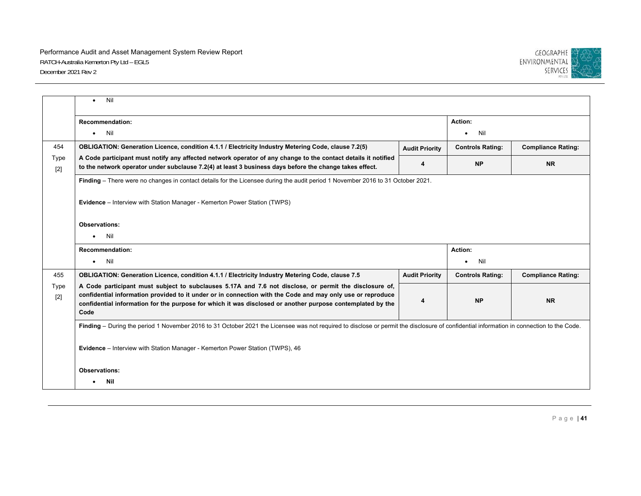

|               | Nil                                                                                                                                                                                                                                                                                                                                        |                       |                         |                           |
|---------------|--------------------------------------------------------------------------------------------------------------------------------------------------------------------------------------------------------------------------------------------------------------------------------------------------------------------------------------------|-----------------------|-------------------------|---------------------------|
|               | <b>Recommendation:</b>                                                                                                                                                                                                                                                                                                                     |                       | Action:                 |                           |
|               | <b>Nil</b><br>$\bullet$                                                                                                                                                                                                                                                                                                                    |                       | Nil<br>٠                |                           |
| 454           | OBLIGATION: Generation Licence, condition 4.1.1 / Electricity Industry Metering Code, clause 7.2(5)                                                                                                                                                                                                                                        | <b>Audit Priority</b> | <b>Controls Rating:</b> | <b>Compliance Rating:</b> |
| Type<br>$[2]$ | A Code participant must notify any affected network operator of any change to the contact details it notified<br>to the network operator under subclause 7.2(4) at least 3 business days before the change takes effect.                                                                                                                   | 4                     | <b>NP</b>               | <b>NR</b>                 |
|               | Finding – There were no changes in contact details for the Licensee during the audit period 1 November 2016 to 31 October 2021.                                                                                                                                                                                                            |                       |                         |                           |
|               | Evidence - Interview with Station Manager - Kemerton Power Station (TWPS)                                                                                                                                                                                                                                                                  |                       |                         |                           |
|               | <b>Observations:</b>                                                                                                                                                                                                                                                                                                                       |                       |                         |                           |
|               | Nil<br>$\bullet$                                                                                                                                                                                                                                                                                                                           |                       |                         |                           |
|               | <b>Recommendation:</b>                                                                                                                                                                                                                                                                                                                     |                       | Action:                 |                           |
|               | Nil<br>$\bullet$                                                                                                                                                                                                                                                                                                                           |                       | Nil<br>٠                |                           |
| 455           | OBLIGATION: Generation Licence, condition 4.1.1 / Electricity Industry Metering Code, clause 7.5                                                                                                                                                                                                                                           | <b>Audit Priority</b> | <b>Controls Rating:</b> | <b>Compliance Rating:</b> |
| Type<br>$[2]$ | A Code participant must subject to subclauses 5.17A and 7.6 not disclose, or permit the disclosure of,<br>confidential information provided to it under or in connection with the Code and may only use or reproduce<br>confidential information for the purpose for which it was disclosed or another purpose contemplated by the<br>Code | 4                     | <b>NP</b>               | <b>NR</b>                 |
|               | Finding - During the period 1 November 2016 to 31 October 2021 the Licensee was not required to disclose or permit the disclosure of confidential information in connection to the Code.                                                                                                                                                   |                       |                         |                           |
|               | Evidence - Interview with Station Manager - Kemerton Power Station (TWPS), 46                                                                                                                                                                                                                                                              |                       |                         |                           |
|               | <b>Observations:</b>                                                                                                                                                                                                                                                                                                                       |                       |                         |                           |
|               | Nil                                                                                                                                                                                                                                                                                                                                        |                       |                         |                           |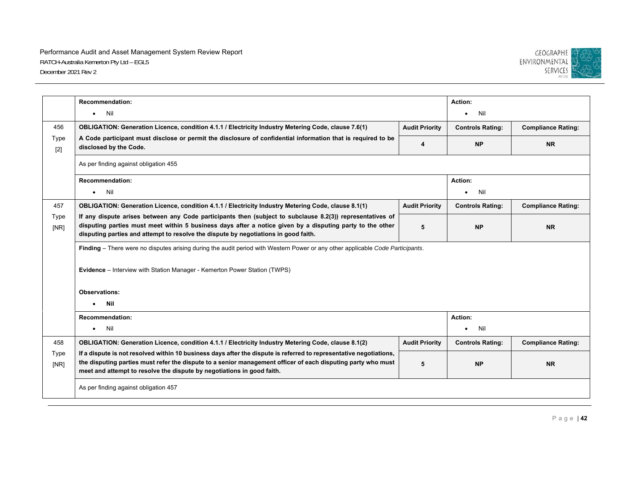

|               | <b>Recommendation:</b>                                                                                                                                                                                                                                                                                        |                       | Action:                 |                           |
|---------------|---------------------------------------------------------------------------------------------------------------------------------------------------------------------------------------------------------------------------------------------------------------------------------------------------------------|-----------------------|-------------------------|---------------------------|
|               | Nil<br>$\bullet$                                                                                                                                                                                                                                                                                              |                       | Nil                     |                           |
| 456           | OBLIGATION: Generation Licence, condition 4.1.1 / Electricity Industry Metering Code, clause 7.6(1)                                                                                                                                                                                                           | <b>Audit Priority</b> | <b>Controls Rating:</b> | <b>Compliance Rating:</b> |
| Type<br>$[2]$ | A Code participant must disclose or permit the disclosure of confidential information that is required to be<br>disclosed by the Code.                                                                                                                                                                        | 4                     | <b>NP</b>               | <b>NR</b>                 |
|               | As per finding against obligation 455                                                                                                                                                                                                                                                                         |                       |                         |                           |
|               | <b>Recommendation:</b>                                                                                                                                                                                                                                                                                        |                       | Action:                 |                           |
|               | Nil<br>$\bullet$                                                                                                                                                                                                                                                                                              |                       | Nil<br>$\bullet$        |                           |
| 457           | OBLIGATION: Generation Licence, condition 4.1.1 / Electricity Industry Metering Code, clause 8.1(1)                                                                                                                                                                                                           | <b>Audit Priority</b> | <b>Controls Rating:</b> | <b>Compliance Rating:</b> |
| Type<br>[NR]  | If any dispute arises between any Code participants then (subject to subclause 8.2(3)) representatives of<br>disputing parties must meet within 5 business days after a notice given by a disputing party to the other<br>disputing parties and attempt to resolve the dispute by negotiations in good faith. | 5                     | <b>NP</b>               | <b>NR</b>                 |
|               | Finding – There were no disputes arising during the audit period with Western Power or any other applicable Code Participants.                                                                                                                                                                                |                       |                         |                           |
|               | Evidence - Interview with Station Manager - Kemerton Power Station (TWPS)                                                                                                                                                                                                                                     |                       |                         |                           |
|               | <b>Observations:</b>                                                                                                                                                                                                                                                                                          |                       |                         |                           |
|               | Nil<br>$\bullet$                                                                                                                                                                                                                                                                                              |                       |                         |                           |
|               | <b>Recommendation:</b>                                                                                                                                                                                                                                                                                        |                       | Action:                 |                           |
|               | Nil<br>$\bullet$                                                                                                                                                                                                                                                                                              |                       | Nil<br>$\bullet$        |                           |
| 458           | OBLIGATION: Generation Licence, condition 4.1.1 / Electricity Industry Metering Code, clause 8.1(2)                                                                                                                                                                                                           | <b>Audit Priority</b> | <b>Controls Rating:</b> | <b>Compliance Rating:</b> |
| Type<br>[NR]  | If a dispute is not resolved within 10 business days after the dispute is referred to representative negotiations,<br>the disputing parties must refer the dispute to a senior management officer of each disputing party who must<br>meet and attempt to resolve the dispute by negotiations in good faith.  | 5                     | <b>NP</b>               | <b>NR</b>                 |
|               | As per finding against obligation 457                                                                                                                                                                                                                                                                         |                       |                         |                           |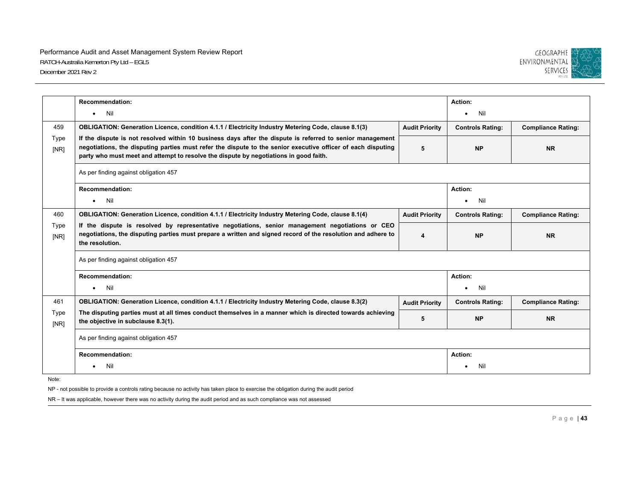

|              | <b>Recommendation:</b>                                                                                                                                                                                                                                                                                             |                       | Action:                 |                           |
|--------------|--------------------------------------------------------------------------------------------------------------------------------------------------------------------------------------------------------------------------------------------------------------------------------------------------------------------|-----------------------|-------------------------|---------------------------|
|              | $\bullet$ Nil                                                                                                                                                                                                                                                                                                      |                       | Nil<br>$\bullet$        |                           |
| 459          | OBLIGATION: Generation Licence, condition 4.1.1 / Electricity Industry Metering Code, clause 8.1(3)                                                                                                                                                                                                                | <b>Audit Priority</b> | <b>Controls Rating:</b> | <b>Compliance Rating:</b> |
| Type<br>[NR] | If the dispute is not resolved within 10 business days after the dispute is referred to senior management<br>negotiations, the disputing parties must refer the dispute to the senior executive officer of each disputing<br>party who must meet and attempt to resolve the dispute by negotiations in good faith. | 5                     | <b>NP</b>               | <b>NR</b>                 |
|              | As per finding against obligation 457                                                                                                                                                                                                                                                                              |                       |                         |                           |
|              | <b>Recommendation:</b>                                                                                                                                                                                                                                                                                             |                       | Action:                 |                           |
|              | Nil<br>$\bullet$                                                                                                                                                                                                                                                                                                   |                       | Nil                     |                           |
| 460          | OBLIGATION: Generation Licence, condition 4.1.1 / Electricity Industry Metering Code, clause 8.1(4)                                                                                                                                                                                                                | <b>Audit Priority</b> | <b>Controls Rating:</b> | <b>Compliance Rating:</b> |
| Type<br>[NR] | If the dispute is resolved by representative negotiations, senior management negotiations or CEO<br>negotiations, the disputing parties must prepare a written and signed record of the resolution and adhere to<br>the resolution.                                                                                | 4                     | <b>NP</b>               | <b>NR</b>                 |
|              | As per finding against obligation 457                                                                                                                                                                                                                                                                              |                       |                         |                           |
|              | <b>Recommendation:</b>                                                                                                                                                                                                                                                                                             |                       | Action:                 |                           |
|              | Nil<br>$\bullet$                                                                                                                                                                                                                                                                                                   |                       | Nil<br>٠                |                           |
| 461          | OBLIGATION: Generation Licence, condition 4.1.1 / Electricity Industry Metering Code, clause 8.3(2)                                                                                                                                                                                                                | <b>Audit Priority</b> | <b>Controls Rating:</b> | <b>Compliance Rating:</b> |
| Type<br>[NR] | The disputing parties must at all times conduct themselves in a manner which is directed towards achieving<br>the objective in subclause 8.3(1).                                                                                                                                                                   | 5                     | <b>NP</b>               | <b>NR</b>                 |
|              | As per finding against obligation 457                                                                                                                                                                                                                                                                              |                       |                         |                           |
|              | <b>Recommendation:</b>                                                                                                                                                                                                                                                                                             |                       | Action:                 |                           |
|              | Nil<br>$\bullet$                                                                                                                                                                                                                                                                                                   |                       | Nil                     |                           |

Note:

NP - not possible to provide a controls rating because no activity has taken place to exercise the obligation during the audit period

NR – It was applicable, however there was no activity during the audit period and as such compliance was not assessed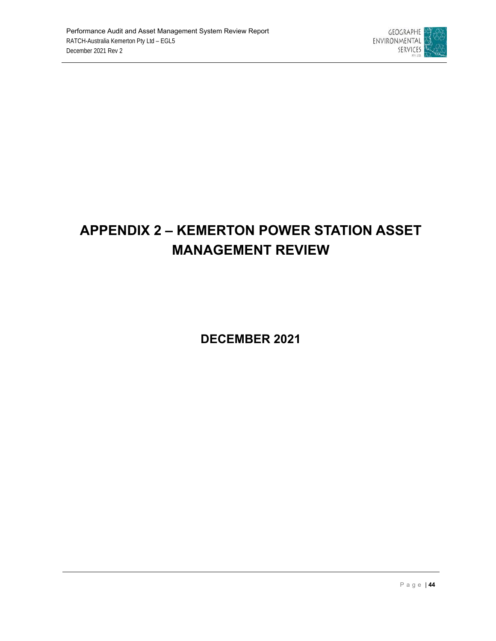

# **APPENDIX 2 – KEMERTON POWER STATION ASSET MANAGEMENT REVIEW**

**DECEMBER 2021**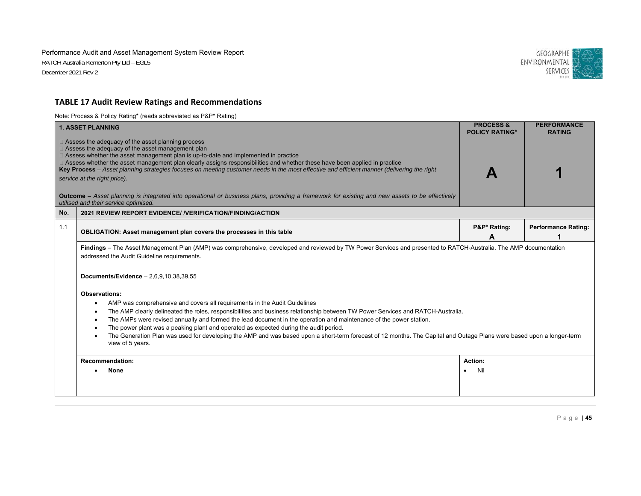

## **TABLE 17 Audit Review Ratings and Recommendations**

Note: Process & Policy Rating\* (reads abbreviated as P&P\* Rating)

|     | <b>1. ASSET PLANNING</b>                                                                                                                                                                                                                                                                                                                                                                                                                                                                                                                                                                                                                                                                                                 | <b>PROCESS &amp;</b><br><b>POLICY RATING*</b> | <b>PERFORMANCE</b><br><b>RATING</b> |  |
|-----|--------------------------------------------------------------------------------------------------------------------------------------------------------------------------------------------------------------------------------------------------------------------------------------------------------------------------------------------------------------------------------------------------------------------------------------------------------------------------------------------------------------------------------------------------------------------------------------------------------------------------------------------------------------------------------------------------------------------------|-----------------------------------------------|-------------------------------------|--|
|     | $\Box$ Assess the adequacy of the asset planning process<br>$\Box$ Assess the adequacy of the asset management plan<br>$\Box$ Assess whether the asset management plan is up-to-date and implemented in practice<br>□ Assess whether the asset management plan clearly assigns responsibilities and whether these have been applied in practice<br>Key Process - Asset planning strategies focuses on meeting customer needs in the most effective and efficient manner (delivering the right<br>service at the right price).<br>Outcome - Asset planning is integrated into operational or business plans, providing a framework for existing and new assets to be effectively<br>utilised and their service optimised. |                                               |                                     |  |
| No. | 2021 REVIEW REPORT EVIDENCE/ / VERIFICATION/FINDING/ACTION                                                                                                                                                                                                                                                                                                                                                                                                                                                                                                                                                                                                                                                               |                                               |                                     |  |
| 1.1 | <b>OBLIGATION: Asset management plan covers the processes in this table</b>                                                                                                                                                                                                                                                                                                                                                                                                                                                                                                                                                                                                                                              | P&P* Rating:<br>А                             | <b>Performance Rating:</b>          |  |
|     | Findings - The Asset Management Plan (AMP) was comprehensive, developed and reviewed by TW Power Services and presented to RATCH-Australia. The AMP documentation<br>addressed the Audit Guideline requirements.<br>Documents/Evidence $-2,6,9,10,38,39,55$                                                                                                                                                                                                                                                                                                                                                                                                                                                              |                                               |                                     |  |
|     | Observations:                                                                                                                                                                                                                                                                                                                                                                                                                                                                                                                                                                                                                                                                                                            |                                               |                                     |  |
|     | AMP was comprehensive and covers all requirements in the Audit Guidelines<br>The AMP clearly delineated the roles, responsibilities and business relationship between TW Power Services and RATCH-Australia.<br>$\bullet$<br>The AMPs were revised annually and formed the lead document in the operation and maintenance of the power station.<br>$\bullet$<br>The power plant was a peaking plant and operated as expected during the audit period.<br>$\bullet$<br>The Generation Plan was used for developing the AMP and was based upon a short-term forecast of 12 months. The Capital and Outage Plans were based upon a longer-term<br>$\bullet$<br>view of 5 years.                                             |                                               |                                     |  |
|     | <b>Recommendation:</b>                                                                                                                                                                                                                                                                                                                                                                                                                                                                                                                                                                                                                                                                                                   | Action:                                       |                                     |  |
|     | <b>None</b>                                                                                                                                                                                                                                                                                                                                                                                                                                                                                                                                                                                                                                                                                                              | Nil                                           |                                     |  |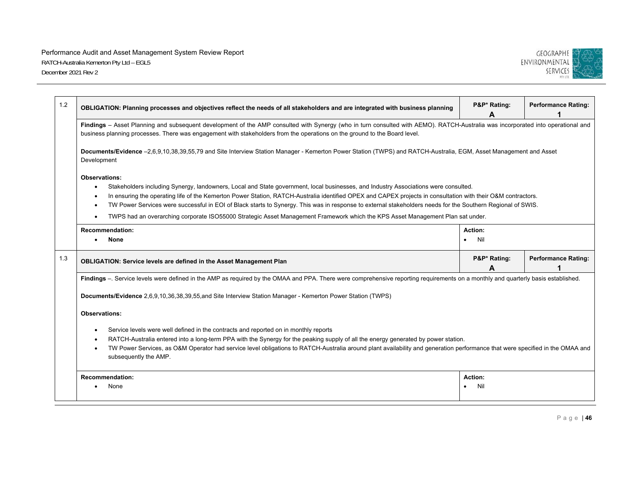

| 1.2 | OBLIGATION: Planning processes and objectives reflect the needs of all stakeholders and are integrated with business planning                                                                                                                                                                                                                                                                                                                                                                                                                                                                                                             | P&P* Rating:<br>A           | <b>Performance Rating:</b> |  |  |
|-----|-------------------------------------------------------------------------------------------------------------------------------------------------------------------------------------------------------------------------------------------------------------------------------------------------------------------------------------------------------------------------------------------------------------------------------------------------------------------------------------------------------------------------------------------------------------------------------------------------------------------------------------------|-----------------------------|----------------------------|--|--|
|     | Findings - Asset Planning and subsequent development of the AMP consulted with Synergy (who in turn consulted with AEMO). RATCH-Australia was incorporated into operational and<br>business planning processes. There was engagement with stakeholders from the operations on the ground to the Board level.                                                                                                                                                                                                                                                                                                                              |                             |                            |  |  |
|     | Documents/Evidence -2,6,9,10,38,39,55,79 and Site Interview Station Manager - Kemerton Power Station (TWPS) and RATCH-Australia, EGM, Asset Management and Asset<br>Development                                                                                                                                                                                                                                                                                                                                                                                                                                                           |                             |                            |  |  |
|     | <b>Observations:</b><br>Stakeholders including Synergy, landowners, Local and State government, local businesses, and Industry Associations were consulted.<br>$\bullet$<br>In ensuring the operating life of the Kemerton Power Station, RATCH-Australia identified OPEX and CAPEX projects in consultation with their O&M contractors.<br>TW Power Services were successful in EOI of Black starts to Synergy. This was in response to external stakeholders needs for the Southern Regional of SWIS.<br>TWPS had an overarching corporate ISO55000 Strategic Asset Management Framework which the KPS Asset Management Plan sat under. |                             |                            |  |  |
|     | <b>Recommendation:</b><br><b>None</b><br>$\bullet$                                                                                                                                                                                                                                                                                                                                                                                                                                                                                                                                                                                        | Action:<br>Nil<br>$\bullet$ |                            |  |  |
| 1.3 | <b>OBLIGATION: Service levels are defined in the Asset Management Plan</b>                                                                                                                                                                                                                                                                                                                                                                                                                                                                                                                                                                | P&P* Rating:<br>А           | <b>Performance Rating:</b> |  |  |
|     | Findings -. Service levels were defined in the AMP as required by the OMAA and PPA. There were comprehensive reporting requirements on a monthly and quarterly basis established.                                                                                                                                                                                                                                                                                                                                                                                                                                                         |                             |                            |  |  |
|     | Documents/Evidence 2,6,9,10,36,38,39,55,and Site Interview Station Manager - Kemerton Power Station (TWPS)                                                                                                                                                                                                                                                                                                                                                                                                                                                                                                                                |                             |                            |  |  |
|     | <b>Observations:</b>                                                                                                                                                                                                                                                                                                                                                                                                                                                                                                                                                                                                                      |                             |                            |  |  |
|     | Service levels were well defined in the contracts and reported on in monthly reports<br>RATCH-Australia entered into a long-term PPA with the Synergy for the peaking supply of all the energy generated by power station.<br>TW Power Services, as O&M Operator had service level obligations to RATCH-Australia around plant availability and generation performance that were specified in the OMAA and<br>subsequently the AMP.                                                                                                                                                                                                       |                             |                            |  |  |
|     | <b>Recommendation:</b><br>None                                                                                                                                                                                                                                                                                                                                                                                                                                                                                                                                                                                                            | Action:<br>Nil              |                            |  |  |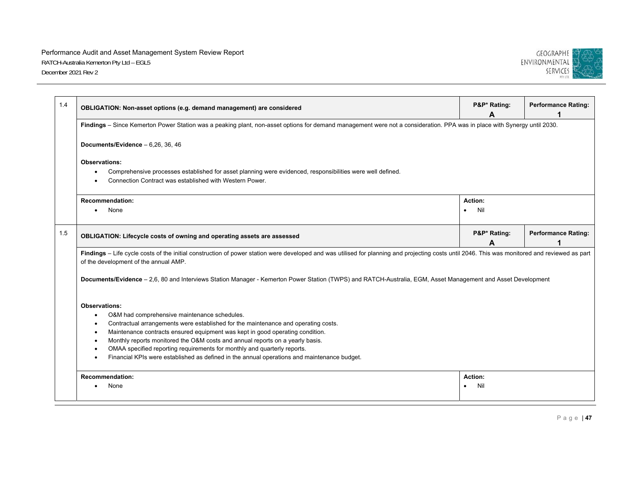

| 1.4 | OBLIGATION: Non-asset options (e.g. demand management) are considered                                                                                                                                                                                                                                                                                                                                                                                                                                                             | P&P* Rating:<br>A           | <b>Performance Rating:</b> |  |  |
|-----|-----------------------------------------------------------------------------------------------------------------------------------------------------------------------------------------------------------------------------------------------------------------------------------------------------------------------------------------------------------------------------------------------------------------------------------------------------------------------------------------------------------------------------------|-----------------------------|----------------------------|--|--|
|     | Findings - Since Kemerton Power Station was a peaking plant, non-asset options for demand management were not a consideration. PPA was in place with Synergy until 2030.                                                                                                                                                                                                                                                                                                                                                          |                             |                            |  |  |
|     | Documents/Evidence - 6,26, 36, 46                                                                                                                                                                                                                                                                                                                                                                                                                                                                                                 |                             |                            |  |  |
|     | <b>Observations:</b><br>Comprehensive processes established for asset planning were evidenced, responsibilities were well defined.<br>Connection Contract was established with Western Power.                                                                                                                                                                                                                                                                                                                                     |                             |                            |  |  |
|     | <b>Recommendation:</b><br>None<br>$\bullet$                                                                                                                                                                                                                                                                                                                                                                                                                                                                                       | Action:<br>Nil<br>$\bullet$ |                            |  |  |
| 1.5 | OBLIGATION: Lifecycle costs of owning and operating assets are assessed                                                                                                                                                                                                                                                                                                                                                                                                                                                           | P&P* Rating:<br>А           | <b>Performance Rating:</b> |  |  |
|     | Findings - Life cycle costs of the initial construction of power station were developed and was utilised for planning and projecting costs until 2046. This was monitored and reviewed as part<br>of the development of the annual AMP.                                                                                                                                                                                                                                                                                           |                             |                            |  |  |
|     | Documents/Evidence - 2,6, 80 and Interviews Station Manager - Kemerton Power Station (TWPS) and RATCH-Australia, EGM, Asset Management and Asset Development                                                                                                                                                                                                                                                                                                                                                                      |                             |                            |  |  |
|     | <b>Observations:</b><br>O&M had comprehensive maintenance schedules.<br>Contractual arrangements were established for the maintenance and operating costs.<br>Maintenance contracts ensured equipment was kept in good operating condition.<br>$\bullet$<br>Monthly reports monitored the O&M costs and annual reports on a yearly basis.<br>$\bullet$<br>OMAA specified reporting requirements for monthly and quarterly reports.<br>Financial KPIs were established as defined in the annual operations and maintenance budget. |                             |                            |  |  |
|     | <b>Recommendation:</b><br>None                                                                                                                                                                                                                                                                                                                                                                                                                                                                                                    | Action:<br>Nil<br>$\bullet$ |                            |  |  |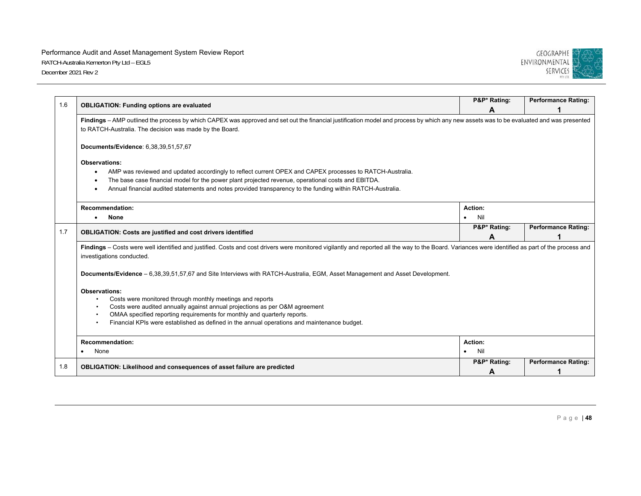

| 1.6 |                                                                                                                                                                                                                                                    | P&P* Rating:     | <b>Performance Rating:</b> |  |
|-----|----------------------------------------------------------------------------------------------------------------------------------------------------------------------------------------------------------------------------------------------------|------------------|----------------------------|--|
|     | <b>OBLIGATION: Funding options are evaluated</b>                                                                                                                                                                                                   | A                |                            |  |
|     | Findings - AMP outlined the process by which CAPEX was approved and set out the financial justification model and process by which any new assets was to be evaluated and was presented<br>to RATCH-Australia. The decision was made by the Board. |                  |                            |  |
|     | Documents/Evidence: 6,38,39,51,57,67                                                                                                                                                                                                               |                  |                            |  |
|     | <b>Observations:</b>                                                                                                                                                                                                                               |                  |                            |  |
|     | AMP was reviewed and updated accordingly to reflect current OPEX and CAPEX processes to RATCH-Australia.<br>٠                                                                                                                                      |                  |                            |  |
|     | The base case financial model for the power plant projected revenue, operational costs and EBITDA.                                                                                                                                                 |                  |                            |  |
|     | Annual financial audited statements and notes provided transparency to the funding within RATCH-Australia.                                                                                                                                         |                  |                            |  |
|     | <b>Recommendation:</b>                                                                                                                                                                                                                             | Action:          |                            |  |
|     | <b>None</b><br>$\bullet$                                                                                                                                                                                                                           | Nil<br>$\bullet$ |                            |  |
| 1.7 | <b>OBLIGATION: Costs are justified and cost drivers identified</b>                                                                                                                                                                                 | P&P* Rating:     | <b>Performance Rating:</b> |  |
|     |                                                                                                                                                                                                                                                    | А                |                            |  |
|     | Findings - Costs were well identified and justified. Costs and cost drivers were monitored vigilantly and reported all the way to the Board. Variances were identified as part of the process and<br>investigations conducted.                     |                  |                            |  |
|     | Documents/Evidence - 6,38,39,51,57,67 and Site Interviews with RATCH-Australia, EGM, Asset Management and Asset Development.                                                                                                                       |                  |                            |  |
|     | <b>Observations:</b>                                                                                                                                                                                                                               |                  |                            |  |
|     | Costs were monitored through monthly meetings and reports                                                                                                                                                                                          |                  |                            |  |
|     | Costs were audited annually against annual projections as per O&M agreement                                                                                                                                                                        |                  |                            |  |
|     | OMAA specified reporting requirements for monthly and quarterly reports.                                                                                                                                                                           |                  |                            |  |
|     | Financial KPIs were established as defined in the annual operations and maintenance budget.                                                                                                                                                        |                  |                            |  |
|     | <b>Recommendation:</b>                                                                                                                                                                                                                             | Action:          |                            |  |
|     | None                                                                                                                                                                                                                                               | Nil              |                            |  |
| 1.8 | OBLIGATION: Likelihood and consequences of asset failure are predicted                                                                                                                                                                             | P&P* Rating:     | <b>Performance Rating:</b> |  |
|     |                                                                                                                                                                                                                                                    | A                |                            |  |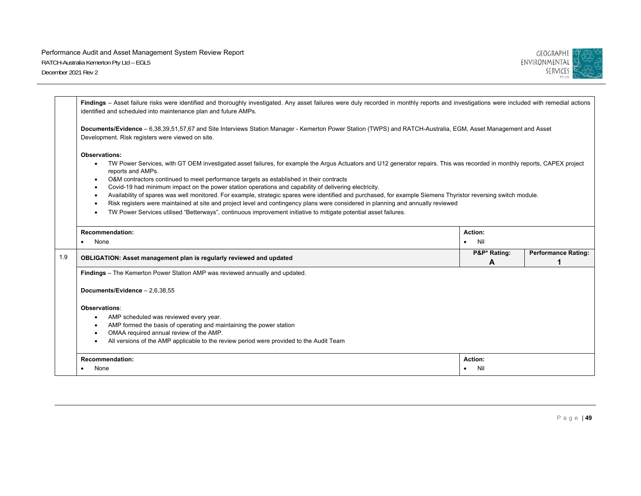

|                                                                                                                                                                                                                                                                                                                                                                                                                                                                                                                                                                                                                                                                                                                                                                                                                                                       | Findings - Asset failure risks were identified and thoroughly investigated. Any asset failures were duly recorded in monthly reports and investigations were included with remedial actions<br>identified and scheduled into maintenance plan and future AMPs.       |                   |                                 |  |  |
|-------------------------------------------------------------------------------------------------------------------------------------------------------------------------------------------------------------------------------------------------------------------------------------------------------------------------------------------------------------------------------------------------------------------------------------------------------------------------------------------------------------------------------------------------------------------------------------------------------------------------------------------------------------------------------------------------------------------------------------------------------------------------------------------------------------------------------------------------------|----------------------------------------------------------------------------------------------------------------------------------------------------------------------------------------------------------------------------------------------------------------------|-------------------|---------------------------------|--|--|
|                                                                                                                                                                                                                                                                                                                                                                                                                                                                                                                                                                                                                                                                                                                                                                                                                                                       | Documents/Evidence - 6,38,39,51,57,67 and Site Interviews Station Manager - Kemerton Power Station (TWPS) and RATCH-Australia, EGM, Asset Management and Asset<br>Development. Risk registers were viewed on site.                                                   |                   |                                 |  |  |
| <b>Observations:</b><br>TW Power Services, with GT OEM investigated asset failures, for example the Argus Actuators and U12 generator repairs. This was recorded in monthly reports, CAPEX project<br>reports and AMPs.<br>O&M contractors continued to meet performance targets as established in their contracts<br>Covid-19 had minimum impact on the power station operations and capability of delivering electricity.<br>Availability of spares was well monitored. For example, strategic spares were identified and purchased, for example Siemens Thyristor reversing switch module.<br>Risk registers were maintained at site and project level and contingency plans were considered in planning and annually reviewed<br>TW Power Services utilised "Betterways", continuous improvement initiative to mitigate potential asset failures. |                                                                                                                                                                                                                                                                      |                   |                                 |  |  |
|                                                                                                                                                                                                                                                                                                                                                                                                                                                                                                                                                                                                                                                                                                                                                                                                                                                       | <b>Recommendation:</b><br>None                                                                                                                                                                                                                                       | Action:<br>Nil    |                                 |  |  |
| 1.9                                                                                                                                                                                                                                                                                                                                                                                                                                                                                                                                                                                                                                                                                                                                                                                                                                                   | OBLIGATION: Asset management plan is regularly reviewed and updated                                                                                                                                                                                                  | P&P* Rating:<br>A | <b>Performance Rating:</b><br>1 |  |  |
|                                                                                                                                                                                                                                                                                                                                                                                                                                                                                                                                                                                                                                                                                                                                                                                                                                                       | Findings - The Kemerton Power Station AMP was reviewed annually and updated.<br>Documents/Evidence - 2,6,38,55                                                                                                                                                       |                   |                                 |  |  |
|                                                                                                                                                                                                                                                                                                                                                                                                                                                                                                                                                                                                                                                                                                                                                                                                                                                       | Observations:<br>AMP scheduled was reviewed every year.<br>AMP formed the basis of operating and maintaining the power station<br>OMAA required annual review of the AMP.<br>All versions of the AMP applicable to the review period were provided to the Audit Team |                   |                                 |  |  |
|                                                                                                                                                                                                                                                                                                                                                                                                                                                                                                                                                                                                                                                                                                                                                                                                                                                       | <b>Action:</b><br>Nil                                                                                                                                                                                                                                                |                   |                                 |  |  |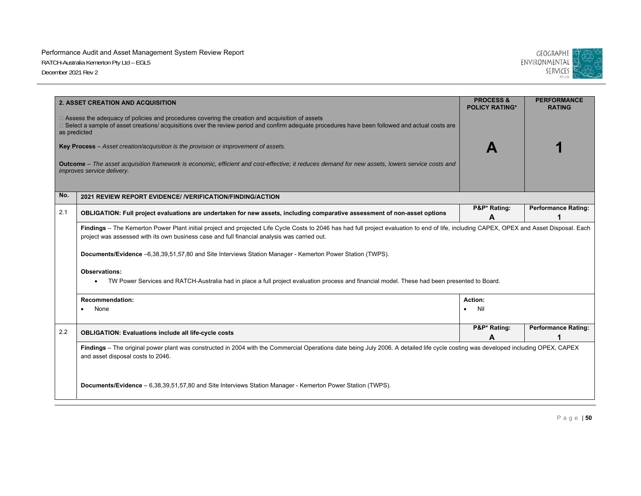

|     | 2. ASSET CREATION AND ACQUISITION                                                                                                                                                                                                                                                         | <b>PROCESS &amp;</b><br><b>POLICY RATING*</b> | <b>PERFORMANCE</b><br><b>RATING</b> |  |  |
|-----|-------------------------------------------------------------------------------------------------------------------------------------------------------------------------------------------------------------------------------------------------------------------------------------------|-----------------------------------------------|-------------------------------------|--|--|
|     | $\Box$ Assess the adequacy of policies and procedures covering the creation and acquisition of assets<br>□ Select a sample of asset creations/ acquisitions over the review period and confirm adequate procedures have been followed and actual costs are<br>as predicted                |                                               |                                     |  |  |
|     | Key Process - Asset creation/acquisition is the provision or improvement of assets.                                                                                                                                                                                                       |                                               |                                     |  |  |
|     | Outcome - The asset acquisition framework is economic, efficient and cost-effective; it reduces demand for new assets, lowers service costs and<br>improves service delivery.                                                                                                             |                                               |                                     |  |  |
| No. | 2021 REVIEW REPORT EVIDENCE/ / VERIFICATION/FINDING/ACTION                                                                                                                                                                                                                                |                                               |                                     |  |  |
| 2.1 | OBLIGATION: Full project evaluations are undertaken for new assets, including comparative assessment of non-asset options                                                                                                                                                                 | P&P* Rating:<br>A                             | <b>Performance Rating:</b>          |  |  |
|     | Findings - The Kemerton Power Plant initial project and projected Life Cycle Costs to 2046 has had full project evaluation to end of life, including CAPEX, OPEX and Asset Disposal. Each<br>project was assessed with its own business case and full financial analysis was carried out. |                                               |                                     |  |  |
|     | Documents/Evidence -6,38,39,51,57,80 and Site Interviews Station Manager - Kemerton Power Station (TWPS).                                                                                                                                                                                 |                                               |                                     |  |  |
|     | <b>Observations:</b><br>TW Power Services and RATCH-Australia had in place a full project evaluation process and financial model. These had been presented to Board.<br>$\bullet$                                                                                                         |                                               |                                     |  |  |
|     | <b>Recommendation:</b>                                                                                                                                                                                                                                                                    | Action:                                       |                                     |  |  |
|     | None                                                                                                                                                                                                                                                                                      | Nil<br>$\bullet$                              |                                     |  |  |
| 2.2 | <b>OBLIGATION: Evaluations include all life-cycle costs</b>                                                                                                                                                                                                                               | P&P* Rating:<br>A                             | <b>Performance Rating:</b>          |  |  |
|     | Findings - The original power plant was constructed in 2004 with the Commercial Operations date being July 2006. A detailed life cycle costing was developed including OPEX, CAPEX<br>and asset disposal costs to 2046.                                                                   |                                               |                                     |  |  |
|     | Documents/Evidence - 6,38,39,51,57,80 and Site Interviews Station Manager - Kemerton Power Station (TWPS).                                                                                                                                                                                |                                               |                                     |  |  |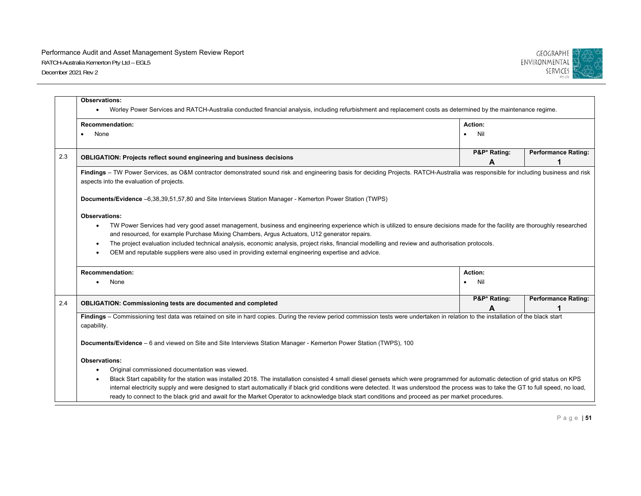

|     | <b>Observations:</b><br>Worley Power Services and RATCH-Australia conducted financial analysis, including refurbishment and replacement costs as determined by the maintenance regime.<br>$\bullet$                                                                                                                                                                                                                                                                                                                                                                                                                   |                   |                            |  |  |
|-----|-----------------------------------------------------------------------------------------------------------------------------------------------------------------------------------------------------------------------------------------------------------------------------------------------------------------------------------------------------------------------------------------------------------------------------------------------------------------------------------------------------------------------------------------------------------------------------------------------------------------------|-------------------|----------------------------|--|--|
|     | <b>Recommendation:</b><br>None                                                                                                                                                                                                                                                                                                                                                                                                                                                                                                                                                                                        | Action:<br>Nil    |                            |  |  |
| 2.3 | <b>OBLIGATION: Projects reflect sound engineering and business decisions</b>                                                                                                                                                                                                                                                                                                                                                                                                                                                                                                                                          | P&P* Rating:<br>A | <b>Performance Rating:</b> |  |  |
|     | Findings - TW Power Services, as O&M contractor demonstrated sound risk and engineering basis for deciding Projects. RATCH-Australia was responsible for including business and risk<br>aspects into the evaluation of projects.                                                                                                                                                                                                                                                                                                                                                                                      |                   |                            |  |  |
|     | Documents/Evidence -6,38,39,51,57,80 and Site Interviews Station Manager - Kemerton Power Station (TWPS)                                                                                                                                                                                                                                                                                                                                                                                                                                                                                                              |                   |                            |  |  |
|     | <b>Observations:</b><br>TW Power Services had very good asset management, business and engineering experience which is utilized to ensure decisions made for the facility are thoroughly researched<br>$\bullet$<br>and resourced, for example Purchase Mixing Chambers, Argus Actuators, U12 generator repairs.<br>The project evaluation included technical analysis, economic analysis, project risks, financial modelling and review and authorisation protocols.<br>$\bullet$<br>OEM and reputable suppliers were also used in providing external engineering expertise and advice.                              |                   |                            |  |  |
|     | <b>Recommendation:</b>                                                                                                                                                                                                                                                                                                                                                                                                                                                                                                                                                                                                | Action:           |                            |  |  |
|     | None                                                                                                                                                                                                                                                                                                                                                                                                                                                                                                                                                                                                                  | Nil<br>$\bullet$  |                            |  |  |
| 2.4 | <b>OBLIGATION: Commissioning tests are documented and completed</b>                                                                                                                                                                                                                                                                                                                                                                                                                                                                                                                                                   | P&P* Rating:<br>A | <b>Performance Rating:</b> |  |  |
|     | Findings - Commissioning test data was retained on site in hard copies. During the review period commission tests were undertaken in relation to the installation of the black start<br>capability.                                                                                                                                                                                                                                                                                                                                                                                                                   |                   |                            |  |  |
|     | Documents/Evidence - 6 and viewed on Site and Site Interviews Station Manager - Kemerton Power Station (TWPS), 100                                                                                                                                                                                                                                                                                                                                                                                                                                                                                                    |                   |                            |  |  |
|     | <b>Observations:</b><br>Original commissioned documentation was viewed.<br>$\bullet$<br>Black Start capability for the station was installed 2018. The installation consisted 4 small diesel gensets which were programmed for automatic detection of grid status on KPS<br>internal electricity supply and were designed to start automatically if black grid conditions were detected. It was understood the process was to take the GT to full speed, no load,<br>ready to connect to the black grid and await for the Market Operator to acknowledge black start conditions and proceed as per market procedures. |                   |                            |  |  |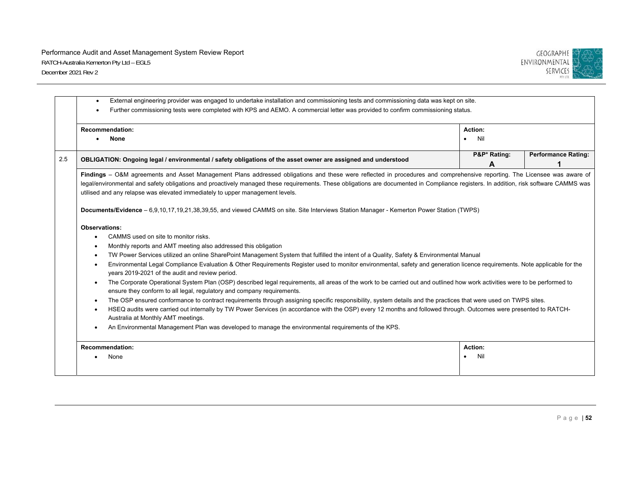

|     | <b>Recommendation:</b><br>None                                                                                                                                                                                                                                                                                                                                                                                                                                                                                                                                                                                                                                                                                                                                                                                                                                                                                                                                                                                                                                                                                                                                                                                                                         | Action:<br>Nil    |                            |  |  |
|-----|--------------------------------------------------------------------------------------------------------------------------------------------------------------------------------------------------------------------------------------------------------------------------------------------------------------------------------------------------------------------------------------------------------------------------------------------------------------------------------------------------------------------------------------------------------------------------------------------------------------------------------------------------------------------------------------------------------------------------------------------------------------------------------------------------------------------------------------------------------------------------------------------------------------------------------------------------------------------------------------------------------------------------------------------------------------------------------------------------------------------------------------------------------------------------------------------------------------------------------------------------------|-------------------|----------------------------|--|--|
| 2.5 | OBLIGATION: Ongoing legal / environmental / safety obligations of the asset owner are assigned and understood                                                                                                                                                                                                                                                                                                                                                                                                                                                                                                                                                                                                                                                                                                                                                                                                                                                                                                                                                                                                                                                                                                                                          | P&P* Rating:<br>A | <b>Performance Rating:</b> |  |  |
|     | Findings - O&M agreements and Asset Management Plans addressed obligations and these were reflected in procedures and comprehensive reporting. The Licensee was aware of<br>legal/environmental and safety obligations and proactively managed these requirements. These obligations are documented in Compliance registers. In addition, risk software CAMMS was<br>utilised and any relapse was elevated immediately to upper management levels.                                                                                                                                                                                                                                                                                                                                                                                                                                                                                                                                                                                                                                                                                                                                                                                                     |                   |                            |  |  |
|     | Documents/Evidence - 6,9,10,17,19,21,38,39,55, and viewed CAMMS on site. Site Interviews Station Manager - Kemerton Power Station (TWPS)                                                                                                                                                                                                                                                                                                                                                                                                                                                                                                                                                                                                                                                                                                                                                                                                                                                                                                                                                                                                                                                                                                               |                   |                            |  |  |
|     | <b>Observations:</b><br>CAMMS used on site to monitor risks.<br>Monthly reports and AMT meeting also addressed this obligation<br>TW Power Services utilized an online SharePoint Management System that fulfilled the intent of a Quality, Safety & Environmental Manual<br>Environmental Legal Compliance Evaluation & Other Requirements Register used to monitor environmental, safety and generation licence requirements. Note applicable for the<br>years 2019-2021 of the audit and review period.<br>The Corporate Operational System Plan (OSP) described legal requirements, all areas of the work to be carried out and outlined how work activities were to be performed to<br>ensure they conform to all legal, regulatory and company requirements.<br>The OSP ensured conformance to contract requirements through assigning specific responsibility, system details and the practices that were used on TWPS sites.<br>HSEQ audits were carried out internally by TW Power Services (in accordance with the OSP) every 12 months and followed through. Outcomes were presented to RATCH-<br>Australia at Monthly AMT meetings.<br>An Environmental Management Plan was developed to manage the environmental requirements of the KPS. |                   |                            |  |  |
|     | <b>Recommendation:</b>                                                                                                                                                                                                                                                                                                                                                                                                                                                                                                                                                                                                                                                                                                                                                                                                                                                                                                                                                                                                                                                                                                                                                                                                                                 | Action:           |                            |  |  |
|     | None                                                                                                                                                                                                                                                                                                                                                                                                                                                                                                                                                                                                                                                                                                                                                                                                                                                                                                                                                                                                                                                                                                                                                                                                                                                   | Nil               |                            |  |  |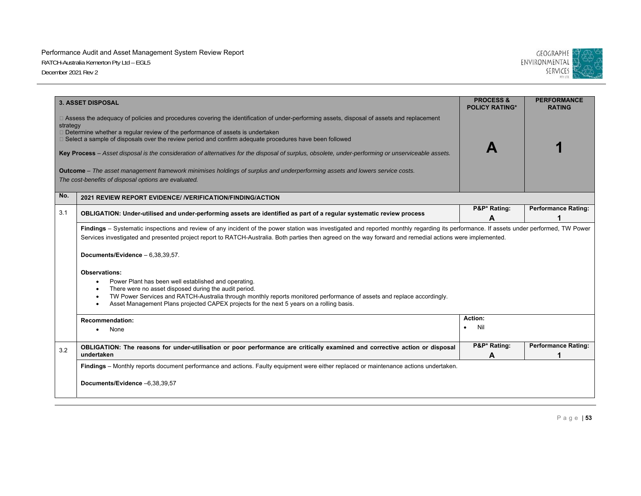

|          | <b>3. ASSET DISPOSAL</b>                                                                                                                                                                                                                                                                                                                                                                                                                                                                                                                                                                                                                                                                          | <b>PROCESS &amp;</b><br><b>POLICY RATING*</b> | <b>PERFORMANCE</b><br><b>RATING</b> |  |  |
|----------|---------------------------------------------------------------------------------------------------------------------------------------------------------------------------------------------------------------------------------------------------------------------------------------------------------------------------------------------------------------------------------------------------------------------------------------------------------------------------------------------------------------------------------------------------------------------------------------------------------------------------------------------------------------------------------------------------|-----------------------------------------------|-------------------------------------|--|--|
| strategy | □ Assess the adequacy of policies and procedures covering the identification of under-performing assets, disposal of assets and replacement<br>$\Box$ Determine whether a regular review of the performance of assets is undertaken<br>$\Box$ Select a sample of disposals over the review period and confirm adequate procedures have been followed<br>Key Process - Asset disposal is the consideration of alternatives for the disposal of surplus, obsolete, under-performing or unserviceable assets.<br>Outcome - The asset management framework minimises holdings of surplus and underperforming assets and lowers service costs.<br>The cost-benefits of disposal options are evaluated. |                                               |                                     |  |  |
| No.      | 2021 REVIEW REPORT EVIDENCE/ / VERIFICATION/FINDING/ACTION                                                                                                                                                                                                                                                                                                                                                                                                                                                                                                                                                                                                                                        |                                               |                                     |  |  |
| 3.1      | OBLIGATION: Under-utilised and under-performing assets are identified as part of a regular systematic review process                                                                                                                                                                                                                                                                                                                                                                                                                                                                                                                                                                              | P&P* Rating:<br>Α                             | <b>Performance Rating:</b>          |  |  |
|          | Findings - Systematic inspections and review of any incident of the power station was investigated and reported monthly regarding its performance. If assets under performed, TW Power<br>Services investigated and presented project report to RATCH-Australia. Both parties then agreed on the way forward and remedial actions were implemented.<br>Documents/Evidence - 6,38,39,57.                                                                                                                                                                                                                                                                                                           |                                               |                                     |  |  |
|          | <b>Observations:</b><br>Power Plant has been well established and operating.<br>$\bullet$<br>There were no asset disposed during the audit period.<br>$\bullet$<br>TW Power Services and RATCH-Australia through monthly reports monitored performance of assets and replace accordingly.<br>٠<br>Asset Management Plans projected CAPEX projects for the next 5 years on a rolling basis.<br>$\bullet$                                                                                                                                                                                                                                                                                           |                                               |                                     |  |  |
|          | <b>Recommendation:</b><br>None                                                                                                                                                                                                                                                                                                                                                                                                                                                                                                                                                                                                                                                                    | Action:<br>Nil<br>٠                           |                                     |  |  |
| 3.2      | OBLIGATION: The reasons for under-utilisation or poor performance are critically examined and corrective action or disposal<br>undertaken                                                                                                                                                                                                                                                                                                                                                                                                                                                                                                                                                         | P&P* Rating:<br>A                             | <b>Performance Rating:</b>          |  |  |
|          | Findings - Monthly reports document performance and actions. Faulty equipment were either replaced or maintenance actions undertaken.<br>Documents/Evidence -6,38,39,57                                                                                                                                                                                                                                                                                                                                                                                                                                                                                                                           |                                               |                                     |  |  |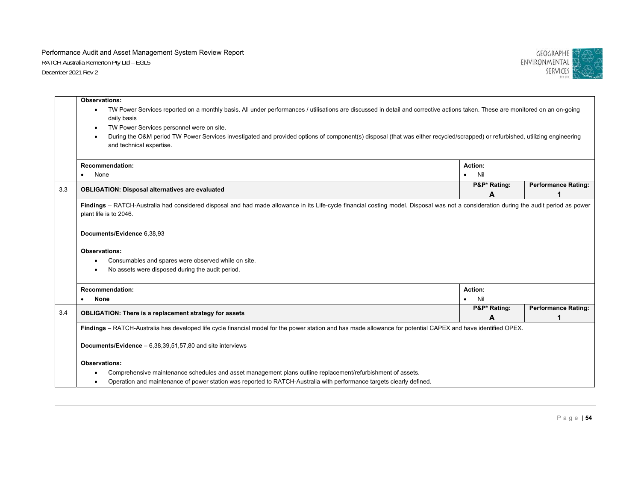

|     | <b>Observations:</b>                                                                                                                                                                                                                                                                                                                                                                                                                                       |                   |                            |  |  |
|-----|------------------------------------------------------------------------------------------------------------------------------------------------------------------------------------------------------------------------------------------------------------------------------------------------------------------------------------------------------------------------------------------------------------------------------------------------------------|-------------------|----------------------------|--|--|
|     | TW Power Services reported on a monthly basis. All under performances / utilisations are discussed in detail and corrective actions taken. These are monitored on an on-going<br>٠<br>daily basis<br>TW Power Services personnel were on site.<br>During the O&M period TW Power Services investigated and provided options of component(s) disposal (that was either recycled/scrapped) or refurbished, utilizing engineering<br>and technical expertise. |                   |                            |  |  |
|     | <b>Recommendation:</b>                                                                                                                                                                                                                                                                                                                                                                                                                                     | Action:           |                            |  |  |
|     | None                                                                                                                                                                                                                                                                                                                                                                                                                                                       | Nil               |                            |  |  |
| 3.3 | <b>OBLIGATION: Disposal alternatives are evaluated</b>                                                                                                                                                                                                                                                                                                                                                                                                     | P&P* Rating:      | <b>Performance Rating:</b> |  |  |
|     |                                                                                                                                                                                                                                                                                                                                                                                                                                                            | Α                 |                            |  |  |
|     | Findings - RATCH-Australia had considered disposal and had made allowance in its Life-cycle financial costing model. Disposal was not a consideration during the audit period as power<br>plant life is to 2046.                                                                                                                                                                                                                                           |                   |                            |  |  |
|     | Documents/Evidence 6,38,93                                                                                                                                                                                                                                                                                                                                                                                                                                 |                   |                            |  |  |
|     | <b>Observations:</b><br>Consumables and spares were observed while on site.<br>٠<br>No assets were disposed during the audit period.                                                                                                                                                                                                                                                                                                                       |                   |                            |  |  |
|     | <b>Recommendation:</b>                                                                                                                                                                                                                                                                                                                                                                                                                                     | <b>Action:</b>    |                            |  |  |
|     | <b>None</b>                                                                                                                                                                                                                                                                                                                                                                                                                                                | Nil<br>$\bullet$  |                            |  |  |
| 3.4 | <b>OBLIGATION: There is a replacement strategy for assets</b>                                                                                                                                                                                                                                                                                                                                                                                              | P&P* Rating:<br>A | <b>Performance Rating:</b> |  |  |
|     | Findings - RATCH-Australia has developed life cycle financial model for the power station and has made allowance for potential CAPEX and have identified OPEX.                                                                                                                                                                                                                                                                                             |                   |                            |  |  |
|     | <b>Documents/Evidence</b> $-6,38,39,51,57,80$ and site interviews                                                                                                                                                                                                                                                                                                                                                                                          |                   |                            |  |  |
|     | <b>Observations:</b>                                                                                                                                                                                                                                                                                                                                                                                                                                       |                   |                            |  |  |
|     | Comprehensive maintenance schedules and asset management plans outline replacement/refurbishment of assets.                                                                                                                                                                                                                                                                                                                                                |                   |                            |  |  |
|     | Operation and maintenance of power station was reported to RATCH-Australia with performance targets clearly defined.                                                                                                                                                                                                                                                                                                                                       |                   |                            |  |  |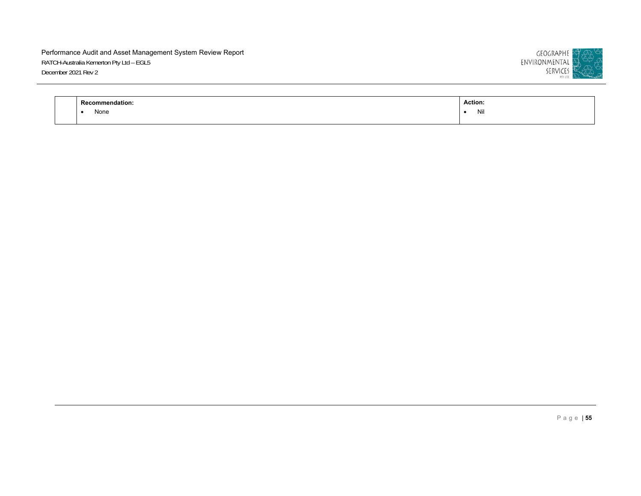

| nengation. | <b>Action:</b><br>. |
|------------|---------------------|
| None       | Nil                 |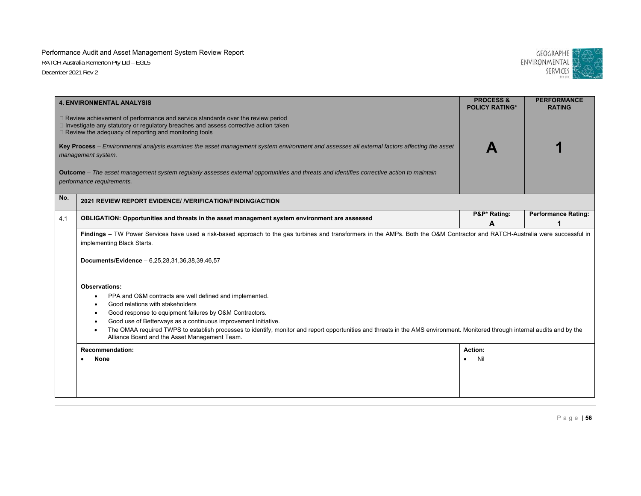

|     | <b>4. ENVIRONMENTAL ANALYSIS</b>                                                                                                                                                                                                                                                                                                                           | <b>PROCESS &amp;</b><br><b>POLICY RATING*</b> | <b>PERFORMANCE</b><br><b>RATING</b> |  |  |
|-----|------------------------------------------------------------------------------------------------------------------------------------------------------------------------------------------------------------------------------------------------------------------------------------------------------------------------------------------------------------|-----------------------------------------------|-------------------------------------|--|--|
|     | $\Box$ Review achievement of performance and service standards over the review period<br>$\Box$ Investigate any statutory or regulatory breaches and assess corrective action taken<br>□ Review the adequacy of reporting and monitoring tools                                                                                                             |                                               |                                     |  |  |
|     | Key Process - Environmental analysis examines the asset management system environment and assesses all external factors affecting the asset<br>management system.                                                                                                                                                                                          |                                               |                                     |  |  |
|     | Outcome - The asset management system regularly assesses external opportunities and threats and identifies corrective action to maintain<br>performance requirements.                                                                                                                                                                                      |                                               |                                     |  |  |
| No. | 2021 REVIEW REPORT EVIDENCE/ / VERIFICATION/FINDING/ACTION                                                                                                                                                                                                                                                                                                 |                                               |                                     |  |  |
| 4.1 | OBLIGATION: Opportunities and threats in the asset management system environment are assessed                                                                                                                                                                                                                                                              | P&P* Rating:<br>A                             | <b>Performance Rating:</b>          |  |  |
|     | Findings - TW Power Services have used a risk-based approach to the gas turbines and transformers in the AMPs. Both the O&M Contractor and RATCH-Australia were successful in<br>implementing Black Starts.                                                                                                                                                |                                               |                                     |  |  |
|     | Documents/Evidence - 6,25,28,31,36,38,39,46,57                                                                                                                                                                                                                                                                                                             |                                               |                                     |  |  |
|     | <b>Observations:</b>                                                                                                                                                                                                                                                                                                                                       |                                               |                                     |  |  |
|     | PPA and O&M contracts are well defined and implemented.<br>Good relations with stakeholders                                                                                                                                                                                                                                                                |                                               |                                     |  |  |
|     | Good response to equipment failures by O&M Contractors.<br>Good use of Betterways as a continuous improvement initiative.<br>The OMAA required TWPS to establish processes to identify, monitor and report opportunities and threats in the AMS environment. Monitored through internal audits and by the<br>Alliance Board and the Asset Management Team. |                                               |                                     |  |  |
|     | <b>Recommendation:</b><br><b>None</b>                                                                                                                                                                                                                                                                                                                      | Action:<br>Nil                                |                                     |  |  |
|     |                                                                                                                                                                                                                                                                                                                                                            |                                               |                                     |  |  |
|     |                                                                                                                                                                                                                                                                                                                                                            |                                               |                                     |  |  |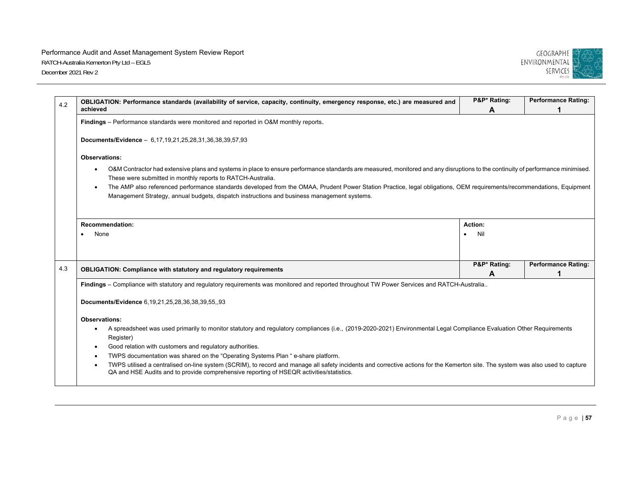

| 4.2 | OBLIGATION: Performance standards (availability of service, capacity, continuity, emergency response, etc.) are measured and<br>achieved                                                                                                                             | P&P* Rating:<br>A | <b>Performance Rating:</b> |
|-----|----------------------------------------------------------------------------------------------------------------------------------------------------------------------------------------------------------------------------------------------------------------------|-------------------|----------------------------|
|     | Findings – Performance standards were monitored and reported in O&M monthly reports.                                                                                                                                                                                 |                   |                            |
|     | Documents/Evidence - 6,17,19,21,25,28,31,36,38,39,57,93                                                                                                                                                                                                              |                   |                            |
|     | <b>Observations:</b>                                                                                                                                                                                                                                                 |                   |                            |
|     | O&M Contractor had extensive plans and systems in place to ensure performance standards are measured, monitored and any disruptions to the continuity of performance minimised.<br>These were submitted in monthly reports to RATCH-Australia.                       |                   |                            |
|     | The AMP also referenced performance standards developed from the OMAA, Prudent Power Station Practice, legal obligations, OEM requirements/recommendations, Equipment<br>Management Strategy, annual budgets, dispatch instructions and business management systems. |                   |                            |
|     | <b>Recommendation:</b>                                                                                                                                                                                                                                               | Action:           |                            |
|     |                                                                                                                                                                                                                                                                      |                   |                            |
|     | None                                                                                                                                                                                                                                                                 | Nil               |                            |
|     |                                                                                                                                                                                                                                                                      | P&P* Rating:      | <b>Performance Rating:</b> |
| 4.3 | <b>OBLIGATION: Compliance with statutory and regulatory requirements</b>                                                                                                                                                                                             | A                 |                            |
|     | Findings - Compliance with statutory and regulatory requirements was monitored and reported throughout TW Power Services and RATCH-Australia                                                                                                                         |                   |                            |
|     | Documents/Evidence 6,19,21,25,28,36,38,39,55,,93                                                                                                                                                                                                                     |                   |                            |
|     | <b>Observations:</b>                                                                                                                                                                                                                                                 |                   |                            |
|     | A spreadsheet was used primarily to monitor statutory and regulatory compliances (i.e., (2019-2020-2021) Environmental Legal Compliance Evaluation Other Requirements<br>Register)                                                                                   |                   |                            |
|     | Good relation with customers and regulatory authorities.                                                                                                                                                                                                             |                   |                            |
|     | TWPS documentation was shared on the "Operating Systems Plan " e-share platform.                                                                                                                                                                                     |                   |                            |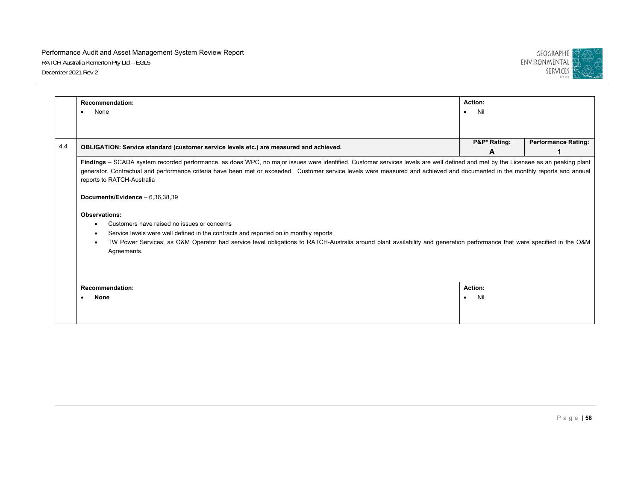

| <b>Recommendation:</b>                                                                                                                                                            | Action:          |                            |  |  |
|-----------------------------------------------------------------------------------------------------------------------------------------------------------------------------------|------------------|----------------------------|--|--|
| None<br>$\bullet$                                                                                                                                                                 | Nil<br>$\bullet$ |                            |  |  |
|                                                                                                                                                                                   |                  |                            |  |  |
| OBLIGATION: Service standard (customer service levels etc.) are measured and achieved.                                                                                            | P&P* Rating:     | <b>Performance Rating:</b> |  |  |
|                                                                                                                                                                                   | A                |                            |  |  |
| Findings - SCADA system recorded performance, as does WPC, no major issues were identified. Customer services levels are well defined and met by the Licensee as an peaking plant |                  |                            |  |  |
| generator. Contractual and performance criteria have been met or exceeded. Customer service levels were measured and achieved and documented in the monthly reports and annual    |                  |                            |  |  |
| reports to RATCH-Australia                                                                                                                                                        |                  |                            |  |  |
| Documents/Evidence $-6,36,38,39$                                                                                                                                                  |                  |                            |  |  |
| <b>Observations:</b>                                                                                                                                                              |                  |                            |  |  |
| Customers have raised no issues or concerns                                                                                                                                       |                  |                            |  |  |
| Service levels were well defined in the contracts and reported on in monthly reports                                                                                              |                  |                            |  |  |
| TW Power Services, as O&M Operator had service level obligations to RATCH-Australia around plant availability and generation performance that were specified in the O&M           |                  |                            |  |  |
| Agreements.                                                                                                                                                                       |                  |                            |  |  |
|                                                                                                                                                                                   |                  |                            |  |  |
|                                                                                                                                                                                   |                  |                            |  |  |
|                                                                                                                                                                                   |                  |                            |  |  |
| <b>Recommendation:</b>                                                                                                                                                            | Action:          |                            |  |  |
| <b>None</b><br>$\bullet$                                                                                                                                                          | Nil<br>$\bullet$ |                            |  |  |
|                                                                                                                                                                                   |                  |                            |  |  |
|                                                                                                                                                                                   |                  |                            |  |  |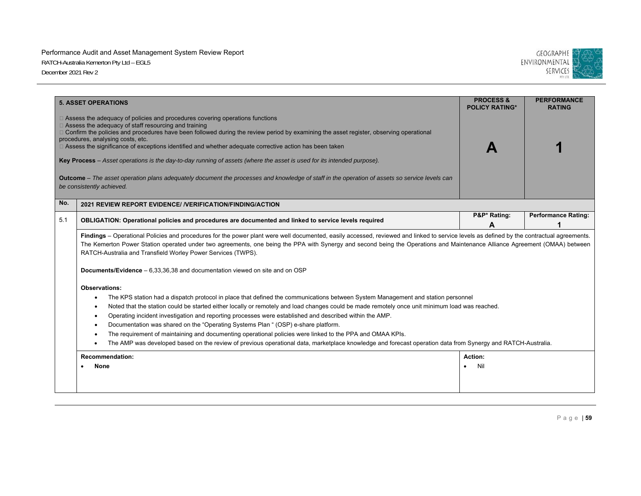

|     | <b>5. ASSET OPERATIONS</b>                                                                                                                                                                                                                                                                                                                                                                                                                                                                                                                                                                                                                                                                                                                                                                                    | <b>PROCESS &amp;</b><br><b>POLICY RATING*</b> | <b>PERFORMANCE</b><br><b>RATING</b> |  |  |
|-----|---------------------------------------------------------------------------------------------------------------------------------------------------------------------------------------------------------------------------------------------------------------------------------------------------------------------------------------------------------------------------------------------------------------------------------------------------------------------------------------------------------------------------------------------------------------------------------------------------------------------------------------------------------------------------------------------------------------------------------------------------------------------------------------------------------------|-----------------------------------------------|-------------------------------------|--|--|
|     | $\Box$ Assess the adequacy of policies and procedures covering operations functions<br>$\Box$ Assess the adequacy of staff resourcing and training<br>□ Confirm the policies and procedures have been followed during the review period by examining the asset register, observing operational<br>procedures, analysing costs, etc.<br>□ Assess the significance of exceptions identified and whether adequate corrective action has been taken<br>Key Process – Asset operations is the day-to-day running of assets (where the asset is used for its intended purpose).<br>Outcome - The asset operation plans adequately document the processes and knowledge of staff in the operation of assets so service levels can<br>be consistently achieved.                                                       |                                               |                                     |  |  |
| No. | 2021 REVIEW REPORT EVIDENCE/ / VERIFICATION/FINDING/ACTION                                                                                                                                                                                                                                                                                                                                                                                                                                                                                                                                                                                                                                                                                                                                                    |                                               |                                     |  |  |
| 5.1 | OBLIGATION: Operational policies and procedures are documented and linked to service levels required                                                                                                                                                                                                                                                                                                                                                                                                                                                                                                                                                                                                                                                                                                          | P&P* Rating:<br>A                             | <b>Performance Rating:</b>          |  |  |
|     | Findings - Operational Policies and procedures for the power plant were well documented, easily accessed, reviewed and linked to service levels as defined by the contractual agreements.<br>The Kemerton Power Station operated under two agreements, one being the PPA with Synergy and second being the Operations and Maintenance Alliance Agreement (OMAA) between<br>RATCH-Australia and Transfield Worley Power Services (TWPS).<br><b>Documents/Evidence</b> $-6.33.36.38$ and documentation viewed on site and on OSP                                                                                                                                                                                                                                                                                |                                               |                                     |  |  |
|     | <b>Observations:</b><br>The KPS station had a dispatch protocol in place that defined the communications between System Management and station personnel<br>٠<br>Noted that the station could be started either locally or remotely and load changes could be made remotely once unit minimum load was reached.<br>$\bullet$<br>Operating incident investigation and reporting processes were established and described within the AMP.<br>٠<br>Documentation was shared on the "Operating Systems Plan " (OSP) e-share platform.<br>The requirement of maintaining and documenting operational policies were linked to the PPA and OMAA KPIs.<br>The AMP was developed based on the review of previous operational data, marketplace knowledge and forecast operation data from Synergy and RATCH-Australia. |                                               |                                     |  |  |
|     | <b>Recommendation:</b><br><b>None</b>                                                                                                                                                                                                                                                                                                                                                                                                                                                                                                                                                                                                                                                                                                                                                                         | Action:<br>Nil                                |                                     |  |  |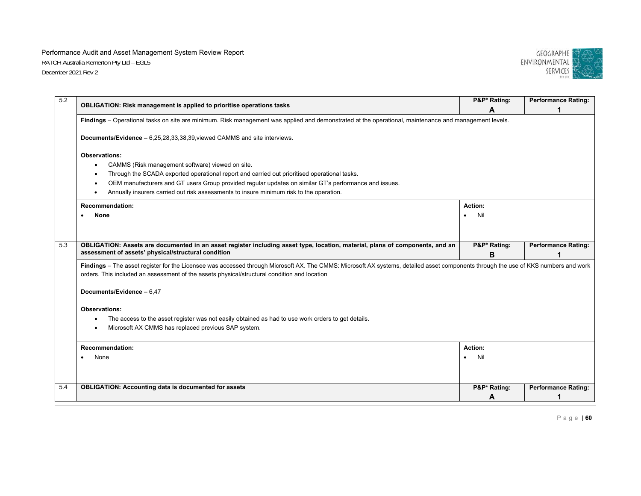

| 5.2 | OBLIGATION: Risk management is applied to prioritise operations tasks                                                                                                               | P&P* Rating:     | <b>Performance Rating:</b> |
|-----|-------------------------------------------------------------------------------------------------------------------------------------------------------------------------------------|------------------|----------------------------|
|     |                                                                                                                                                                                     | A                |                            |
|     | Findings - Operational tasks on site are minimum. Risk management was applied and demonstrated at the operational, maintenance and management levels.                               |                  |                            |
|     | Documents/Evidence - 6,25,28,33,38,39, viewed CAMMS and site interviews.                                                                                                            |                  |                            |
|     | <b>Observations:</b>                                                                                                                                                                |                  |                            |
|     | CAMMS (Risk management software) viewed on site.<br>$\bullet$                                                                                                                       |                  |                            |
|     | Through the SCADA exported operational report and carried out prioritised operational tasks.                                                                                        |                  |                            |
|     | OEM manufacturers and GT users Group provided regular updates on similar GT's performance and issues.<br>$\bullet$                                                                  |                  |                            |
|     | Annually insurers carried out risk assessments to insure minimum risk to the operation.<br>$\bullet$                                                                                |                  |                            |
|     | <b>Recommendation:</b>                                                                                                                                                              | Action:          |                            |
|     | None                                                                                                                                                                                | Nil<br>$\bullet$ |                            |
|     |                                                                                                                                                                                     |                  |                            |
| 5.3 | OBLIGATION: Assets are documented in an asset register including asset type, location, material, plans of components, and an                                                        | P&P* Rating:     | <b>Performance Rating:</b> |
|     | assessment of assets' physical/structural condition                                                                                                                                 | в                |                            |
|     | Findings - The asset register for the Licensee was accessed through Microsoft AX. The CMMS: Microsoft AX systems, detailed asset components through the use of KKS numbers and work |                  |                            |
|     | orders. This included an assessment of the assets physical/structural condition and location                                                                                        |                  |                            |
|     | Documents/Evidence - 6.47                                                                                                                                                           |                  |                            |
|     | <b>Observations:</b>                                                                                                                                                                |                  |                            |
|     | The access to the asset register was not easily obtained as had to use work orders to get details.                                                                                  |                  |                            |
|     | Microsoft AX CMMS has replaced previous SAP system.<br>٠                                                                                                                            |                  |                            |
|     | <b>Recommendation:</b>                                                                                                                                                              | Action:          |                            |
|     | None                                                                                                                                                                                | Nil<br>$\bullet$ |                            |
|     |                                                                                                                                                                                     |                  |                            |
| 5.4 | <b>OBLIGATION: Accounting data is documented for assets</b>                                                                                                                         | P&P* Rating:     | <b>Performance Rating:</b> |
|     |                                                                                                                                                                                     | A                |                            |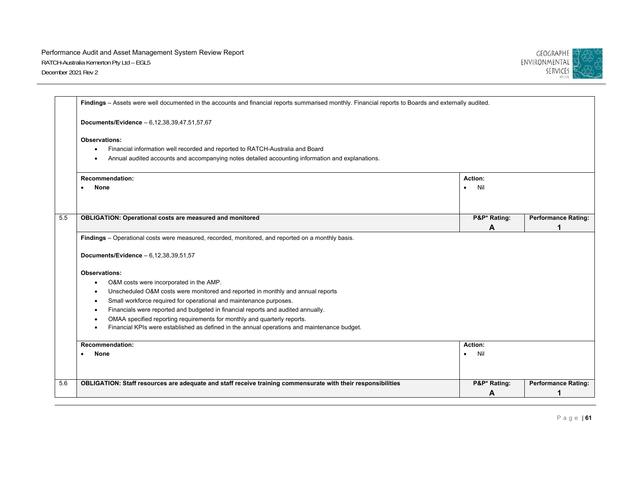

|     | Findings - Assets were well documented in the accounts and financial reports summarised monthly. Financial reports to Boards and externally audited.                                                            |                             |                            |  |
|-----|-----------------------------------------------------------------------------------------------------------------------------------------------------------------------------------------------------------------|-----------------------------|----------------------------|--|
|     | Documents/Evidence - 6,12,38,39,47,51,57,67                                                                                                                                                                     |                             |                            |  |
|     | Observations:<br>Financial information well recorded and reported to RATCH-Australia and Board<br>$\bullet$<br>Annual audited accounts and accompanying notes detailed accounting information and explanations. |                             |                            |  |
|     | <b>Recommendation:</b><br><b>None</b>                                                                                                                                                                           | Action:<br>Nil<br>$\bullet$ |                            |  |
| 5.5 | <b>OBLIGATION: Operational costs are measured and monitored</b>                                                                                                                                                 | P&P* Rating:<br>A           | <b>Performance Rating:</b> |  |
|     | Findings - Operational costs were measured, recorded, monitored, and reported on a monthly basis.                                                                                                               |                             |                            |  |
|     | Documents/Evidence - 6,12,38,39,51,57                                                                                                                                                                           |                             |                            |  |
|     | <b>Observations:</b>                                                                                                                                                                                            |                             |                            |  |
|     | O&M costs were incorporated in the AMP.                                                                                                                                                                         |                             |                            |  |
|     | Unscheduled O&M costs were monitored and reported in monthly and annual reports<br>$\bullet$                                                                                                                    |                             |                            |  |
|     | Small workforce required for operational and maintenance purposes.<br>$\bullet$                                                                                                                                 |                             |                            |  |
|     | Financials were reported and budgeted in financial reports and audited annually.<br>$\bullet$                                                                                                                   |                             |                            |  |
|     | OMAA specified reporting requirements for monthly and quarterly reports.<br>Financial KPIs were established as defined in the annual operations and maintenance budget.                                         |                             |                            |  |
|     | Recommendation:                                                                                                                                                                                                 | Action:                     |                            |  |
|     | None                                                                                                                                                                                                            | Nil<br>$\bullet$            |                            |  |
| 5.6 | OBLIGATION: Staff resources are adequate and staff receive training commensurate with their responsibilities                                                                                                    | P&P* Rating:                | <b>Performance Rating:</b> |  |
|     |                                                                                                                                                                                                                 | A                           |                            |  |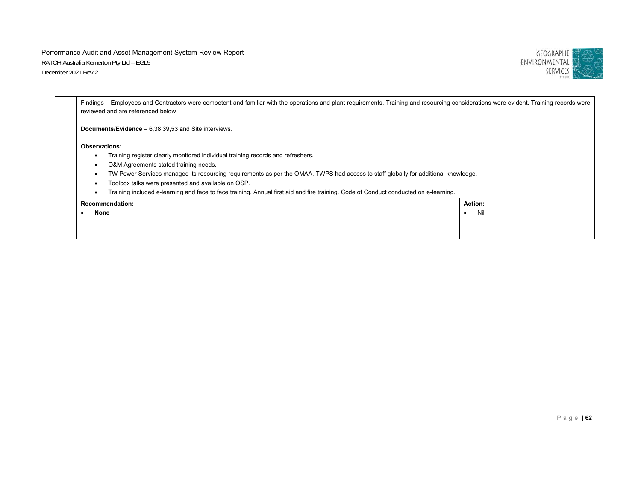

|                      | Findings – Employees and Contractors were competent and familiar with the operations and plant requirements. Training and resourcing considerations were evident. Training records were<br>reviewed and are referenced below |         |
|----------------------|------------------------------------------------------------------------------------------------------------------------------------------------------------------------------------------------------------------------------|---------|
|                      | <b>Documents/Evidence</b> $-6,38,39,53$ and Site interviews.                                                                                                                                                                 |         |
| <b>Observations:</b> |                                                                                                                                                                                                                              |         |
| ٠                    | Training register clearly monitored individual training records and refreshers.                                                                                                                                              |         |
| ٠                    | O&M Agreements stated training needs.                                                                                                                                                                                        |         |
| ٠                    | TW Power Services managed its resourcing reguirements as per the OMAA. TWPS had access to staff globally for additional knowledge.                                                                                           |         |
| ٠                    | Toolbox talks were presented and available on OSP.                                                                                                                                                                           |         |
| ٠                    | Training included e-learning and face to face training. Annual first aid and fire training. Code of Conduct conducted on e-learning.                                                                                         |         |
|                      | <b>Recommendation:</b>                                                                                                                                                                                                       | Action: |
| None                 |                                                                                                                                                                                                                              | Nil     |
|                      |                                                                                                                                                                                                                              |         |
|                      |                                                                                                                                                                                                                              |         |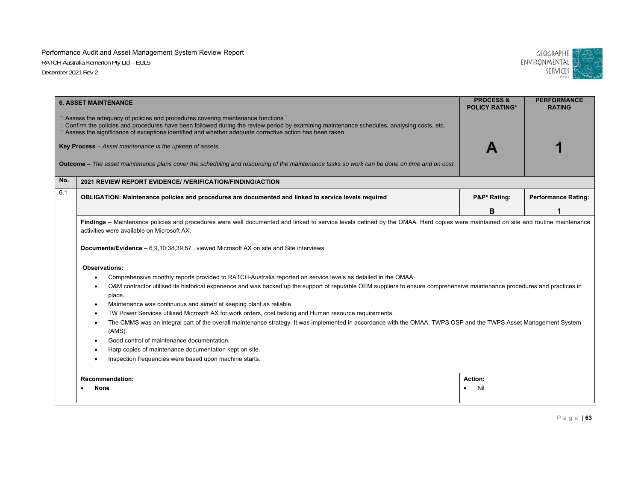

|     | <b>6. ASSET MAINTENANCE</b>                                                                                                                                                                                                                                                                                                                                                                                                                                                                                                                                                                                                                                                                         | <b>PROCESS &amp;</b><br><b>POLICY RATING*</b> | <b>PERFORMANCE</b><br><b>RATING</b> |
|-----|-----------------------------------------------------------------------------------------------------------------------------------------------------------------------------------------------------------------------------------------------------------------------------------------------------------------------------------------------------------------------------------------------------------------------------------------------------------------------------------------------------------------------------------------------------------------------------------------------------------------------------------------------------------------------------------------------------|-----------------------------------------------|-------------------------------------|
|     | $\Box$ Assess the adequacy of policies and procedures covering maintenance functions<br>□ Confirm the policies and procedures have been followed during the review period by examining maintenance schedules, analysing costs, etc.<br>□ Assess the significance of exceptions identified and whether adequate corrective action has been taken<br>Key Process - Asset maintenance is the upkeep of assets.                                                                                                                                                                                                                                                                                         |                                               |                                     |
|     | <b>Outcome</b> – The asset maintenance plans cover the scheduling and resourcing of the maintenance tasks so work can be done on time and on cost.                                                                                                                                                                                                                                                                                                                                                                                                                                                                                                                                                  |                                               |                                     |
| No. | 2021 REVIEW REPORT EVIDENCE/ / VERIFICATION/FINDING/ACTION                                                                                                                                                                                                                                                                                                                                                                                                                                                                                                                                                                                                                                          |                                               |                                     |
| 6.1 | OBLIGATION: Maintenance policies and procedures are documented and linked to service levels required                                                                                                                                                                                                                                                                                                                                                                                                                                                                                                                                                                                                | P&P* Rating:                                  | <b>Performance Rating:</b>          |
|     |                                                                                                                                                                                                                                                                                                                                                                                                                                                                                                                                                                                                                                                                                                     | в                                             |                                     |
|     | <b>Observations:</b><br>Comprehensive monthly reports provided to RATCH-Australia reported on service levels as detailed in the OMAA.<br>O&M contractor utilised its historical experience and was backed up the support of reputable OEM suppliers to ensure comprehensive maintenance procedures and practices in<br>٠<br>place.<br>Maintenance was continuous and aimed at keeping plant as reliable.<br>TW Power Services utilised Microsoft AX for work orders, cost tacking and Human resource requirements.<br>The CMMS was an integral part of the overall maintenance strategy. It was implemented in accordance with the OMAA, TWPS OSP and the TWPS Asset Management System<br>$\bullet$ |                                               |                                     |
|     | (AMS).<br>Good control of maintenance documentation.<br>Harp copies of maintenance documentation kept on site.<br>Inspection frequencies were based upon machine starts.                                                                                                                                                                                                                                                                                                                                                                                                                                                                                                                            |                                               |                                     |
|     | <b>Recommendation:</b><br>None                                                                                                                                                                                                                                                                                                                                                                                                                                                                                                                                                                                                                                                                      | Action:<br>Nil                                |                                     |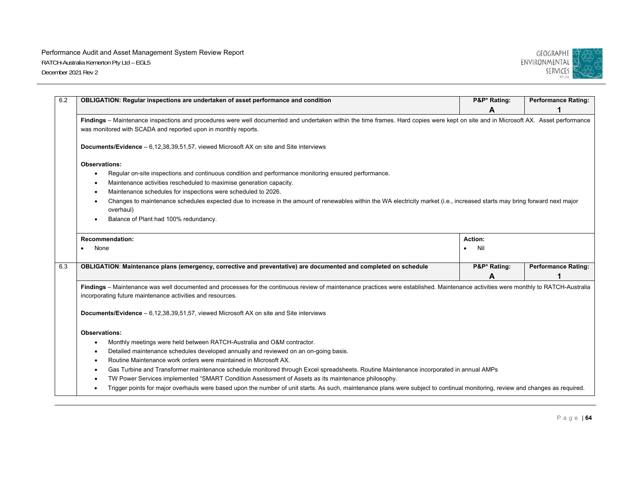

| OBLIGATION: Regular inspections are undertaken of asset performance and condition                                                                                                                                                                    |                  | P&P* Rating: | <b>Performance Rating:</b> |
|------------------------------------------------------------------------------------------------------------------------------------------------------------------------------------------------------------------------------------------------------|------------------|--------------|----------------------------|
|                                                                                                                                                                                                                                                      |                  | A            |                            |
| Findings - Maintenance inspections and procedures were well documented and undertaken within the time frames. Hard copies were kept on site and in Microsoft AX. Asset performance<br>was monitored with SCADA and reported upon in monthly reports. |                  |              |                            |
| <b>Documents/Evidence</b> - 6,12,38,39,51,57, viewed Microsoft AX on site and Site interviews                                                                                                                                                        |                  |              |                            |
| <b>Observations:</b>                                                                                                                                                                                                                                 |                  |              |                            |
| Regular on-site inspections and continuous condition and performance monitoring ensured performance.                                                                                                                                                 |                  |              |                            |
| Maintenance activities rescheduled to maximise generation capacity.                                                                                                                                                                                  |                  |              |                            |
| Maintenance schedules for inspections were scheduled to 2026.                                                                                                                                                                                        |                  |              |                            |
| Changes to maintenance schedules expected due to increase in the amount of renewables within the WA electricity market (i.e., increased starts may bring forward next major                                                                          |                  |              |                            |
| overhaul)                                                                                                                                                                                                                                            |                  |              |                            |
| Balance of Plant had 100% redundancy.                                                                                                                                                                                                                |                  |              |                            |
| <b>Recommendation:</b>                                                                                                                                                                                                                               | Action:          |              |                            |
| None                                                                                                                                                                                                                                                 | Nil<br>$\bullet$ |              |                            |
| OBLIGATION: Maintenance plans (emergency, corrective and preventative) are documented and completed on schedule                                                                                                                                      |                  | P&P* Rating: | <b>Performance Rating:</b> |
|                                                                                                                                                                                                                                                      |                  | A            |                            |
| Findings - Maintenance was well documented and processes for the continuous review of maintenance practices were established. Maintenance activities were monthly to RATCH-Australia<br>incorporating future maintenance activities and resources.   |                  |              |                            |
| <b>Documents/Evidence</b> - 6,12,38,39,51,57, viewed Microsoft AX on site and Site interviews                                                                                                                                                        |                  |              |                            |
| Observations:                                                                                                                                                                                                                                        |                  |              |                            |
|                                                                                                                                                                                                                                                      |                  |              |                            |
| Monthly meetings were held between RATCH-Australia and O&M contractor.                                                                                                                                                                               |                  |              |                            |
| Detailed maintenance schedules developed annually and reviewed on an on-going basis.                                                                                                                                                                 |                  |              |                            |
| Routine Maintenance work orders were maintained in Microsoft AX.                                                                                                                                                                                     |                  |              |                            |
| Gas Turbine and Transformer maintenance schedule monitored through Excel spreadsheets. Routine Maintenance incorporated in annual AMPs                                                                                                               |                  |              |                            |
| TW Power Services implemented "SMART Condition Assessment of Assets as its maintenance philosophy.                                                                                                                                                   |                  |              |                            |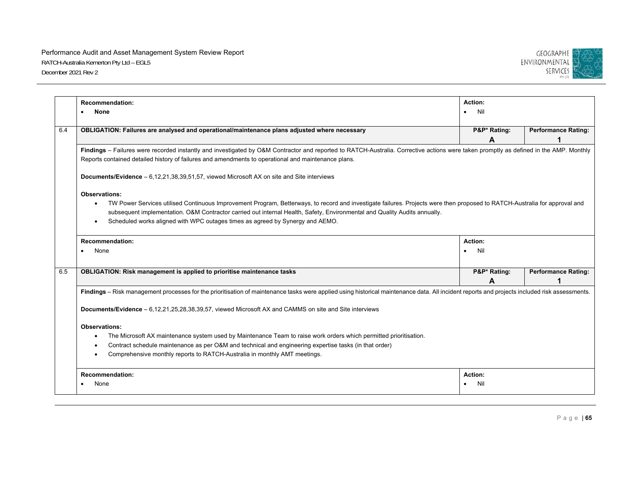

|     | <b>Recommendation:</b><br>None                                                                                                                                                                                                                                                                                                                                                                                                | Action:<br>Nil<br>$\bullet$ |                            |  |  |
|-----|-------------------------------------------------------------------------------------------------------------------------------------------------------------------------------------------------------------------------------------------------------------------------------------------------------------------------------------------------------------------------------------------------------------------------------|-----------------------------|----------------------------|--|--|
| 6.4 | OBLIGATION: Failures are analysed and operational/maintenance plans adjusted where necessary                                                                                                                                                                                                                                                                                                                                  | P&P* Rating:<br>А           | <b>Performance Rating:</b> |  |  |
|     | Findings - Failures were recorded instantly and investigated by O&M Contractor and reported to RATCH-Australia. Corrective actions were taken promptly as defined in the AMP. Monthly<br>Reports contained detailed history of failures and amendments to operational and maintenance plans.                                                                                                                                  |                             |                            |  |  |
|     | <b>Documents/Evidence</b> – 6,12,21,38,39,51,57, viewed Microsoft AX on site and Site interviews                                                                                                                                                                                                                                                                                                                              |                             |                            |  |  |
|     | <b>Observations:</b><br>TW Power Services utilised Continuous Improvement Program, Betterways, to record and investigate failures. Projects were then proposed to RATCH-Australia for approval and<br>$\bullet$<br>subsequent implementation. O&M Contractor carried out internal Health, Safety, Environmental and Quality Audits annually.<br>Scheduled works aligned with WPC outages times as agreed by Synergy and AEMO. |                             |                            |  |  |
|     | <b>Recommendation:</b><br>None                                                                                                                                                                                                                                                                                                                                                                                                | Action:<br>Nil<br>$\bullet$ |                            |  |  |
| 6.5 | <b>OBLIGATION: Risk management is applied to prioritise maintenance tasks</b>                                                                                                                                                                                                                                                                                                                                                 | P&P* Rating:<br>A           | <b>Performance Rating:</b> |  |  |
|     | Findings - Risk management processes for the prioritisation of maintenance tasks were applied using historical maintenance data. All incident reports and projects included risk assessments.                                                                                                                                                                                                                                 |                             |                            |  |  |
|     | Documents/Evidence - 6,12,21,25,28,38,39,57, viewed Microsoft AX and CAMMS on site and Site interviews                                                                                                                                                                                                                                                                                                                        |                             |                            |  |  |
|     | <b>Observations:</b><br>The Microsoft AX maintenance system used by Maintenance Team to raise work orders which permitted prioritisation.<br>Contract schedule maintenance as per O&M and technical and engineering expertise tasks (in that order)<br>Comprehensive monthly reports to RATCH-Australia in monthly AMT meetings.                                                                                              |                             |                            |  |  |
|     | <b>Recommendation:</b><br>None                                                                                                                                                                                                                                                                                                                                                                                                | Action:<br>Nil              |                            |  |  |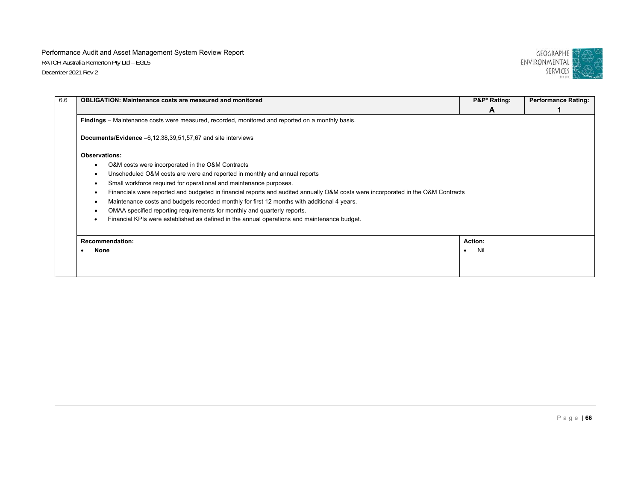

|                                                                                                                                  | <b>OBLIGATION: Maintenance costs are measured and monitored</b>                                  | P&P* Rating: | <b>Performance Rating:</b> |  |
|----------------------------------------------------------------------------------------------------------------------------------|--------------------------------------------------------------------------------------------------|--------------|----------------------------|--|
|                                                                                                                                  |                                                                                                  | A            |                            |  |
|                                                                                                                                  | Findings – Maintenance costs were measured, recorded, monitored and reported on a monthly basis. |              |                            |  |
| <b>Documents/Evidence</b> $-6,12,38,39,51,57,67$ and site interviews                                                             |                                                                                                  |              |                            |  |
| <b>Observations:</b>                                                                                                             |                                                                                                  |              |                            |  |
|                                                                                                                                  | O&M costs were incorporated in the O&M Contracts                                                 |              |                            |  |
| $\bullet$                                                                                                                        | Unscheduled O&M costs are were and reported in monthly and annual reports                        |              |                            |  |
| ٠                                                                                                                                | Small workforce required for operational and maintenance purposes.                               |              |                            |  |
| Financials were reported and budgeted in financial reports and audited annually O&M costs were incorporated in the O&M Contracts |                                                                                                  |              |                            |  |
|                                                                                                                                  | Maintenance costs and budgets recorded monthly for first 12 months with additional 4 years.      |              |                            |  |
|                                                                                                                                  | OMAA specified reporting requirements for monthly and quarterly reports.                         |              |                            |  |
|                                                                                                                                  | Financial KPIs were established as defined in the annual operations and maintenance budget.      |              |                            |  |
| <b>Recommendation:</b>                                                                                                           |                                                                                                  | Action:      |                            |  |
| None                                                                                                                             |                                                                                                  | Nil          |                            |  |
|                                                                                                                                  |                                                                                                  |              |                            |  |
|                                                                                                                                  |                                                                                                  |              |                            |  |
|                                                                                                                                  |                                                                                                  |              |                            |  |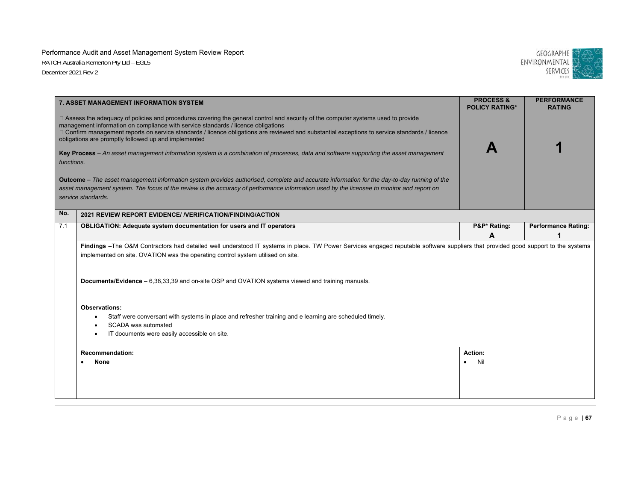

| functions. | 7. ASSET MANAGEMENT INFORMATION SYSTEM<br>□ Assess the adequacy of policies and procedures covering the general control and security of the computer systems used to provide<br>management information on compliance with service standards / licence obligations<br>D Confirm management reports on service standards / licence obligations are reviewed and substantial exceptions to service standards / licence<br>obligations are promptly followed up and implemented<br>Key Process – An asset management information system is a combination of processes, data and software supporting the asset management<br>Outcome - The asset management information system provides authorised, complete and accurate information for the day-to-day running of the<br>asset management system. The focus of the review is the accuracy of performance information used by the licensee to monitor and report on<br>service standards. | <b>PROCESS &amp;</b><br><b>POLICY RATING*</b> | <b>PERFORMANCE</b><br><b>RATING</b> |
|------------|---------------------------------------------------------------------------------------------------------------------------------------------------------------------------------------------------------------------------------------------------------------------------------------------------------------------------------------------------------------------------------------------------------------------------------------------------------------------------------------------------------------------------------------------------------------------------------------------------------------------------------------------------------------------------------------------------------------------------------------------------------------------------------------------------------------------------------------------------------------------------------------------------------------------------------------|-----------------------------------------------|-------------------------------------|
| No.        | 2021 REVIEW REPORT EVIDENCE/ / VERIFICATION/FINDING/ACTION                                                                                                                                                                                                                                                                                                                                                                                                                                                                                                                                                                                                                                                                                                                                                                                                                                                                            |                                               |                                     |
| 7.1        | <b>OBLIGATION: Adequate system documentation for users and IT operators</b>                                                                                                                                                                                                                                                                                                                                                                                                                                                                                                                                                                                                                                                                                                                                                                                                                                                           | P&P* Rating:<br>A                             | <b>Performance Rating:</b><br>1     |
|            | Findings -The O&M Contractors had detailed well understood IT systems in place. TW Power Services engaged reputable software suppliers that provided good support to the systems<br>implemented on site. OVATION was the operating control system utilised on site.<br>Documents/Evidence – 6,38,33,39 and on-site OSP and OVATION systems viewed and training manuals.<br><b>Observations:</b><br>Staff were conversant with systems in place and refresher training and e learning are scheduled timely.                                                                                                                                                                                                                                                                                                                                                                                                                            |                                               |                                     |
|            | SCADA was automated<br>IT documents were easily accessible on site.<br><b>Recommendation:</b><br><b>None</b>                                                                                                                                                                                                                                                                                                                                                                                                                                                                                                                                                                                                                                                                                                                                                                                                                          | Action:<br>Nil<br>$\bullet$                   |                                     |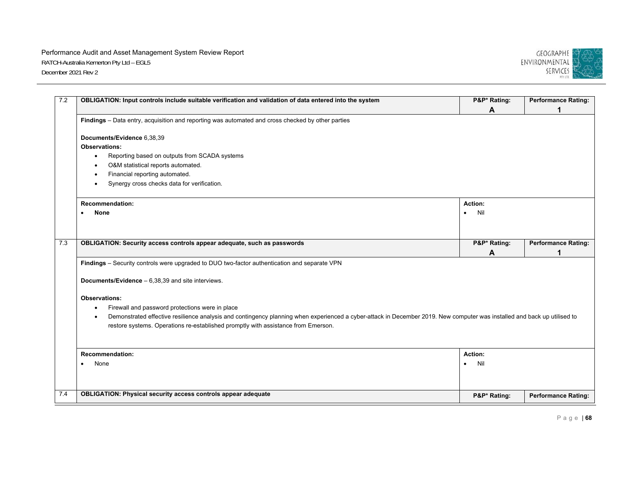

| 7.2 | OBLIGATION: Input controls include suitable verification and validation of data entered into the system                                                                  | P&P* Rating:     | <b>Performance Rating:</b> |
|-----|--------------------------------------------------------------------------------------------------------------------------------------------------------------------------|------------------|----------------------------|
|     |                                                                                                                                                                          | A                | 1                          |
|     | Findings – Data entry, acquisition and reporting was automated and cross checked by other parties                                                                        |                  |                            |
|     | Documents/Evidence 6,38,39                                                                                                                                               |                  |                            |
|     | Observations:                                                                                                                                                            |                  |                            |
|     | Reporting based on outputs from SCADA systems<br>$\bullet$                                                                                                               |                  |                            |
|     | O&M statistical reports automated.                                                                                                                                       |                  |                            |
|     | Financial reporting automated.<br>$\bullet$                                                                                                                              |                  |                            |
|     | Synergy cross checks data for verification.                                                                                                                              |                  |                            |
|     | <b>Recommendation:</b>                                                                                                                                                   | Action:          |                            |
|     | <b>None</b>                                                                                                                                                              | Nil<br>$\bullet$ |                            |
|     |                                                                                                                                                                          |                  |                            |
| 7.3 | OBLIGATION: Security access controls appear adequate, such as passwords                                                                                                  | P&P* Rating:     | <b>Performance Rating:</b> |
|     |                                                                                                                                                                          | A                | 1                          |
|     | Findings - Security controls were upgraded to DUO two-factor authentication and separate VPN                                                                             |                  |                            |
|     | <b>Documents/Evidence</b> $- 6,38,39$ and site interviews.                                                                                                               |                  |                            |
|     | <b>Observations:</b>                                                                                                                                                     |                  |                            |
|     | Firewall and password protections were in place                                                                                                                          |                  |                            |
|     | Demonstrated effective resilience analysis and contingency planning when experienced a cyber-attack in December 2019. New computer was installed and back up utilised to |                  |                            |
|     | restore systems. Operations re-established promptly with assistance from Emerson.                                                                                        |                  |                            |
|     |                                                                                                                                                                          |                  |                            |
|     |                                                                                                                                                                          |                  |                            |
|     | <b>Recommendation:</b>                                                                                                                                                   | Action:          |                            |
|     | None                                                                                                                                                                     | Nil<br>$\bullet$ |                            |
|     |                                                                                                                                                                          |                  |                            |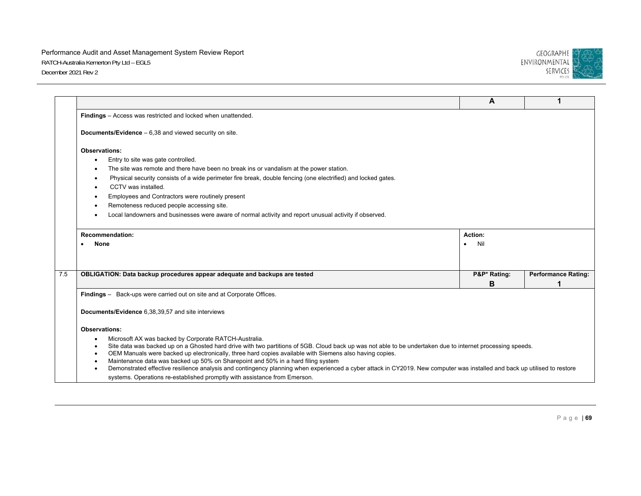

|                                                                                                                                                                                                                                                               | A                | 1                          |
|---------------------------------------------------------------------------------------------------------------------------------------------------------------------------------------------------------------------------------------------------------------|------------------|----------------------------|
| Findings - Access was restricted and locked when unattended.                                                                                                                                                                                                  |                  |                            |
| <b>Documents/Evidence</b> $-6.38$ and viewed security on site.                                                                                                                                                                                                |                  |                            |
| <b>Observations:</b>                                                                                                                                                                                                                                          |                  |                            |
| Entry to site was gate controlled.                                                                                                                                                                                                                            |                  |                            |
| The site was remote and there have been no break ins or vandalism at the power station.                                                                                                                                                                       |                  |                            |
| Physical security consists of a wide perimeter fire break, double fencing (one electrified) and locked gates.                                                                                                                                                 |                  |                            |
| CCTV was installed.                                                                                                                                                                                                                                           |                  |                            |
| Employees and Contractors were routinely present                                                                                                                                                                                                              |                  |                            |
| Remoteness reduced people accessing site.                                                                                                                                                                                                                     |                  |                            |
| Local landowners and businesses were aware of normal activity and report unusual activity if observed.                                                                                                                                                        |                  |                            |
| <b>Recommendation:</b>                                                                                                                                                                                                                                        | Action:          |                            |
| <b>None</b>                                                                                                                                                                                                                                                   | Nil<br>$\bullet$ |                            |
|                                                                                                                                                                                                                                                               |                  |                            |
| OBLIGATION: Data backup procedures appear adequate and backups are tested                                                                                                                                                                                     | P&P* Rating:     | <b>Performance Rating:</b> |
|                                                                                                                                                                                                                                                               | B                |                            |
| Findings - Back-ups were carried out on site and at Corporate Offices.                                                                                                                                                                                        |                  |                            |
|                                                                                                                                                                                                                                                               |                  |                            |
| Documents/Evidence 6,38,39,57 and site interviews                                                                                                                                                                                                             |                  |                            |
| <b>Observations:</b>                                                                                                                                                                                                                                          |                  |                            |
| Microsoft AX was backed by Corporate RATCH-Australia.                                                                                                                                                                                                         |                  |                            |
| Site data was backed up on a Ghosted hard drive with two partitions of 5GB. Cloud back up was not able to be undertaken due to internet processing speeds.                                                                                                    |                  |                            |
| OEM Manuals were backed up electronically, three hard copies available with Siemens also having copies.                                                                                                                                                       |                  |                            |
| Maintenance data was backed up 50% on Sharepoint and 50% in a hard filing system<br>Demonstrated effective resilience analysis and contingency planning when experienced a cyber attack in CY2019. New computer was installed and back up utilised to restore |                  |                            |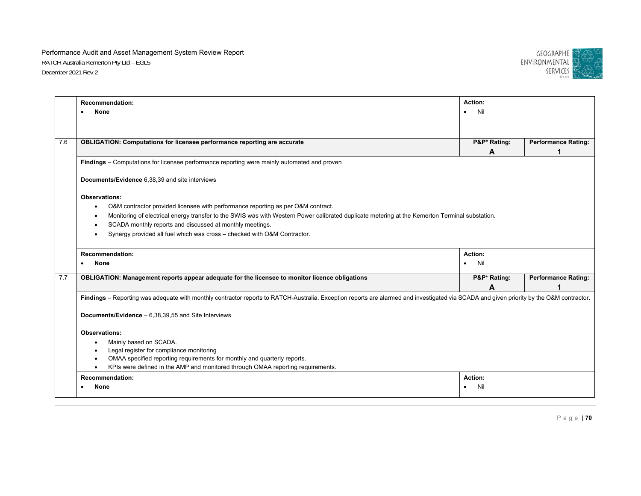

|     | <b>Recommendation:</b>                                                                                                                                                                   | Action:          |                            |  |  |
|-----|------------------------------------------------------------------------------------------------------------------------------------------------------------------------------------------|------------------|----------------------------|--|--|
|     |                                                                                                                                                                                          |                  |                            |  |  |
|     | <b>None</b><br>$\bullet$                                                                                                                                                                 | Nil<br>$\bullet$ |                            |  |  |
|     |                                                                                                                                                                                          |                  |                            |  |  |
|     |                                                                                                                                                                                          |                  |                            |  |  |
| 7.6 | <b>OBLIGATION: Computations for licensee performance reporting are accurate</b>                                                                                                          | P&P* Rating:     | <b>Performance Rating:</b> |  |  |
|     |                                                                                                                                                                                          | A                |                            |  |  |
|     | Findings – Computations for licensee performance reporting were mainly automated and proven                                                                                              |                  |                            |  |  |
|     | Documents/Evidence 6,38,39 and site interviews                                                                                                                                           |                  |                            |  |  |
|     | <b>Observations:</b>                                                                                                                                                                     |                  |                            |  |  |
|     | O&M contractor provided licensee with performance reporting as per O&M contract.<br>$\bullet$                                                                                            |                  |                            |  |  |
|     | Monitoring of electrical energy transfer to the SWIS was with Western Power calibrated duplicate metering at the Kemerton Terminal substation.                                           |                  |                            |  |  |
|     | SCADA monthly reports and discussed at monthly meetings.                                                                                                                                 |                  |                            |  |  |
|     | Synergy provided all fuel which was cross - checked with O&M Contractor.<br>$\bullet$                                                                                                    |                  |                            |  |  |
|     |                                                                                                                                                                                          |                  |                            |  |  |
|     | <b>Recommendation:</b>                                                                                                                                                                   | Action:          |                            |  |  |
|     | <b>None</b>                                                                                                                                                                              | Nil<br>$\bullet$ |                            |  |  |
|     |                                                                                                                                                                                          |                  |                            |  |  |
| 7.7 | OBLIGATION: Management reports appear adequate for the licensee to monitor licence obligations                                                                                           | P&P* Rating:     |                            |  |  |
|     |                                                                                                                                                                                          | A                | <b>Performance Rating:</b> |  |  |
|     |                                                                                                                                                                                          |                  |                            |  |  |
|     | Findings - Reporting was adequate with monthly contractor reports to RATCH-Australia. Exception reports are alarmed and investigated via SCADA and given priority by the O&M contractor. |                  |                            |  |  |
|     | <b>Documents/Evidence</b> $-6,38,39,55$ and Site Interviews.                                                                                                                             |                  |                            |  |  |
|     | <b>Observations:</b>                                                                                                                                                                     |                  |                            |  |  |
|     | Mainly based on SCADA.                                                                                                                                                                   |                  |                            |  |  |
|     | Legal register for compliance monitoring                                                                                                                                                 |                  |                            |  |  |
|     | OMAA specified reporting requirements for monthly and quarterly reports.                                                                                                                 |                  |                            |  |  |
|     | KPIs were defined in the AMP and monitored through OMAA reporting requirements.                                                                                                          |                  |                            |  |  |
|     | <b>Recommendation:</b>                                                                                                                                                                   | <b>Action:</b>   |                            |  |  |
|     | None                                                                                                                                                                                     | Nil              |                            |  |  |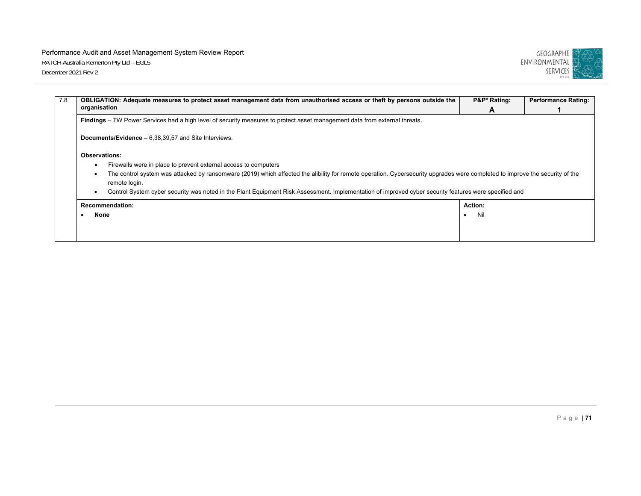

| OBLIGATION: Adequate measures to protect asset management data from unauthorised access or theft by persons outside the                                                                       | P&P* Rating: | <b>Performance Rating:</b> |  |  |
|-----------------------------------------------------------------------------------------------------------------------------------------------------------------------------------------------|--------------|----------------------------|--|--|
| organisation                                                                                                                                                                                  | A            |                            |  |  |
| Findings – TW Power Services had a high level of security measures to protect asset management data from external threats.                                                                    |              |                            |  |  |
| <b>Documents/Evidence</b> $-6,38,39,57$ and Site Interviews.                                                                                                                                  |              |                            |  |  |
| <b>Observations:</b>                                                                                                                                                                          |              |                            |  |  |
| Firewalls were in place to prevent external access to computers                                                                                                                               |              |                            |  |  |
| The control system was attacked by ransomware (2019) which affected the alibility for remote operation. Cybersecurity upgrades were completed to improve the security of the<br>remote login. |              |                            |  |  |
| Control System cyber security was noted in the Plant Equipment Risk Assessment. Implementation of improved cyber security features were specified and                                         |              |                            |  |  |
| <b>Recommendation:</b>                                                                                                                                                                        | Action:      |                            |  |  |
| None                                                                                                                                                                                          | Nil          |                            |  |  |
|                                                                                                                                                                                               |              |                            |  |  |
|                                                                                                                                                                                               |              |                            |  |  |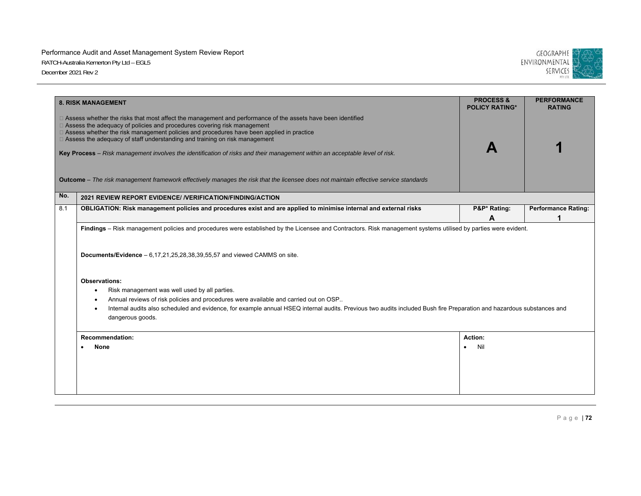

|     | <b>8. RISK MANAGEMENT</b>                                                                                                                                                                                                                                                                                                                                                                                                                                                                               | <b>PROCESS &amp;</b><br><b>POLICY RATING*</b> | <b>PERFORMANCE</b><br><b>RATING</b> |  |  |
|-----|---------------------------------------------------------------------------------------------------------------------------------------------------------------------------------------------------------------------------------------------------------------------------------------------------------------------------------------------------------------------------------------------------------------------------------------------------------------------------------------------------------|-----------------------------------------------|-------------------------------------|--|--|
|     | □ Assess whether the risks that most affect the management and performance of the assets have been identified<br>□ Assess the adequacy of policies and procedures covering risk management<br>□ Assess whether the risk management policies and procedures have been applied in practice<br>□ Assess the adequacy of staff understanding and training on risk management<br>Key Process - Risk management involves the identification of risks and their management within an acceptable level of risk. |                                               |                                     |  |  |
|     | Outcome - The risk management framework effectively manages the risk that the licensee does not maintain effective service standards                                                                                                                                                                                                                                                                                                                                                                    |                                               |                                     |  |  |
| No. | 2021 REVIEW REPORT EVIDENCE/ / VERIFICATION/FINDING/ACTION                                                                                                                                                                                                                                                                                                                                                                                                                                              |                                               |                                     |  |  |
| 8.1 | OBLIGATION: Risk management policies and procedures exist and are applied to minimise internal and external risks                                                                                                                                                                                                                                                                                                                                                                                       | P&P* Rating:<br>A                             | <b>Performance Rating:</b><br>1     |  |  |
|     | Documents/Evidence $-6,17,21,25,28,38,39,55,57$ and viewed CAMMS on site.                                                                                                                                                                                                                                                                                                                                                                                                                               |                                               |                                     |  |  |
|     | <b>Observations:</b>                                                                                                                                                                                                                                                                                                                                                                                                                                                                                    |                                               |                                     |  |  |
|     | Risk management was well used by all parties.                                                                                                                                                                                                                                                                                                                                                                                                                                                           |                                               |                                     |  |  |
|     | Annual reviews of risk policies and procedures were available and carried out on OSP<br>Internal audits also scheduled and evidence, for example annual HSEQ internal audits. Previous two audits included Bush fire Preparation and hazardous substances and<br>dangerous goods.                                                                                                                                                                                                                       |                                               |                                     |  |  |
|     | <b>Recommendation:</b>                                                                                                                                                                                                                                                                                                                                                                                                                                                                                  | Action:                                       |                                     |  |  |
|     | <b>None</b>                                                                                                                                                                                                                                                                                                                                                                                                                                                                                             | Nil                                           |                                     |  |  |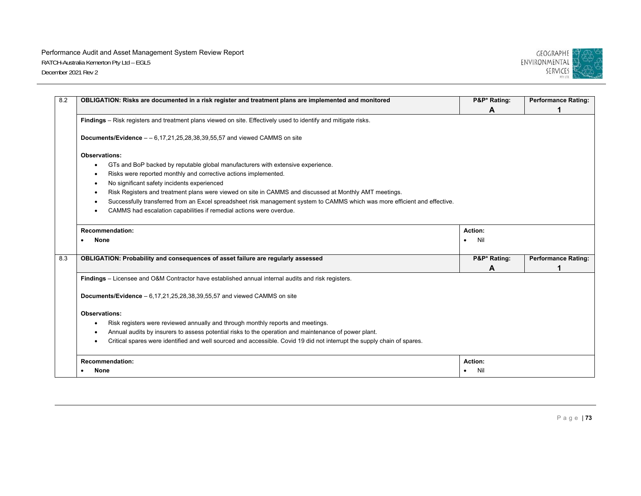

| 8.2 | OBLIGATION: Risks are documented in a risk register and treatment plans are implemented and monitored                      | P&P* Rating: | <b>Performance Rating:</b> |
|-----|----------------------------------------------------------------------------------------------------------------------------|--------------|----------------------------|
|     | Findings - Risk registers and treatment plans viewed on site. Effectively used to identify and mitigate risks.             | A            |                            |
|     | Documents/Evidence $-$ - 6,17,21,25,28,38,39,55,57 and viewed CAMMS on site                                                |              |                            |
|     | <b>Observations:</b>                                                                                                       |              |                            |
|     | GTs and BoP backed by reputable global manufacturers with extensive experience.<br>$\bullet$                               |              |                            |
|     | Risks were reported monthly and corrective actions implemented.                                                            |              |                            |
|     | No significant safety incidents experienced                                                                                |              |                            |
|     | Risk Registers and treatment plans were viewed on site in CAMMS and discussed at Monthly AMT meetings.                     |              |                            |
|     | Successfully transferred from an Excel spreadsheet risk management system to CAMMS which was more efficient and effective. |              |                            |
|     | CAMMS had escalation capabilities if remedial actions were overdue.                                                        |              |                            |
|     | <b>Recommendation:</b>                                                                                                     | Action:      |                            |
|     | <b>None</b>                                                                                                                | Nil          |                            |
|     | OBLIGATION: Probability and consequences of asset failure are regularly assessed                                           | P&P* Rating: | <b>Performance Rating:</b> |
|     |                                                                                                                            | A            |                            |
|     | Findings - Licensee and O&M Contractor have established annual internal audits and risk registers.                         |              |                            |
|     | Documents/Evidence $-6,17,21,25,28,38,39,55,57$ and viewed CAMMS on site                                                   |              |                            |
|     | <b>Observations:</b>                                                                                                       |              |                            |
|     |                                                                                                                            |              |                            |
|     | Risk registers were reviewed annually and through monthly reports and meetings.                                            |              |                            |
|     | Annual audits by insurers to assess potential risks to the operation and maintenance of power plant.                       |              |                            |
|     | Critical spares were identified and well sourced and accessible. Covid 19 did not interrupt the supply chain of spares.    |              |                            |
|     | <b>Recommendation:</b>                                                                                                     | Action:      |                            |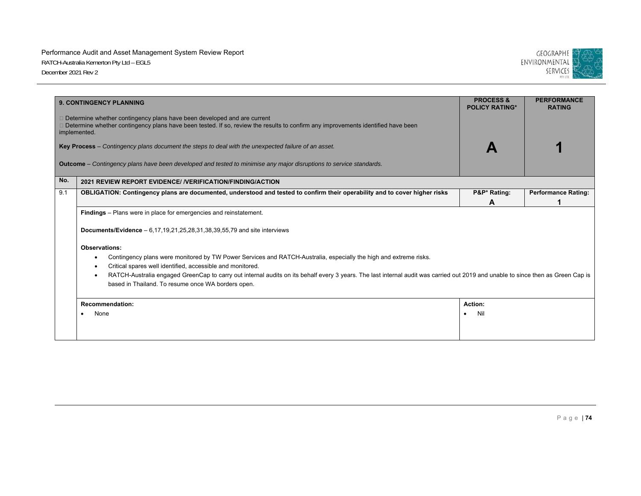

|     | <b>9. CONTINGENCY PLANNING</b>                                                                                                                                                                                                                      | <b>PROCESS &amp;</b><br><b>POLICY RATING*</b> | <b>PERFORMANCE</b><br><b>RATING</b> |  |  |
|-----|-----------------------------------------------------------------------------------------------------------------------------------------------------------------------------------------------------------------------------------------------------|-----------------------------------------------|-------------------------------------|--|--|
|     | $\Box$ Determine whether contingency plans have been developed and are current<br>□ Determine whether contingency plans have been tested. If so, review the results to confirm any improvements identified have been<br>implemented.                |                                               |                                     |  |  |
|     | Key Process – Contingency plans document the steps to deal with the unexpected failure of an asset.                                                                                                                                                 |                                               |                                     |  |  |
|     | <b>Outcome</b> – Contingency plans have been developed and tested to minimise any major disruptions to service standards.                                                                                                                           |                                               |                                     |  |  |
| No. | 2021 REVIEW REPORT EVIDENCE/ /VERIFICATION/FINDING/ACTION                                                                                                                                                                                           |                                               |                                     |  |  |
| 9.1 | OBLIGATION: Contingency plans are documented, understood and tested to confirm their operability and to cover higher risks                                                                                                                          | P&P* Rating:                                  | <b>Performance Rating:</b>          |  |  |
|     |                                                                                                                                                                                                                                                     | Α                                             |                                     |  |  |
|     | <b>Documents/Evidence</b> $- 6,17,19,21,25,28,31,38,39,55,79$ and site interviews                                                                                                                                                                   |                                               |                                     |  |  |
|     | <b>Observations:</b>                                                                                                                                                                                                                                |                                               |                                     |  |  |
|     | Contingency plans were monitored by TW Power Services and RATCH-Australia, especially the high and extreme risks.<br>$\bullet$                                                                                                                      |                                               |                                     |  |  |
|     | Critical spares well identified, accessible and monitored.                                                                                                                                                                                          |                                               |                                     |  |  |
|     | RATCH-Australia engaged GreenCap to carry out internal audits on its behalf every 3 years. The last internal audit was carried out 2019 and unable to since then as Green Cap is<br>$\bullet$<br>based in Thailand. To resume once WA borders open. |                                               |                                     |  |  |
|     | <b>Recommendation:</b>                                                                                                                                                                                                                              | Action:                                       |                                     |  |  |
|     | None                                                                                                                                                                                                                                                | Nil                                           |                                     |  |  |
|     |                                                                                                                                                                                                                                                     |                                               |                                     |  |  |
|     |                                                                                                                                                                                                                                                     |                                               |                                     |  |  |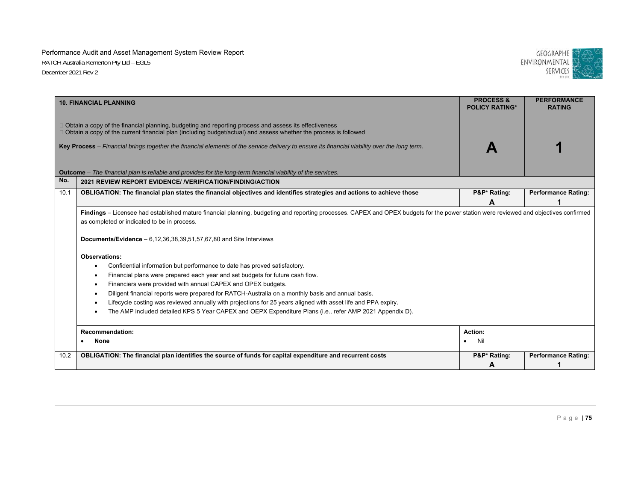

|      | <b>10. FINANCIAL PLANNING</b>                                                                                                                                                                                                                                                                                       | <b>PROCESS &amp;</b><br><b>POLICY RATING*</b> | <b>PERFORMANCE</b><br><b>RATING</b> |
|------|---------------------------------------------------------------------------------------------------------------------------------------------------------------------------------------------------------------------------------------------------------------------------------------------------------------------|-----------------------------------------------|-------------------------------------|
|      | $\Box$ Obtain a copy of the financial planning, budgeting and reporting process and assess its effectiveness<br>$\Box$ Obtain a copy of the current financial plan (including budget/actual) and assess whether the process is followed                                                                             |                                               |                                     |
|      | Key Process - Financial brings together the financial elements of the service delivery to ensure its financial viability over the long term.                                                                                                                                                                        |                                               |                                     |
|      | <b>Outcome</b> – The financial plan is reliable and provides for the long-term financial viability of the services.                                                                                                                                                                                                 |                                               |                                     |
| No.  | 2021 REVIEW REPORT EVIDENCE/ / VERIFICATION/FINDING/ACTION                                                                                                                                                                                                                                                          |                                               |                                     |
| 10.1 | OBLIGATION: The financial plan states the financial objectives and identifies strategies and actions to achieve those                                                                                                                                                                                               | P&P* Rating:                                  | <b>Performance Rating:</b>          |
|      |                                                                                                                                                                                                                                                                                                                     | A                                             |                                     |
|      | Findings – Licensee had established mature financial planning, budgeting and reporting processes. CAPEX and OPEX budgets for the power station were reviewed and objectives confirmed<br>as completed or indicated to be in process.<br><b>Documents/Evidence</b> $- 6,12,36,38,39,51,57,67,80$ and Site Interviews |                                               |                                     |
|      | <b>Observations:</b>                                                                                                                                                                                                                                                                                                |                                               |                                     |
|      | Confidential information but performance to date has proved satisfactory.                                                                                                                                                                                                                                           |                                               |                                     |
|      | Financial plans were prepared each year and set budgets for future cash flow.                                                                                                                                                                                                                                       |                                               |                                     |
|      | Financiers were provided with annual CAPEX and OPEX budgets.                                                                                                                                                                                                                                                        |                                               |                                     |
|      | Diligent financial reports were prepared for RATCH-Australia on a monthly basis and annual basis.                                                                                                                                                                                                                   |                                               |                                     |
|      | Lifecycle costing was reviewed annually with projections for 25 years aligned with asset life and PPA expiry.                                                                                                                                                                                                       |                                               |                                     |
|      | The AMP included detailed KPS 5 Year CAPEX and OEPX Expenditure Plans (i.e., refer AMP 2021 Appendix D).                                                                                                                                                                                                            |                                               |                                     |
|      | <b>Recommendation:</b>                                                                                                                                                                                                                                                                                              | Action:                                       |                                     |
|      | <b>None</b>                                                                                                                                                                                                                                                                                                         | Nil                                           |                                     |
| 10.2 | OBLIGATION: The financial plan identifies the source of funds for capital expenditure and recurrent costs                                                                                                                                                                                                           | P&P* Rating:                                  | <b>Performance Rating:</b>          |
|      |                                                                                                                                                                                                                                                                                                                     | A                                             |                                     |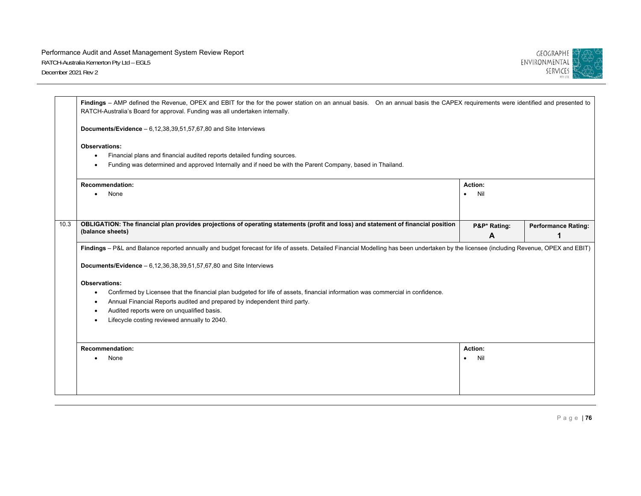

|      | Findings - AMP defined the Revenue, OPEX and EBIT for the for the power station on an annual basis. On an annual basis the CAPEX requirements were identified and presented to<br>RATCH-Australia's Board for approval. Funding was all undertaken internally.                                                             |                             |                            |
|------|----------------------------------------------------------------------------------------------------------------------------------------------------------------------------------------------------------------------------------------------------------------------------------------------------------------------------|-----------------------------|----------------------------|
|      | <b>Documents/Evidence</b> $-6,12,38,39,51,57,67,80$ and Site Interviews                                                                                                                                                                                                                                                    |                             |                            |
|      | Observations:<br>Financial plans and financial audited reports detailed funding sources.<br>Funding was determined and approved Internally and if need be with the Parent Company, based in Thailand.                                                                                                                      |                             |                            |
|      | <b>Recommendation:</b><br>None                                                                                                                                                                                                                                                                                             | Action:<br>Nil              |                            |
| 10.3 | OBLIGATION: The financial plan provides projections of operating statements (profit and loss) and statement of financial position<br>(balance sheets)                                                                                                                                                                      | P&P* Rating:<br>A           | <b>Performance Rating:</b> |
|      | Findings - P&L and Balance reported annually and budget forecast for life of assets. Detailed Financial Modelling has been undertaken by the licensee (including Revenue, OPEX and EBIT)<br>Documents/Evidence $-6.12,36,38,39,51,57,67,80$ and Site Interviews                                                            |                             |                            |
|      | Observations:<br>Confirmed by Licensee that the financial plan budgeted for life of assets, financial information was commercial in confidence.<br>Annual Financial Reports audited and prepared by independent third party.<br>Audited reports were on unqualified basis.<br>Lifecycle costing reviewed annually to 2040. |                             |                            |
|      | <b>Recommendation:</b><br>None<br>$\bullet$                                                                                                                                                                                                                                                                                | Action:<br>Nil<br>$\bullet$ |                            |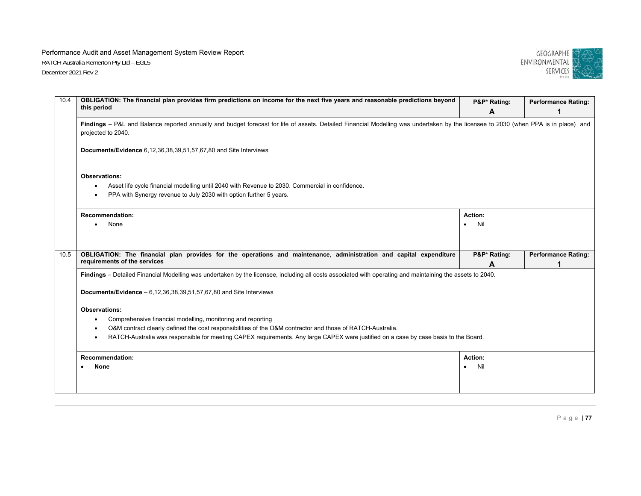

| 10.4<br>OBLIGATION: The financial plan provides firm predictions on income for the next five years and reasonable predictions beyond<br>this period                                                       | P&P* Rating:                                                                                                                         | <b>Performance Rating:</b> |  |  |
|-----------------------------------------------------------------------------------------------------------------------------------------------------------------------------------------------------------|--------------------------------------------------------------------------------------------------------------------------------------|----------------------------|--|--|
|                                                                                                                                                                                                           | A                                                                                                                                    |                            |  |  |
| Findings - P&L and Balance reported annually and budget forecast for life of assets. Detailed Financial Modelling was undertaken by the licensee to 2030 (when PPA is in place) and<br>projected to 2040. |                                                                                                                                      |                            |  |  |
| <b>Documents/Evidence</b> 6,12,36,38,39,51,57,67,80 and Site Interviews                                                                                                                                   |                                                                                                                                      |                            |  |  |
| Observations:                                                                                                                                                                                             |                                                                                                                                      |                            |  |  |
| Asset life cycle financial modelling until 2040 with Revenue to 2030. Commercial in confidence.<br>$\bullet$<br>PPA with Synergy revenue to July 2030 with option further 5 years.                        |                                                                                                                                      |                            |  |  |
| <b>Recommendation:</b>                                                                                                                                                                                    | Action:                                                                                                                              |                            |  |  |
| None                                                                                                                                                                                                      | Nil                                                                                                                                  |                            |  |  |
| 10.5<br>OBLIGATION: The financial plan provides for the operations and maintenance, administration and capital expenditure<br>requirements of the services                                                | P&P* Rating:                                                                                                                         | <b>Performance Rating:</b> |  |  |
|                                                                                                                                                                                                           | A                                                                                                                                    |                            |  |  |
| Findings - Detailed Financial Modelling was undertaken by the licensee, including all costs associated with operating and maintaining the assets to 2040.                                                 |                                                                                                                                      |                            |  |  |
| Documents/Evidence $-6,12,36,38,39,51,57,67,80$ and Site Interviews                                                                                                                                       |                                                                                                                                      |                            |  |  |
| <b>Observations:</b>                                                                                                                                                                                      |                                                                                                                                      |                            |  |  |
| Comprehensive financial modelling, monitoring and reporting                                                                                                                                               |                                                                                                                                      |                            |  |  |
| O&M contract clearly defined the cost responsibilities of the O&M contractor and those of RATCH-Australia.                                                                                                |                                                                                                                                      |                            |  |  |
|                                                                                                                                                                                                           | RATCH-Australia was responsible for meeting CAPEX requirements. Any large CAPEX were justified on a case by case basis to the Board. |                            |  |  |
| <b>Recommendation:</b>                                                                                                                                                                                    | Action:                                                                                                                              |                            |  |  |
| None                                                                                                                                                                                                      | Nil                                                                                                                                  |                            |  |  |
|                                                                                                                                                                                                           |                                                                                                                                      |                            |  |  |
|                                                                                                                                                                                                           |                                                                                                                                      |                            |  |  |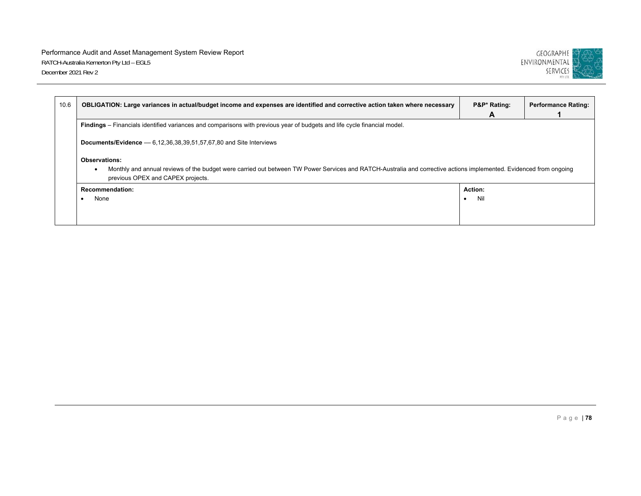

| OBLIGATION: Large variances in actual/budget income and expenses are identified and corrective action taken where necessary |                                                                                                                                                                    | P&P* Rating:<br>A | <b>Performance Rating:</b> |  |
|-----------------------------------------------------------------------------------------------------------------------------|--------------------------------------------------------------------------------------------------------------------------------------------------------------------|-------------------|----------------------------|--|
| Findings – Financials identified variances and comparisons with previous year of budgets and life cycle financial model.    |                                                                                                                                                                    |                   |                            |  |
| <b>Documents/Evidence</b> $-6,12,36,38,39,51,57,67,80$ and Site Interviews                                                  |                                                                                                                                                                    |                   |                            |  |
| <b>Observations:</b><br>٠<br>previous OPEX and CAPEX projects.                                                              | Monthly and annual reviews of the budget were carried out between TW Power Services and RATCH-Australia and corrective actions implemented. Evidenced from ongoing |                   |                            |  |
| Recommendation:<br>None                                                                                                     |                                                                                                                                                                    | Action:<br>Nil    |                            |  |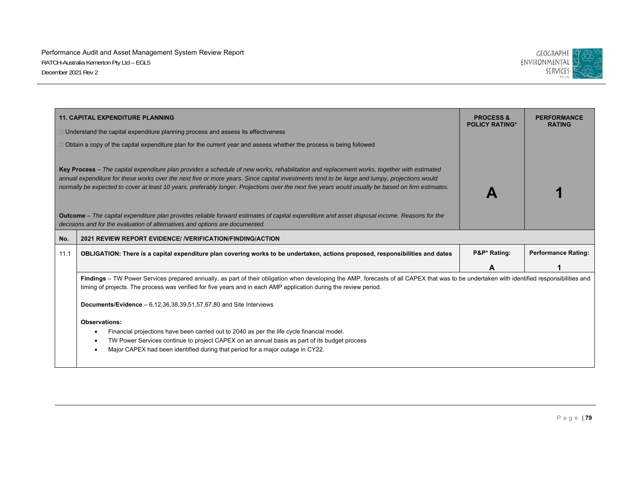

|                                                                                                                                                                                                                              | <b>11. CAPITAL EXPENDITURE PLANNING</b>                                                                                                                                                                                                                                                                                                                                                                                                          | <b>PROCESS &amp;</b><br><b>POLICY RATING*</b> | <b>PERFORMANCE</b><br><b>RATING</b> |
|------------------------------------------------------------------------------------------------------------------------------------------------------------------------------------------------------------------------------|--------------------------------------------------------------------------------------------------------------------------------------------------------------------------------------------------------------------------------------------------------------------------------------------------------------------------------------------------------------------------------------------------------------------------------------------------|-----------------------------------------------|-------------------------------------|
|                                                                                                                                                                                                                              | $\Box$ Understand the capital expenditure planning process and assess its effectiveness                                                                                                                                                                                                                                                                                                                                                          |                                               |                                     |
|                                                                                                                                                                                                                              | $\Box$ Obtain a copy of the capital expenditure plan for the current year and assess whether the process is being followed                                                                                                                                                                                                                                                                                                                       |                                               |                                     |
|                                                                                                                                                                                                                              | Key Process - The capital expenditure plan provides a schedule of new works, rehabilitation and replacement works, together with estimated<br>annual expenditure for these works over the next five or more years. Since capital investments tend to be large and lumpy, projections would<br>normally be expected to cover at least 10 years, preferably longer. Projections over the next five years would usually be based on firm estimates. |                                               |                                     |
| Outcome - The capital expenditure plan provides reliable forward estimates of capital expenditure and asset disposal income. Reasons for the<br>decisions and for the evaluation of alternatives and options are documented. |                                                                                                                                                                                                                                                                                                                                                                                                                                                  |                                               |                                     |
| No.                                                                                                                                                                                                                          | 2021 REVIEW REPORT EVIDENCE/ / VERIFICATION/FINDING/ACTION                                                                                                                                                                                                                                                                                                                                                                                       |                                               |                                     |
| 11.1                                                                                                                                                                                                                         | OBLIGATION: There is a capital expenditure plan covering works to be undertaken, actions proposed, responsibilities and dates                                                                                                                                                                                                                                                                                                                    | P&P* Rating:                                  | <b>Performance Rating:</b>          |
|                                                                                                                                                                                                                              |                                                                                                                                                                                                                                                                                                                                                                                                                                                  | Α                                             |                                     |
|                                                                                                                                                                                                                              | Findings - TW Power Services prepared annually, as part of their obligation when developing the AMP, forecasts of all CAPEX that was to be undertaken with identified responsibilities and<br>timing of projects. The process was verified for five years and in each AMP application during the review period.                                                                                                                                  |                                               |                                     |
|                                                                                                                                                                                                                              | Documents/Evidence $-6.12,36,38,39.51,57.67,80$ and Site Interviews                                                                                                                                                                                                                                                                                                                                                                              |                                               |                                     |
|                                                                                                                                                                                                                              | <b>Observations:</b><br>Financial projections have been carried out to 2040 as per the life cycle financial model.<br>TW Power Services continue to project CAPEX on an annual basis as part of its budget process<br>Major CAPEX had been identified during that period for a major outage in CY22.                                                                                                                                             |                                               |                                     |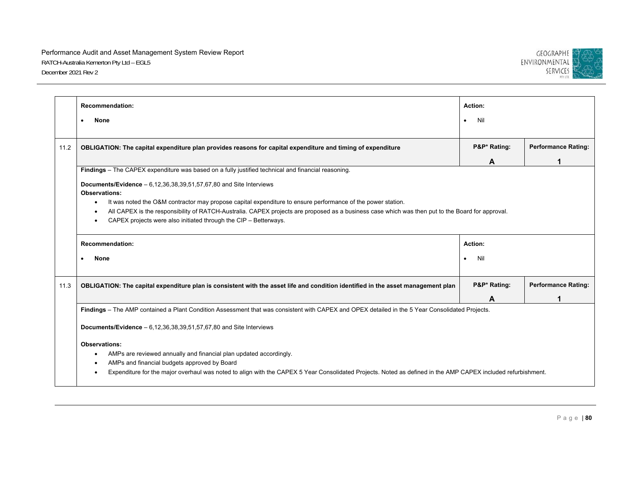

|      | <b>Recommendation:</b>                                                                                                                                                                                               | Action:          |                            |
|------|----------------------------------------------------------------------------------------------------------------------------------------------------------------------------------------------------------------------|------------------|----------------------------|
|      | <b>None</b><br>$\bullet$                                                                                                                                                                                             | Nil<br>$\bullet$ |                            |
|      |                                                                                                                                                                                                                      |                  |                            |
| 11.2 | OBLIGATION: The capital expenditure plan provides reasons for capital expenditure and timing of expenditure                                                                                                          | P&P* Rating:     | <b>Performance Rating:</b> |
|      |                                                                                                                                                                                                                      | A                |                            |
|      | Findings - The CAPEX expenditure was based on a fully justified technical and financial reasoning.                                                                                                                   |                  |                            |
|      | <b>Documents/Evidence</b> $-6,12,36,38,39,51,57,67,80$ and Site Interviews                                                                                                                                           |                  |                            |
|      | <b>Observations:</b>                                                                                                                                                                                                 |                  |                            |
|      | It was noted the O&M contractor may propose capital expenditure to ensure performance of the power station.<br>٠                                                                                                     |                  |                            |
|      | All CAPEX is the responsibility of RATCH-Australia. CAPEX projects are proposed as a business case which was then put to the Board for approval.<br>CAPEX projects were also initiated through the CIP - Betterways. |                  |                            |
|      |                                                                                                                                                                                                                      |                  |                            |
|      | <b>Recommendation:</b>                                                                                                                                                                                               | Action:          |                            |
|      | <b>None</b>                                                                                                                                                                                                          | Nil<br>$\bullet$ |                            |
| 11.3 | OBLIGATION: The capital expenditure plan is consistent with the asset life and condition identified in the asset management plan                                                                                     | P&P* Rating:     | <b>Performance Rating:</b> |
|      |                                                                                                                                                                                                                      | A                |                            |
|      | Findings - The AMP contained a Plant Condition Assessment that was consistent with CAPEX and OPEX detailed in the 5 Year Consolidated Projects.                                                                      |                  |                            |
|      | <b>Documents/Evidence</b> $-6,12,36,38,39,51,57,67,80$ and Site Interviews                                                                                                                                           |                  |                            |
|      | <b>Observations:</b>                                                                                                                                                                                                 |                  |                            |
|      | AMPs are reviewed annually and financial plan updated accordingly.                                                                                                                                                   |                  |                            |
|      | AMPs and financial budgets approved by Board                                                                                                                                                                         |                  |                            |
|      | Expenditure for the major overhaul was noted to align with the CAPEX 5 Year Consolidated Projects. Noted as defined in the AMP CAPEX included refurbishment.                                                         |                  |                            |
|      |                                                                                                                                                                                                                      |                  |                            |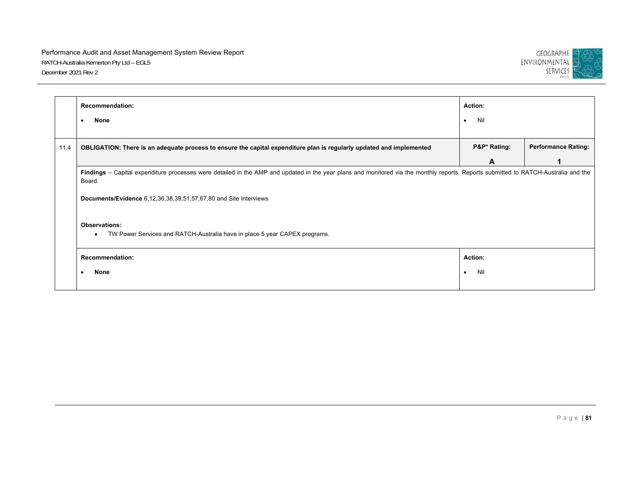

|      | <b>Recommendation:</b>                                                                                                                                                                        | Action:          |                            |
|------|-----------------------------------------------------------------------------------------------------------------------------------------------------------------------------------------------|------------------|----------------------------|
|      | None<br>$\bullet$                                                                                                                                                                             | Nil<br>$\bullet$ |                            |
|      |                                                                                                                                                                                               |                  |                            |
| 11.4 | OBLIGATION: There is an adequate process to ensure the capital expenditure plan is regularly updated and implemented                                                                          | P&P* Rating:     | <b>Performance Rating:</b> |
|      |                                                                                                                                                                                               | A                |                            |
|      | Findings - Capital expenditure processes were detailed in the AMP and updated in the year plans and monitored via the monthly reports. Reports submitted to RATCH-Australia and the<br>Board. |                  |                            |
|      | <b>Documents/Evidence</b> 6,12,36,38,39,51,57,67,80 and Site Interviews                                                                                                                       |                  |                            |
|      | <b>Observations:</b><br>TW Power Services and RATCH-Australia have in place 5 year CAPEX programs.<br>$\bullet$                                                                               |                  |                            |
|      | <b>Recommendation:</b>                                                                                                                                                                        | <b>Action:</b>   |                            |
|      | None<br>$\bullet$                                                                                                                                                                             | Nil<br>$\bullet$ |                            |
|      |                                                                                                                                                                                               |                  |                            |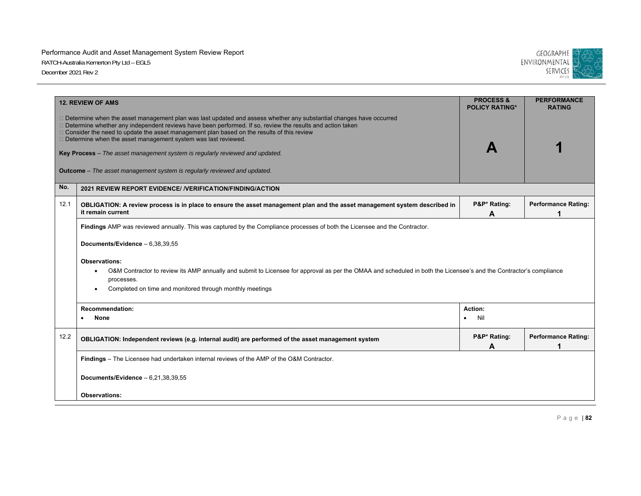

|      | <b>12. REVIEW OF AMS</b>                                                                                                                                                                                                                                                                                                                                                                                                                                                                                                                                                      | <b>PROCESS &amp;</b><br><b>POLICY RATING*</b> | <b>PERFORMANCE</b><br><b>RATING</b> |  |  |
|------|-------------------------------------------------------------------------------------------------------------------------------------------------------------------------------------------------------------------------------------------------------------------------------------------------------------------------------------------------------------------------------------------------------------------------------------------------------------------------------------------------------------------------------------------------------------------------------|-----------------------------------------------|-------------------------------------|--|--|
|      | □ Determine when the asset management plan was last updated and assess whether any substantial changes have occurred<br>□ Determine whether any independent reviews have been performed. If so, review the results and action taken<br>□ Consider the need to update the asset management plan based on the results of this review<br>$\Box$ Determine when the asset management system was last reviewed.<br>Key Process - The asset management system is regularly reviewed and updated.<br><b>Outcome</b> – The asset management system is regularly reviewed and updated. |                                               |                                     |  |  |
| No.  | 2021 REVIEW REPORT EVIDENCE/ /VERIFICATION/FINDING/ACTION                                                                                                                                                                                                                                                                                                                                                                                                                                                                                                                     |                                               |                                     |  |  |
| 12.1 | OBLIGATION: A review process is in place to ensure the asset management plan and the asset management system described in<br>it remain current                                                                                                                                                                                                                                                                                                                                                                                                                                | P&P* Rating:<br>A                             | <b>Performance Rating:</b><br>1     |  |  |
|      | Documents/Evidence - 6,38,39,55<br><b>Observations:</b><br>O&M Contractor to review its AMP annually and submit to Licensee for approval as per the OMAA and scheduled in both the Licensee's and the Contractor's compliance<br>processes.<br>Completed on time and monitored through monthly meetings                                                                                                                                                                                                                                                                       |                                               |                                     |  |  |
|      | <b>Recommendation:</b><br><b>None</b><br>$\bullet$                                                                                                                                                                                                                                                                                                                                                                                                                                                                                                                            | Action:<br>Nil<br>$\bullet$                   |                                     |  |  |
| 12.2 | OBLIGATION: Independent reviews (e.g. internal audit) are performed of the asset management system                                                                                                                                                                                                                                                                                                                                                                                                                                                                            | P&P* Rating:<br>A                             | <b>Performance Rating:</b><br>1     |  |  |
|      | Findings – The Licensee had undertaken internal reviews of the AMP of the O&M Contractor.                                                                                                                                                                                                                                                                                                                                                                                                                                                                                     |                                               |                                     |  |  |
|      | Documents/Evidence $-6,21,38,39,55$                                                                                                                                                                                                                                                                                                                                                                                                                                                                                                                                           |                                               |                                     |  |  |
|      | <b>Observations:</b>                                                                                                                                                                                                                                                                                                                                                                                                                                                                                                                                                          |                                               |                                     |  |  |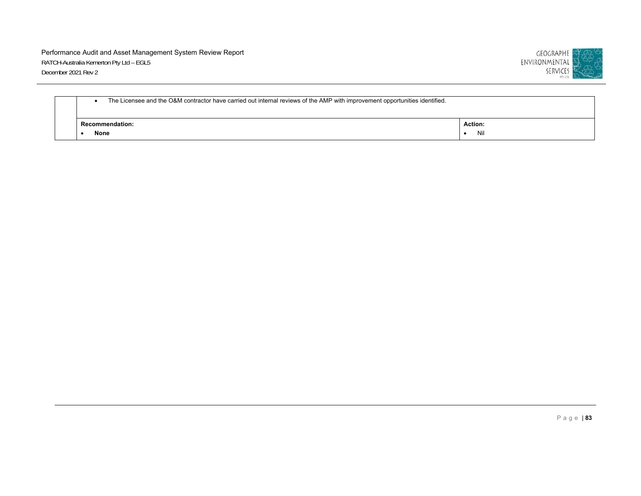

| The Licensee and the O&M contractor have carried out internal reviews of the AMP with improvement opportunities identified. |                                |                       |
|-----------------------------------------------------------------------------------------------------------------------------|--------------------------------|-----------------------|
|                                                                                                                             | <b>Recommendation:</b><br>None | <b>Action:</b><br>Nil |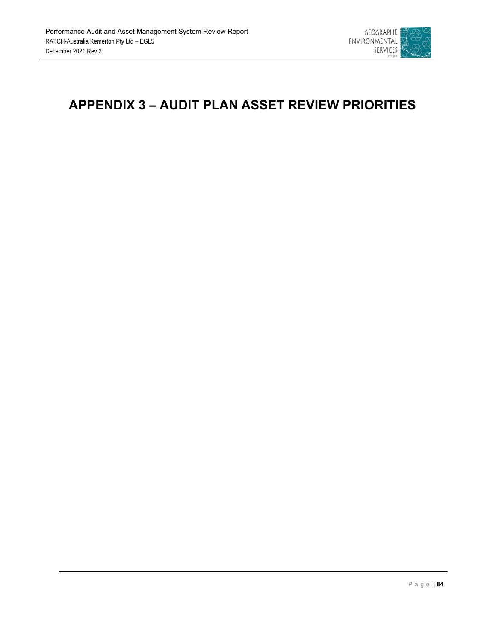

## **APPENDIX 3 – AUDIT PLAN ASSET REVIEW PRIORITIES**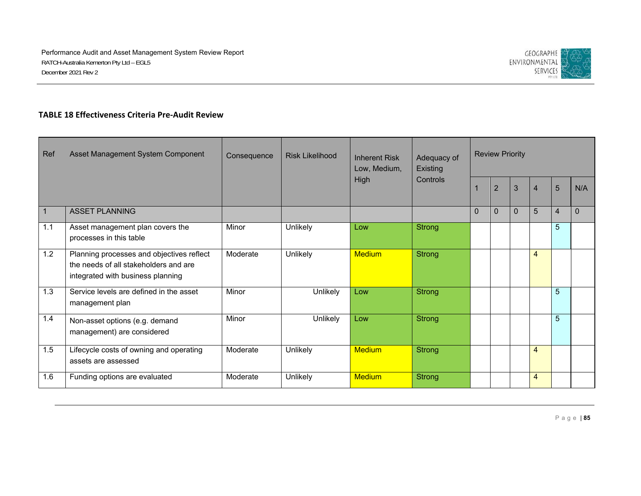

#### **TABLE 18 Effectiveness Criteria Pre‐Audit Review**

| Ref | Asset Management System Component                                                                                       | Consequence | <b>Risk Likelihood</b> | <b>Inherent Risk</b><br>Low, Medium, | Adequacy of<br><b>Existing</b> |          | <b>Review Priority</b> |              |                |                |                |
|-----|-------------------------------------------------------------------------------------------------------------------------|-------------|------------------------|--------------------------------------|--------------------------------|----------|------------------------|--------------|----------------|----------------|----------------|
|     |                                                                                                                         |             |                        | <b>High</b>                          | Controls                       |          | $\overline{2}$         | 3            | $\overline{4}$ | 5              | N/A            |
| -1  | <b>ASSET PLANNING</b>                                                                                                   |             |                        |                                      |                                | $\Omega$ | $\Omega$               | $\mathbf{0}$ | 5              | $\overline{4}$ | $\overline{0}$ |
| 1.1 | Asset management plan covers the<br>processes in this table                                                             | Minor       | Unlikely               | Low                                  | <b>Strong</b>                  |          |                        |              |                | 5              |                |
| 1.2 | Planning processes and objectives reflect<br>the needs of all stakeholders and are<br>integrated with business planning | Moderate    | Unlikely               | <b>Medium</b>                        | <b>Strong</b>                  |          |                        |              | $\overline{4}$ |                |                |
| 1.3 | Service levels are defined in the asset<br>management plan                                                              | Minor       | Unlikely               | Low                                  | <b>Strong</b>                  |          |                        |              |                | 5              |                |
| 1.4 | Non-asset options (e.g. demand<br>management) are considered                                                            | Minor       | Unlikely               | Low                                  | <b>Strong</b>                  |          |                        |              |                | 5              |                |
| 1.5 | Lifecycle costs of owning and operating<br>assets are assessed                                                          | Moderate    | Unlikely               | <b>Medium</b>                        | <b>Strong</b>                  |          |                        |              | $\overline{4}$ |                |                |
| 1.6 | Funding options are evaluated                                                                                           | Moderate    | Unlikely               | <b>Medium</b>                        | <b>Strong</b>                  |          |                        |              | $\overline{4}$ |                |                |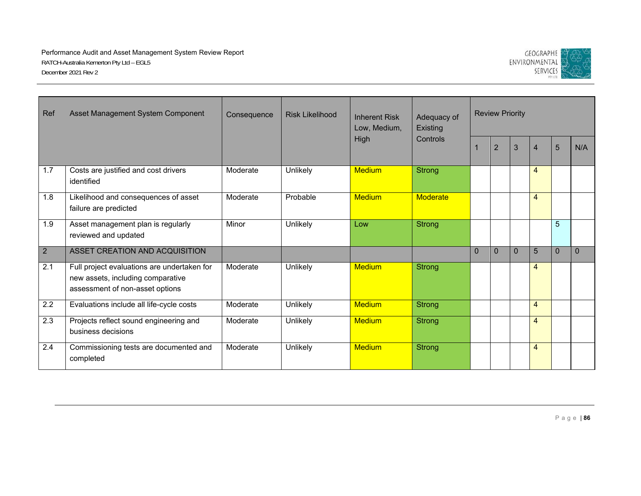

| Ref            | Asset Management System Component                                                                                   | Consequence | <b>Risk Likelihood</b> | <b>Inherent Risk</b><br>Low, Medium, | Adequacy of<br>Existing |          | <b>Review Priority</b> |                |                |          |          |
|----------------|---------------------------------------------------------------------------------------------------------------------|-------------|------------------------|--------------------------------------|-------------------------|----------|------------------------|----------------|----------------|----------|----------|
|                |                                                                                                                     |             |                        | High                                 | Controls                |          | $\overline{2}$         | 3              | $\overline{4}$ | 5        | N/A      |
| 1.7            | Costs are justified and cost drivers<br>identified                                                                  | Moderate    | Unlikely               | <b>Medium</b>                        | Strong                  |          |                        |                | $\overline{4}$ |          |          |
| 1.8            | Likelihood and consequences of asset<br>failure are predicted                                                       | Moderate    | Probable               | <b>Medium</b>                        | Moderate                |          |                        |                | $\overline{4}$ |          |          |
| 1.9            | Asset management plan is regularly<br>reviewed and updated                                                          | Minor       | Unlikely               | Low                                  | Strong                  |          |                        |                |                | 5        |          |
| $\overline{2}$ | ASSET CREATION AND ACQUISITION                                                                                      |             |                        |                                      |                         | $\Omega$ | $\mathbf{0}$           | $\overline{0}$ | 5              | $\Omega$ | $\Omega$ |
| 2.1            | Full project evaluations are undertaken for<br>new assets, including comparative<br>assessment of non-asset options | Moderate    | Unlikely               | <b>Medium</b>                        | <b>Strong</b>           |          |                        |                | $\overline{4}$ |          |          |
| 2.2            | Evaluations include all life-cycle costs                                                                            | Moderate    | Unlikely               | <b>Medium</b>                        | Strong                  |          |                        |                | $\overline{4}$ |          |          |
| 2.3            | Projects reflect sound engineering and<br>business decisions                                                        | Moderate    | Unlikely               | <b>Medium</b>                        | Strong                  |          |                        |                | $\overline{4}$ |          |          |
| 2.4            | Commissioning tests are documented and<br>completed                                                                 | Moderate    | Unlikely               | <b>Medium</b>                        | <b>Strong</b>           |          |                        |                | $\overline{4}$ |          |          |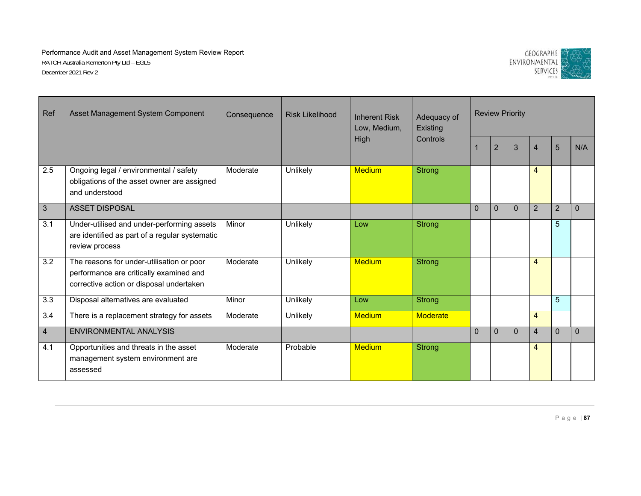

| Ref            | Asset Management System Component<br>Consequence<br><b>Risk Likelihood</b><br><b>Inherent Risk</b><br>Low, Medium,<br>High       | Adequacy of<br>Existing |          | <b>Review Priority</b> |                 |          |                |          |                |                |          |
|----------------|----------------------------------------------------------------------------------------------------------------------------------|-------------------------|----------|------------------------|-----------------|----------|----------------|----------|----------------|----------------|----------|
|                |                                                                                                                                  |                         |          |                        | Controls        |          | $\overline{2}$ | 3        | $\overline{4}$ | 5              | N/A      |
| 2.5            | Ongoing legal / environmental / safety<br>obligations of the asset owner are assigned<br>and understood                          | Moderate                | Unlikely | <b>Medium</b>          | <b>Strong</b>   |          |                |          | $\overline{4}$ |                |          |
| 3              | <b>ASSET DISPOSAL</b>                                                                                                            |                         |          |                        |                 | $\Omega$ | $\mathbf{0}$   | $\Omega$ | $\overline{2}$ | $\overline{2}$ | $\Omega$ |
| 3.1            | Under-utilised and under-performing assets<br>are identified as part of a regular systematic<br>review process                   | Minor                   | Unlikely | Low                    | <b>Strong</b>   |          |                |          |                | 5              |          |
| 3.2            | The reasons for under-utilisation or poor<br>performance are critically examined and<br>corrective action or disposal undertaken | Moderate                | Unlikely | <b>Medium</b>          | <b>Strong</b>   |          |                |          | $\overline{4}$ |                |          |
| 3.3            | Disposal alternatives are evaluated                                                                                              | Minor                   | Unlikely | Low                    | <b>Strong</b>   |          |                |          |                | $\overline{5}$ |          |
| 3.4            | There is a replacement strategy for assets                                                                                       | Moderate                | Unlikely | <b>Medium</b>          | <b>Moderate</b> |          |                |          | $\overline{4}$ |                |          |
| $\overline{4}$ | <b>ENVIRONMENTAL ANALYSIS</b>                                                                                                    |                         |          |                        |                 | $\Omega$ | $\mathbf{0}$   | $\Omega$ | $\overline{4}$ | $\mathbf{0}$   | $\Omega$ |
| 4.1            | Opportunities and threats in the asset<br>management system environment are<br>assessed                                          | Moderate                | Probable | <b>Medium</b>          | Strong          |          |                |          | 4              |                |          |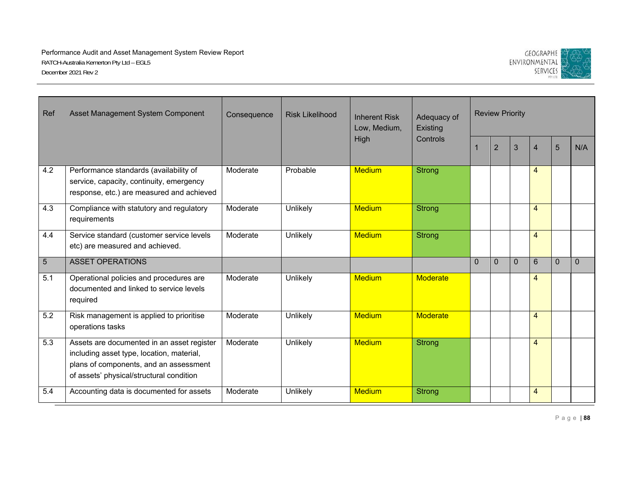

| Ref | Asset Management System Component                                                                                                                                             | Consequence | <b>Risk Likelihood</b> | <b>Inherent Risk</b><br>Low, Medium, | Adequacy of<br>Existing |          | <b>Review Priority</b> |          |                |                 |          |
|-----|-------------------------------------------------------------------------------------------------------------------------------------------------------------------------------|-------------|------------------------|--------------------------------------|-------------------------|----------|------------------------|----------|----------------|-----------------|----------|
|     |                                                                                                                                                                               |             |                        | High                                 | Controls                |          | $\overline{2}$         | 3        | $\overline{4}$ | $5\overline{)}$ | N/A      |
| 4.2 | Performance standards (availability of<br>service, capacity, continuity, emergency<br>response, etc.) are measured and achieved                                               | Moderate    | Probable               | <b>Medium</b>                        | <b>Strong</b>           |          |                        |          | 4              |                 |          |
| 4.3 | Compliance with statutory and regulatory<br>requirements                                                                                                                      | Moderate    | Unlikely               | <b>Medium</b>                        | <b>Strong</b>           |          |                        |          | $\overline{4}$ |                 |          |
| 4.4 | Service standard (customer service levels<br>etc) are measured and achieved.                                                                                                  | Moderate    | Unlikely               | <b>Medium</b>                        | <b>Strong</b>           |          |                        |          | $\overline{4}$ |                 |          |
| 5   | <b>ASSET OPERATIONS</b>                                                                                                                                                       |             |                        |                                      |                         | $\Omega$ | $\mathbf{0}$           | $\Omega$ | 6              | $\Omega$        | $\Omega$ |
| 5.1 | Operational policies and procedures are<br>documented and linked to service levels<br>required                                                                                | Moderate    | Unlikely               | <b>Medium</b>                        | <b>Moderate</b>         |          |                        |          | $\overline{4}$ |                 |          |
| 5.2 | Risk management is applied to prioritise<br>operations tasks                                                                                                                  | Moderate    | Unlikely               | <b>Medium</b>                        | <b>Moderate</b>         |          |                        |          | $\overline{4}$ |                 |          |
| 5.3 | Assets are documented in an asset register<br>including asset type, location, material,<br>plans of components, and an assessment<br>of assets' physical/structural condition | Moderate    | Unlikely               | <b>Medium</b>                        | <b>Strong</b>           |          |                        |          | $\overline{4}$ |                 |          |
| 5.4 | Accounting data is documented for assets                                                                                                                                      | Moderate    | Unlikely               | <b>Medium</b>                        | <b>Strong</b>           |          |                        |          | $\overline{4}$ |                 |          |

Page | **88**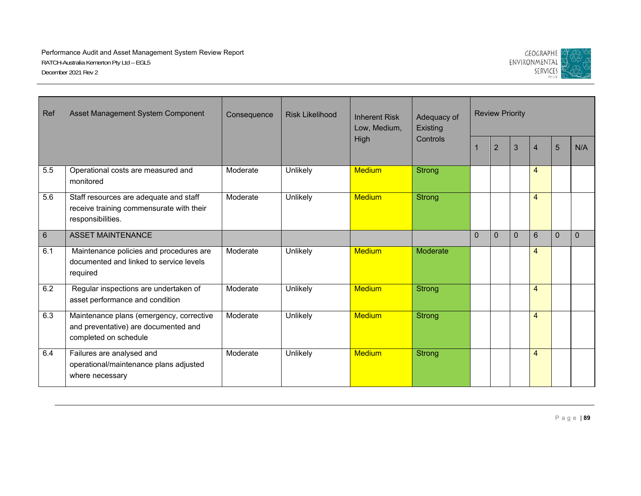

| Ref             | Asset Management System Component                                                                         | Consequence | <b>Risk Likelihood</b> | <b>Inherent Risk</b><br>Low, Medium, | Adequacy of<br>Existing |          | <b>Review Priority</b> |                |                |                |          |
|-----------------|-----------------------------------------------------------------------------------------------------------|-------------|------------------------|--------------------------------------|-------------------------|----------|------------------------|----------------|----------------|----------------|----------|
|                 |                                                                                                           |             |                        | High                                 | Controls                |          | $\overline{2}$         | $\overline{3}$ | 4              | 5              | N/A      |
| 5.5             | Operational costs are measured and<br>monitored                                                           | Moderate    | Unlikely               | <b>Medium</b>                        | <b>Strong</b>           |          |                        |                | $\overline{4}$ |                |          |
| 5.6             | Staff resources are adequate and staff<br>receive training commensurate with their<br>responsibilities.   | Moderate    | Unlikely               | <b>Medium</b>                        | Strong                  |          |                        |                | $\overline{4}$ |                |          |
| $6\phantom{1}6$ | <b>ASSET MAINTENANCE</b>                                                                                  |             |                        |                                      |                         | $\Omega$ | $\mathbf{0}$           | $\mathbf{0}$   | 6              | $\overline{0}$ | $\Omega$ |
| 6.1             | Maintenance policies and procedures are<br>documented and linked to service levels<br>required            | Moderate    | Unlikely               | <b>Medium</b>                        | <b>Moderate</b>         |          |                        |                | $\overline{4}$ |                |          |
| 6.2             | Regular inspections are undertaken of<br>asset performance and condition                                  | Moderate    | Unlikely               | <b>Medium</b>                        | Strong                  |          |                        |                | $\overline{4}$ |                |          |
| 6.3             | Maintenance plans (emergency, corrective<br>and preventative) are documented and<br>completed on schedule | Moderate    | Unlikely               | <b>Medium</b>                        | <b>Strong</b>           |          |                        |                | $\overline{4}$ |                |          |
| 6.4             | Failures are analysed and<br>operational/maintenance plans adjusted<br>where necessary                    | Moderate    | Unlikely               | <b>Medium</b>                        | <b>Strong</b>           |          |                        |                | $\overline{4}$ |                |          |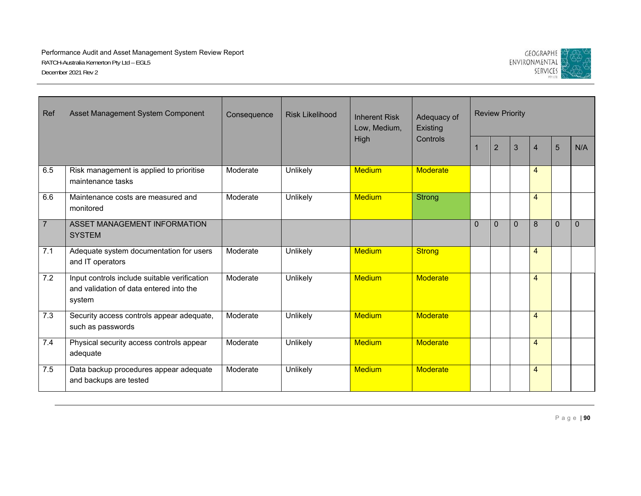

| Ref              | Asset Management System Component                                                                 | Consequence | <b>Risk Likelihood</b><br>High | <b>Inherent Risk</b><br>Low, Medium, | Adequacy of<br>Existing |          | <b>Review Priority</b> |          |                |                |              |
|------------------|---------------------------------------------------------------------------------------------------|-------------|--------------------------------|--------------------------------------|-------------------------|----------|------------------------|----------|----------------|----------------|--------------|
|                  |                                                                                                   |             |                                |                                      | Controls                |          | $\overline{2}$         | 3        | $\overline{4}$ | $5\phantom{.}$ | N/A          |
| 6.5              | Risk management is applied to prioritise<br>maintenance tasks                                     | Moderate    | Unlikely                       | <b>Medium</b>                        | <b>Moderate</b>         |          |                        |          | $\overline{4}$ |                |              |
| 6.6              | Maintenance costs are measured and<br>monitored                                                   | Moderate    | Unlikely                       | <b>Medium</b>                        | <b>Strong</b>           |          |                        |          | $\overline{4}$ |                |              |
| $\overline{7}$   | ASSET MANAGEMENT INFORMATION<br><b>SYSTEM</b>                                                     |             |                                |                                      |                         | $\Omega$ | $\mathbf{0}$           | $\Omega$ | 8              | $\mathbf{0}$   | $\mathbf{0}$ |
| $\overline{7.1}$ | Adequate system documentation for users<br>and IT operators                                       | Moderate    | Unlikely                       | <b>Medium</b>                        | <b>Strong</b>           |          |                        |          | $\overline{4}$ |                |              |
| 7.2              | Input controls include suitable verification<br>and validation of data entered into the<br>system | Moderate    | Unlikely                       | <b>Medium</b>                        | <b>Moderate</b>         |          |                        |          | $\overline{4}$ |                |              |
| 7.3              | Security access controls appear adequate,<br>such as passwords                                    | Moderate    | Unlikely                       | <b>Medium</b>                        | <b>Moderate</b>         |          |                        |          | $\overline{4}$ |                |              |
| 7.4              | Physical security access controls appear<br>adequate                                              | Moderate    | Unlikely                       | <b>Medium</b>                        | <b>Moderate</b>         |          |                        |          | $\overline{4}$ |                |              |
| 7.5              | Data backup procedures appear adequate<br>and backups are tested                                  | Moderate    | Unlikely                       | <b>Medium</b>                        | <b>Moderate</b>         |          |                        |          | 4              |                |              |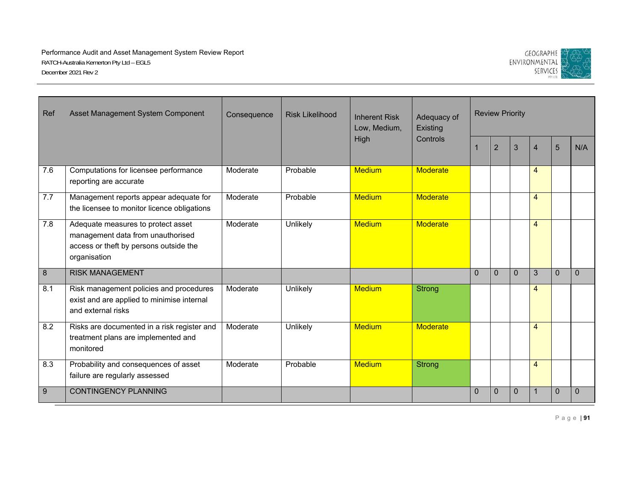

| Ref              | Asset Management System Component                                                                                                 | Consequence | <b>Risk Likelihood</b> | <b>Inherent Risk</b><br>Low, Medium, | Adequacy of<br>Existing |          | <b>Review Priority</b> |              |                |                |          |
|------------------|-----------------------------------------------------------------------------------------------------------------------------------|-------------|------------------------|--------------------------------------|-------------------------|----------|------------------------|--------------|----------------|----------------|----------|
|                  |                                                                                                                                   |             |                        | High                                 | Controls                |          | $\overline{2}$         | 3            | $\overline{4}$ | 5              | N/A      |
| 7.6              | Computations for licensee performance<br>reporting are accurate                                                                   | Moderate    | Probable               | <b>Medium</b>                        | <b>Moderate</b>         |          |                        |              | 4              |                |          |
| 7.7              | Management reports appear adequate for<br>the licensee to monitor licence obligations                                             | Moderate    | Probable               | <b>Medium</b>                        | <b>Moderate</b>         |          |                        |              | $\overline{4}$ |                |          |
| 7.8              | Adequate measures to protect asset<br>management data from unauthorised<br>access or theft by persons outside the<br>organisation | Moderate    | Unlikely               | <b>Medium</b>                        | <b>Moderate</b>         |          |                        |              | $\overline{4}$ |                |          |
| $\,8\,$          | <b>RISK MANAGEMENT</b>                                                                                                            |             |                        |                                      |                         | $\Omega$ | $\Omega$               | $\Omega$     | 3              | $\Omega$       | $\Omega$ |
| 8.1              | Risk management policies and procedures<br>exist and are applied to minimise internal<br>and external risks                       | Moderate    | Unlikely               | <b>Medium</b>                        | Strong                  |          |                        |              | $\overline{4}$ |                |          |
| 8.2              | Risks are documented in a risk register and<br>treatment plans are implemented and<br>monitored                                   | Moderate    | Unlikely               | <b>Medium</b>                        | <b>Moderate</b>         |          |                        |              | $\overline{4}$ |                |          |
| 8.3              | Probability and consequences of asset<br>failure are regularly assessed                                                           | Moderate    | Probable               | <b>Medium</b>                        | Strong                  |          |                        |              | $\overline{4}$ |                |          |
| $\boldsymbol{9}$ | <b>CONTINGENCY PLANNING</b>                                                                                                       |             |                        |                                      |                         | $\Omega$ | $\mathbf{0}$           | $\mathbf{0}$ |                | $\overline{0}$ | $\Omega$ |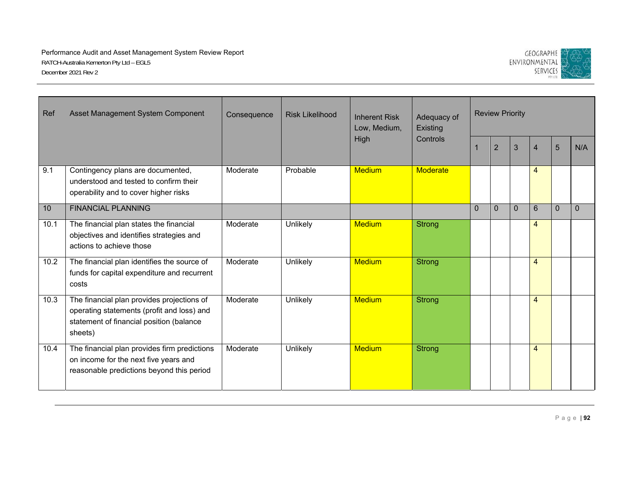

| Ref  | Asset Management System Component                                                                                                               | Consequence | <b>Risk Likelihood</b> | <b>Inherent Risk</b><br>Low, Medium, | Adequacy of<br>Existing |              | <b>Review Priority</b> |                |                |          |          |
|------|-------------------------------------------------------------------------------------------------------------------------------------------------|-------------|------------------------|--------------------------------------|-------------------------|--------------|------------------------|----------------|----------------|----------|----------|
|      |                                                                                                                                                 |             |                        | High                                 | Controls                |              | $\overline{2}$         | $\overline{3}$ | 4              | 5        | N/A      |
| 9.1  | Contingency plans are documented,<br>understood and tested to confirm their<br>operability and to cover higher risks                            | Moderate    | Probable               | <b>Medium</b>                        | <b>Moderate</b>         |              |                        |                | $\overline{4}$ |          |          |
| 10   | <b>FINANCIAL PLANNING</b>                                                                                                                       |             |                        |                                      |                         | $\mathbf{0}$ | $\Omega$               | $\mathbf 0$    | 6              | $\theta$ | $\Omega$ |
| 10.1 | The financial plan states the financial<br>objectives and identifies strategies and<br>actions to achieve those                                 | Moderate    | Unlikely               | <b>Medium</b>                        | Strong                  |              |                        |                | $\overline{4}$ |          |          |
| 10.2 | The financial plan identifies the source of<br>funds for capital expenditure and recurrent<br>costs                                             | Moderate    | Unlikely               | <b>Medium</b>                        | <b>Strong</b>           |              |                        |                | $\overline{4}$ |          |          |
| 10.3 | The financial plan provides projections of<br>operating statements (profit and loss) and<br>statement of financial position (balance<br>sheets) | Moderate    | Unlikely               | <b>Medium</b>                        | Strong                  |              |                        |                | $\overline{4}$ |          |          |
| 10.4 | The financial plan provides firm predictions<br>on income for the next five years and<br>reasonable predictions beyond this period              | Moderate    | Unlikely               | <b>Medium</b>                        | <b>Strong</b>           |              |                        |                | $\overline{4}$ |          |          |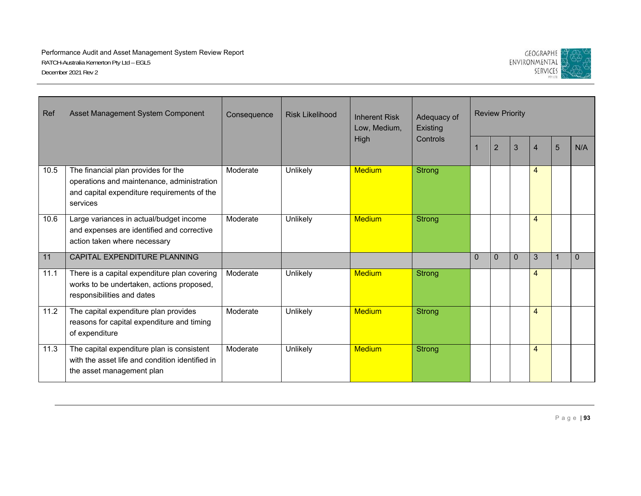

| Ref  | Asset Management System Component                                                                                                            | Consequence | <b>Risk Likelihood</b> | <b>Inherent Risk</b><br>Low, Medium, | Adequacy of<br>Existing |          | <b>Review Priority</b> |                |                |   |          |
|------|----------------------------------------------------------------------------------------------------------------------------------------------|-------------|------------------------|--------------------------------------|-------------------------|----------|------------------------|----------------|----------------|---|----------|
|      |                                                                                                                                              |             |                        | High                                 | Controls                |          | $\overline{2}$         | $\overline{3}$ | 4              | 5 | N/A      |
| 10.5 | The financial plan provides for the<br>operations and maintenance, administration<br>and capital expenditure requirements of the<br>services | Moderate    | Unlikely               | <b>Medium</b>                        | Strong                  |          |                        |                | $\overline{4}$ |   |          |
| 10.6 | Large variances in actual/budget income<br>and expenses are identified and corrective<br>action taken where necessary                        | Moderate    | Unlikely               | <b>Medium</b>                        | <b>Strong</b>           |          |                        |                | $\overline{4}$ |   |          |
| 11   | CAPITAL EXPENDITURE PLANNING                                                                                                                 |             |                        |                                      |                         | $\Omega$ | $\mathbf{0}$           | $\mathbf 0$    | 3              |   | $\Omega$ |
| 11.1 | There is a capital expenditure plan covering<br>works to be undertaken, actions proposed,<br>responsibilities and dates                      | Moderate    | Unlikely               | <b>Medium</b>                        | <b>Strong</b>           |          |                        |                | $\overline{4}$ |   |          |
| 11.2 | The capital expenditure plan provides<br>reasons for capital expenditure and timing<br>of expenditure                                        | Moderate    | Unlikely               | <b>Medium</b>                        | <b>Strong</b>           |          |                        |                | $\overline{4}$ |   |          |
| 11.3 | The capital expenditure plan is consistent<br>with the asset life and condition identified in<br>the asset management plan                   | Moderate    | Unlikely               | <b>Medium</b>                        | <b>Strong</b>           |          |                        |                | $\overline{4}$ |   |          |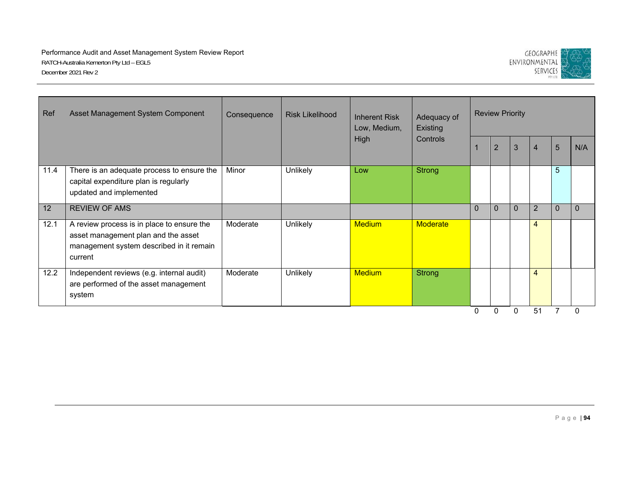

| Ref               | Asset Management System Component                                                                                                        | Consequence | <b>Risk Likelihood</b> | <b>Inherent Risk</b><br>Low, Medium, | Adequacy of<br><b>Existing</b> |              | <b>Review Priority</b> |              |                |                |     |
|-------------------|------------------------------------------------------------------------------------------------------------------------------------------|-------------|------------------------|--------------------------------------|--------------------------------|--------------|------------------------|--------------|----------------|----------------|-----|
|                   |                                                                                                                                          |             |                        | High                                 | Controls                       |              | $\overline{2}$         | 3            | 4              | $5\phantom{1}$ | N/A |
| 11.4              | There is an adequate process to ensure the<br>capital expenditure plan is regularly<br>updated and implemented                           | Minor       | Unlikely               | Low                                  | Strong                         |              |                        |              |                | 5              |     |
| $12 \overline{ }$ | <b>REVIEW OF AMS</b>                                                                                                                     |             |                        |                                      |                                | $\mathbf{0}$ | $\overline{0}$         | $\mathbf{0}$ | $\overline{2}$ | $\Omega$       |     |
| 12.1              | A review process is in place to ensure the<br>asset management plan and the asset<br>management system described in it remain<br>current | Moderate    | Unlikely               | <b>Medium</b>                        | <b>Moderate</b>                |              |                        |              | 4              |                |     |
| 12.2              | Independent reviews (e.g. internal audit)<br>are performed of the asset management<br>system                                             | Moderate    | Unlikely               | <b>Medium</b>                        | Strong                         |              |                        |              | 4              |                |     |
|                   |                                                                                                                                          |             |                        |                                      |                                |              | 0                      | 0            | 51             |                |     |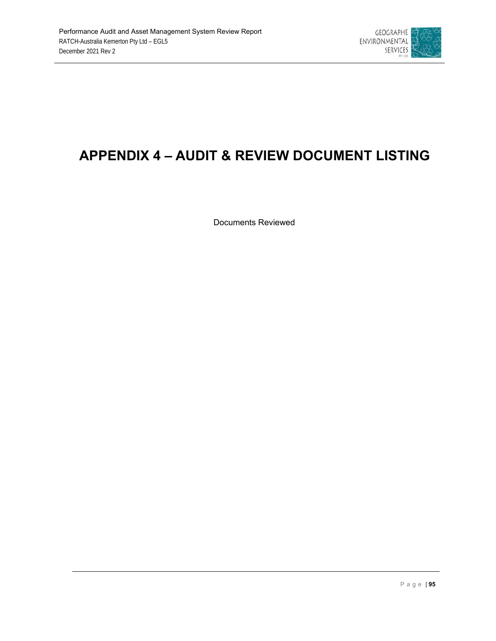

# **APPENDIX 4 – AUDIT & REVIEW DOCUMENT LISTING**

Documents Reviewed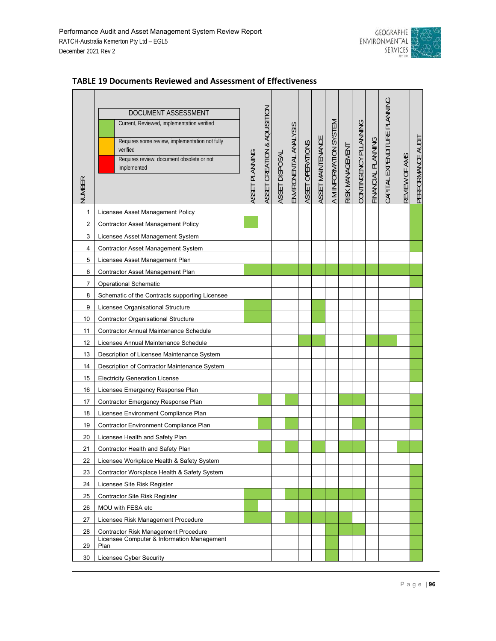

| NUMBER       | DOCUMENT ASSESSMENT<br>Current, Reviewed, implementation verified<br>Requires some review, implementation not fully<br>verified<br>Requires review, document obsolete or not<br>implemented | ASSET PLANNING | ASSET CREATION & AQUISITION | ASSET DISPOSAL | ENVIRONENTAL ANALYSIS | ASSET OPERATIONS | ASSET MAINTENANCE | A M INFORMATION SYSTEM | RISK MANAGEMENT | CONTINGENCY PLLANNING | FINANCIAL PLANNING | CAPITAL EXPENDITURE PLANNING | REVIEW OF AMS | PERFORMANCE AUDIT |
|--------------|---------------------------------------------------------------------------------------------------------------------------------------------------------------------------------------------|----------------|-----------------------------|----------------|-----------------------|------------------|-------------------|------------------------|-----------------|-----------------------|--------------------|------------------------------|---------------|-------------------|
| $\mathbf{1}$ | Licensee Asset Management Policy                                                                                                                                                            |                |                             |                |                       |                  |                   |                        |                 |                       |                    |                              |               |                   |
| 2            | <b>Contractor Asset Management Policy</b>                                                                                                                                                   |                |                             |                |                       |                  |                   |                        |                 |                       |                    |                              |               |                   |
| 3            | Licensee Asset Management System                                                                                                                                                            |                |                             |                |                       |                  |                   |                        |                 |                       |                    |                              |               |                   |
| 4            | Contractor Asset Management System                                                                                                                                                          |                |                             |                |                       |                  |                   |                        |                 |                       |                    |                              |               |                   |
| 5            | Licensee Asset Management Plan                                                                                                                                                              |                |                             |                |                       |                  |                   |                        |                 |                       |                    |                              |               |                   |
| 6            | Contractor Asset Management Plan                                                                                                                                                            |                |                             |                |                       |                  |                   |                        |                 |                       |                    |                              |               |                   |
| 7            | <b>Operational Schematic</b>                                                                                                                                                                |                |                             |                |                       |                  |                   |                        |                 |                       |                    |                              |               |                   |
| 8            | Schematic of the Contracts supporting Licensee                                                                                                                                              |                |                             |                |                       |                  |                   |                        |                 |                       |                    |                              |               |                   |
| 9            | Licensee Organisational Structure                                                                                                                                                           |                |                             |                |                       |                  |                   |                        |                 |                       |                    |                              |               |                   |
| 10           | <b>Contractor Organisational Structure</b>                                                                                                                                                  |                |                             |                |                       |                  |                   |                        |                 |                       |                    |                              |               |                   |
| 11           | <b>Contractor Annual Maintenance Schedule</b>                                                                                                                                               |                |                             |                |                       |                  |                   |                        |                 |                       |                    |                              |               |                   |
| 12           | Licensee Annual Maintenance Schedule                                                                                                                                                        |                |                             |                |                       |                  |                   |                        |                 |                       |                    |                              |               |                   |
| 13           | Description of Licensee Maintenance System                                                                                                                                                  |                |                             |                |                       |                  |                   |                        |                 |                       |                    |                              |               |                   |
| 14           | Description of Contractor Maintenance System                                                                                                                                                |                |                             |                |                       |                  |                   |                        |                 |                       |                    |                              |               |                   |
| 15           | <b>Electricity Generation License</b>                                                                                                                                                       |                |                             |                |                       |                  |                   |                        |                 |                       |                    |                              |               |                   |
| 16           | Licensee Emergency Response Plan                                                                                                                                                            |                |                             |                |                       |                  |                   |                        |                 |                       |                    |                              |               |                   |
| 17           | Contractor Emergency Response Plan                                                                                                                                                          |                |                             |                |                       |                  |                   |                        |                 |                       |                    |                              |               |                   |
| 18           | Licensee Environment Compliance Plan                                                                                                                                                        |                |                             |                |                       |                  |                   |                        |                 |                       |                    |                              |               |                   |
| 19           | Contractor Environment Compliance Plan                                                                                                                                                      |                |                             |                |                       |                  |                   |                        |                 |                       |                    |                              |               |                   |
| 20           | Licensee Health and Safety Plan                                                                                                                                                             |                |                             |                |                       |                  |                   |                        |                 |                       |                    |                              |               |                   |
| 21           | Contractor Health and Safety Plan                                                                                                                                                           |                |                             |                |                       |                  |                   |                        |                 |                       |                    |                              |               |                   |
| 22           | Licensee Workplace Health & Safety System                                                                                                                                                   |                |                             |                |                       |                  |                   |                        |                 |                       |                    |                              |               |                   |
| 23           | Contractor Workplace Health & Safety System                                                                                                                                                 |                |                             |                |                       |                  |                   |                        |                 |                       |                    |                              |               |                   |
| 24           | Licensee Site Risk Register                                                                                                                                                                 |                |                             |                |                       |                  |                   |                        |                 |                       |                    |                              |               |                   |
| 25           | <b>Contractor Site Risk Register</b>                                                                                                                                                        |                |                             |                |                       |                  |                   |                        |                 |                       |                    |                              |               |                   |
| 26           | MOU with FESA etc                                                                                                                                                                           |                |                             |                |                       |                  |                   |                        |                 |                       |                    |                              |               |                   |
| 27           | Licensee Risk Management Procedure                                                                                                                                                          |                |                             |                |                       |                  |                   |                        |                 |                       |                    |                              |               |                   |
| 28           | Contractor Risk Management Procedure                                                                                                                                                        |                |                             |                |                       |                  |                   |                        |                 |                       |                    |                              |               |                   |
| 29           | Licensee Computer & Information Management<br>Plan                                                                                                                                          |                |                             |                |                       |                  |                   |                        |                 |                       |                    |                              |               |                   |
| 30           | Licensee Cyber Security                                                                                                                                                                     |                |                             |                |                       |                  |                   |                        |                 |                       |                    |                              |               |                   |

### **TABLE 19 Documents Reviewed and Assessment of Effectiveness**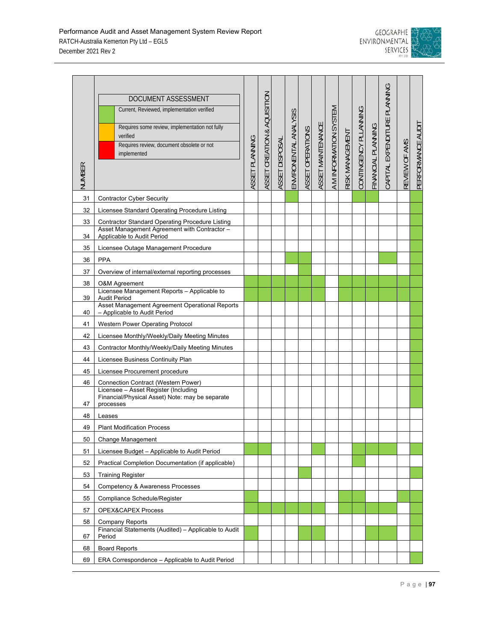

| <b>NUMBER</b> | DOCUMENT ASSESSMENT<br>Current, Reviewed, implementation verified<br>Requires some review, implementation not fully<br>verified<br>Requires review, document obsolete or not<br>implemented | ASSET PLANNING | ASSET CREATION & AQUISITION | ASSET DISPOSAL | ENVIRONENTAL ANALYSIS | ASSET OPERATIONS | ASSET MAINTENANCE | A M INFORMATION SYSTEM | RISK MANAGEMENT | CONTINGENCY PLLANNING | FINANCIAL PLANNING | CAPITAL EXPENDITURE PLANNING | REVIEW OF AMS | PERFORMANCE AUDIT |
|---------------|---------------------------------------------------------------------------------------------------------------------------------------------------------------------------------------------|----------------|-----------------------------|----------------|-----------------------|------------------|-------------------|------------------------|-----------------|-----------------------|--------------------|------------------------------|---------------|-------------------|
| 31            | <b>Contractor Cyber Security</b>                                                                                                                                                            |                |                             |                |                       |                  |                   |                        |                 |                       |                    |                              |               |                   |
| 32            | Licensee Standard Operating Procedure Listing                                                                                                                                               |                |                             |                |                       |                  |                   |                        |                 |                       |                    |                              |               |                   |
| 33            | <b>Contractor Standard Operating Procedure Listing</b>                                                                                                                                      |                |                             |                |                       |                  |                   |                        |                 |                       |                    |                              |               |                   |
| 34            | Asset Management Agreement with Contractor -<br>Applicable to Audit Period                                                                                                                  |                |                             |                |                       |                  |                   |                        |                 |                       |                    |                              |               |                   |
| 35            | Licensee Outage Management Procedure                                                                                                                                                        |                |                             |                |                       |                  |                   |                        |                 |                       |                    |                              |               |                   |
| 36            | <b>PPA</b>                                                                                                                                                                                  |                |                             |                |                       |                  |                   |                        |                 |                       |                    |                              |               |                   |
| 37            | Overview of internal/external reporting processes                                                                                                                                           |                |                             |                |                       |                  |                   |                        |                 |                       |                    |                              |               |                   |
| 38            | O&M Agreement                                                                                                                                                                               |                |                             |                |                       |                  |                   |                        |                 |                       |                    |                              |               |                   |
| 39            | Licensee Management Reports - Applicable to<br><b>Audit Period</b>                                                                                                                          |                |                             |                |                       |                  |                   |                        |                 |                       |                    |                              |               |                   |
| 40            | Asset Management Agreement Operational Reports<br>- Applicable to Audit Period                                                                                                              |                |                             |                |                       |                  |                   |                        |                 |                       |                    |                              |               |                   |
| 41            | Western Power Operating Protocol                                                                                                                                                            |                |                             |                |                       |                  |                   |                        |                 |                       |                    |                              |               |                   |
| 42            | Licensee Monthly/Weekly/Daily Meeting Minutes                                                                                                                                               |                |                             |                |                       |                  |                   |                        |                 |                       |                    |                              |               |                   |
| 43            | Contractor Monthly/Weekly/Daily Meeting Minutes                                                                                                                                             |                |                             |                |                       |                  |                   |                        |                 |                       |                    |                              |               |                   |
| 44            | Licensee Business Continuity Plan                                                                                                                                                           |                |                             |                |                       |                  |                   |                        |                 |                       |                    |                              |               |                   |
| 45            | Licensee Procurement procedure                                                                                                                                                              |                |                             |                |                       |                  |                   |                        |                 |                       |                    |                              |               |                   |
| 46            | Connection Contract (Western Power)                                                                                                                                                         |                |                             |                |                       |                  |                   |                        |                 |                       |                    |                              |               |                   |
| 47            | Licensee - Asset Register (Including<br>Financial/Physical Asset) Note: may be separate<br>processes                                                                                        |                |                             |                |                       |                  |                   |                        |                 |                       |                    |                              |               |                   |
| 48            | Leases                                                                                                                                                                                      |                |                             |                |                       |                  |                   |                        |                 |                       |                    |                              |               |                   |
| 49            | <b>Plant Modification Process</b>                                                                                                                                                           |                |                             |                |                       |                  |                   |                        |                 |                       |                    |                              |               |                   |
| 50            | Change Management                                                                                                                                                                           |                |                             |                |                       |                  |                   |                        |                 |                       |                    |                              |               |                   |
| 51            | Licensee Budget - Applicable to Audit Period                                                                                                                                                |                |                             |                |                       |                  |                   |                        |                 |                       |                    |                              |               |                   |
| 52            | Practical Completion Documentation (if applicable)                                                                                                                                          |                |                             |                |                       |                  |                   |                        |                 |                       |                    |                              |               |                   |
| 53            | <b>Training Register</b>                                                                                                                                                                    |                |                             |                |                       |                  |                   |                        |                 |                       |                    |                              |               |                   |
| 54            | Competency & Awareness Processes                                                                                                                                                            |                |                             |                |                       |                  |                   |                        |                 |                       |                    |                              |               |                   |
| 55            | Compliance Schedule/Register                                                                                                                                                                |                |                             |                |                       |                  |                   |                        |                 |                       |                    |                              |               |                   |
| 57            | OPEX&CAPEX Process                                                                                                                                                                          |                |                             |                |                       |                  |                   |                        |                 |                       |                    |                              |               |                   |
| 58            | Company Reports                                                                                                                                                                             |                |                             |                |                       |                  |                   |                        |                 |                       |                    |                              |               |                   |
| 67            | Financial Statements (Audited) - Applicable to Audit<br>Period                                                                                                                              |                |                             |                |                       |                  |                   |                        |                 |                       |                    |                              |               |                   |
| 68            | <b>Board Reports</b>                                                                                                                                                                        |                |                             |                |                       |                  |                   |                        |                 |                       |                    |                              |               |                   |
| 69            | ERA Correspondence – Applicable to Audit Period                                                                                                                                             |                |                             |                |                       |                  |                   |                        |                 |                       |                    |                              |               |                   |